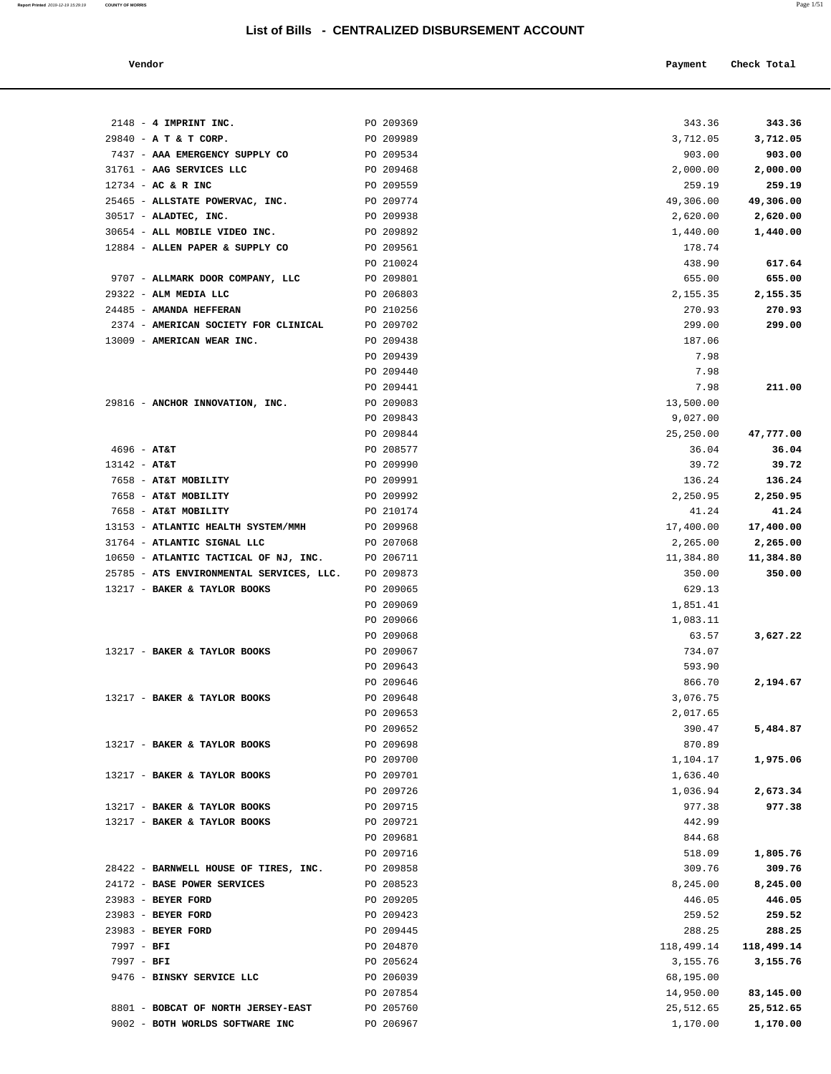| Vendor | Payment Check Total |  |
|--------|---------------------|--|
|        |                     |  |

| $2148 - 4$ IMPRINT INC.                  | PO 209369 | 343.36     | 343.36     |
|------------------------------------------|-----------|------------|------------|
| 29840 - A T & T CORP.                    | PO 209989 | 3,712.05   | 3,712.05   |
| 7437 - AAA EMERGENCY SUPPLY CO           | PO 209534 | 903.00     | 903.00     |
| 31761 - AAG SERVICES LLC                 | PO 209468 | 2,000.00   | 2,000.00   |
| 12734 - AC & R INC                       | PO 209559 | 259.19     | 259.19     |
| 25465 - ALLSTATE POWERVAC, INC.          | PO 209774 | 49,306.00  | 49,306.00  |
| 30517 - ALADTEC, INC.                    | PO 209938 | 2,620.00   | 2,620.00   |
| 30654 - ALL MOBILE VIDEO INC.            | PO 209892 | 1,440.00   | 1,440.00   |
| 12884 - ALLEN PAPER & SUPPLY CO          | PO 209561 | 178.74     |            |
|                                          | PO 210024 | 438.90     | 617.64     |
| 9707 - ALLMARK DOOR COMPANY, LLC         | PO 209801 | 655.00     | 655.00     |
| 29322 - ALM MEDIA LLC                    | PO 206803 | 2,155.35   | 2,155.35   |
| 24485 - AMANDA HEFFERAN                  | PO 210256 | 270.93     | 270.93     |
| 2374 - AMERICAN SOCIETY FOR CLINICAL     | PO 209702 | 299.00     | 299.00     |
| 13009 - AMERICAN WEAR INC.               | PO 209438 | 187.06     |            |
|                                          | PO 209439 | 7.98       |            |
|                                          | PO 209440 | 7.98       |            |
|                                          | PO 209441 | 7.98       | 211.00     |
| 29816 - ANCHOR INNOVATION, INC.          | PO 209083 | 13,500.00  |            |
|                                          | PO 209843 | 9,027.00   |            |
|                                          | PO 209844 | 25,250.00  | 47,777.00  |
| $4696 - AT&T$                            | PO 208577 | 36.04      | 36.04      |
| $13142 - AT&T$                           | PO 209990 | 39.72      | 39.72      |
| 7658 - AT&T MOBILITY                     | PO 209991 | 136.24     | 136.24     |
| 7658 - AT&T MOBILITY                     | PO 209992 | 2,250.95   | 2,250.95   |
| 7658 - AT&T MOBILITY                     | PO 210174 | 41.24      | 41.24      |
| 13153 - ATLANTIC HEALTH SYSTEM/MMH       | PO 209968 | 17,400.00  | 17,400.00  |
| 31764 - ATLANTIC SIGNAL LLC              | PO 207068 | 2,265.00   | 2,265.00   |
| 10650 - ATLANTIC TACTICAL OF NJ, INC.    | PO 206711 | 11,384.80  | 11,384.80  |
| 25785 - ATS ENVIRONMENTAL SERVICES, LLC. | PO 209873 | 350.00     | 350.00     |
| 13217 - BAKER & TAYLOR BOOKS             | PO 209065 | 629.13     |            |
|                                          | PO 209069 | 1,851.41   |            |
|                                          | PO 209066 | 1,083.11   |            |
|                                          | PO 209068 | 63.57      | 3,627.22   |
| 13217 - BAKER & TAYLOR BOOKS             | PO 209067 | 734.07     |            |
|                                          | PO 209643 | 593.90     |            |
|                                          | PO 209646 | 866.70     | 2,194.67   |
| 13217 - BAKER & TAYLOR BOOKS             | PO 209648 | 3,076.75   |            |
|                                          | PO 209653 | 2,017.65   |            |
|                                          | PO 209652 | 390.47     | 5,484.87   |
| 13217 - BAKER & TAYLOR BOOKS             | PO 209698 | 870.89     |            |
|                                          | PO 209700 | 1,104.17   | 1,975.06   |
| 13217 - BAKER & TAYLOR BOOKS             | PO 209701 | 1,636.40   |            |
|                                          | PO 209726 | 1,036.94   | 2,673.34   |
| 13217 - BAKER & TAYLOR BOOKS             | PO 209715 | 977.38     | 977.38     |
| 13217 - BAKER & TAYLOR BOOKS             | PO 209721 | 442.99     |            |
|                                          | PO 209681 | 844.68     |            |
|                                          | PO 209716 | 518.09     | 1,805.76   |
| 28422 - BARNWELL HOUSE OF TIRES, INC.    | PO 209858 | 309.76     | 309.76     |
| 24172 - BASE POWER SERVICES              | PO 208523 | 8,245.00   | 8,245.00   |
| 23983 - BEYER FORD                       | PO 209205 | 446.05     | 446.05     |
| 23983 - BEYER FORD                       | PO 209423 | 259.52     | 259.52     |
| 23983 - BEYER FORD                       | PO 209445 | 288.25     | 288.25     |
| 7997 - BFI                               | PO 204870 | 118,499.14 | 118,499.14 |
| 7997 - BFI                               | PO 205624 | 3,155.76   | 3,155.76   |
| 9476 - BINSKY SERVICE LLC                | PO 206039 | 68,195.00  |            |
|                                          | PO 207854 | 14,950.00  | 83,145.00  |
| 8801 - BOBCAT OF NORTH JERSEY-EAST       | PO 205760 | 25,512.65  | 25,512.65  |
| 9002 - BOTH WORLDS SOFTWARE INC          | PO 206967 | 1,170.00   | 1,170.00   |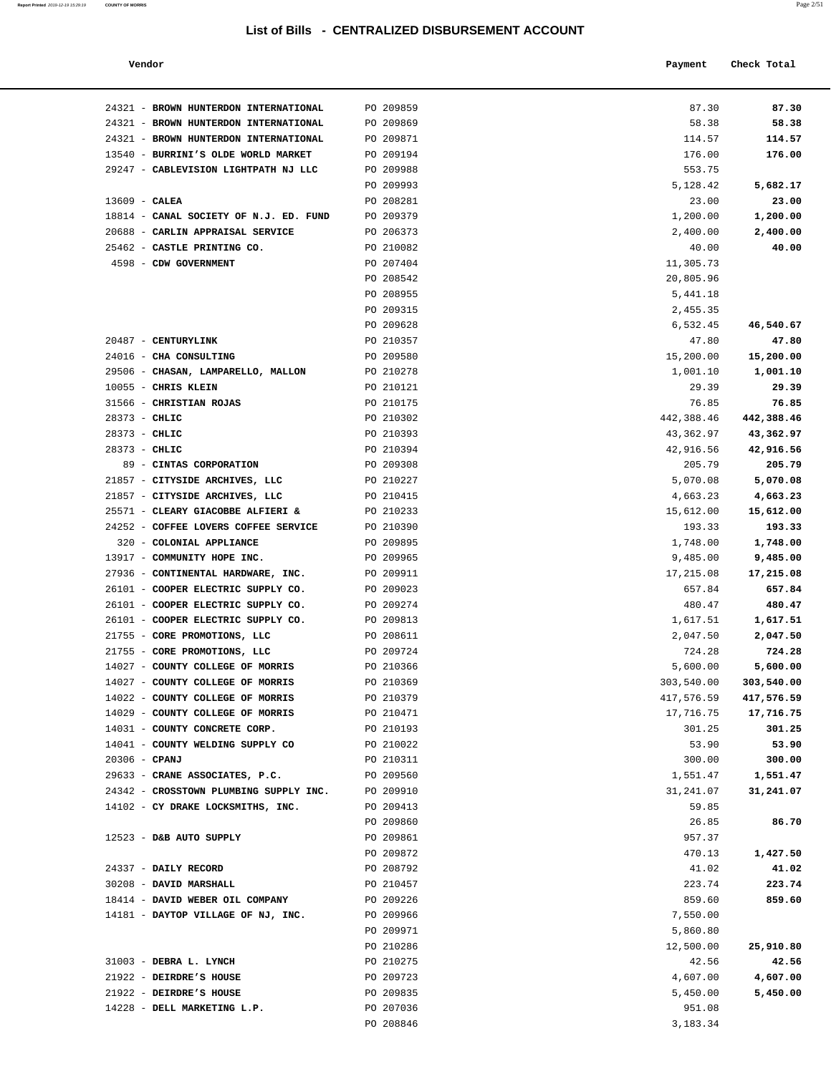| Vendor                                                           |                        | Payment                | Check Total           |
|------------------------------------------------------------------|------------------------|------------------------|-----------------------|
| 24321 - BROWN HUNTERDON INTERNATIONAL                            | PO 209859              | 87.30                  | 87.30                 |
| 24321 - BROWN HUNTERDON INTERNATIONAL                            | PO 209869              | 58.38                  | 58.38                 |
| 24321 - BROWN HUNTERDON INTERNATIONAL                            | PO 209871              | 114.57                 | 114.57                |
| 13540 - BURRINI'S OLDE WORLD MARKET                              | PO 209194              | 176.00                 | 176.00                |
| 29247 - CABLEVISION LIGHTPATH NJ LLC                             | PO 209988              | 553.75                 |                       |
|                                                                  | PO 209993              | 5,128.42               | 5,682.17              |
| $13609$ - CALEA                                                  | PO 208281              | 23.00                  | 23.00                 |
| 18814 - CANAL SOCIETY OF N.J. ED. FUND                           | PO 209379              | 1,200.00               | 1,200.00              |
| 20688 - CARLIN APPRAISAL SERVICE                                 | PO 206373              | 2,400.00               | 2,400.00              |
| 25462 - CASTLE PRINTING CO.                                      | PO 210082              | 40.00                  | 40.00                 |
| 4598 - CDW GOVERNMENT                                            | PO 207404              | 11,305.73              |                       |
|                                                                  | PO 208542              | 20,805.96              |                       |
|                                                                  | PO 208955              | 5,441.18               |                       |
|                                                                  | PO 209315              | 2,455.35               |                       |
|                                                                  | PO 209628              | 6,532.45               | 46,540.67             |
| 20487 - CENTURYLINK<br>24016 - CHA CONSULTING                    | PO 210357<br>PO 209580 | 47.80                  | 47.80                 |
| 29506 - CHASAN, LAMPARELLO, MALLON                               | PO 210278              | 15,200.00<br>1,001.10  | 15,200.00<br>1,001.10 |
| 10055 - CHRIS KLEIN                                              | PO 210121              | 29.39                  | 29.39                 |
| 31566 - CHRISTIAN ROJAS                                          | PO 210175              | 76.85                  | 76.85                 |
| 28373 - CHLIC                                                    | PO 210302              | 442,388.46             | 442,388.46            |
| $28373 - CHLIC$                                                  | PO 210393              | 43,362.97              | 43,362.97             |
| 28373 - CHLIC                                                    | PO 210394              | 42,916.56              | 42,916.56             |
| 89 - CINTAS CORPORATION                                          | PO 209308              | 205.79                 | 205.79                |
| 21857 - CITYSIDE ARCHIVES, LLC                                   | PO 210227              | 5,070.08               | 5,070.08              |
| 21857 - CITYSIDE ARCHIVES, LLC                                   | PO 210415              | 4,663.23               | 4,663.23              |
| 25571 - CLEARY GIACOBBE ALFIERI &                                | PO 210233              | 15,612.00              | 15,612.00             |
| 24252 - COFFEE LOVERS COFFEE SERVICE                             | PO 210390              | 193.33                 | 193.33                |
| 320 - COLONIAL APPLIANCE                                         | PO 209895              | 1,748.00               | 1,748.00              |
| 13917 - COMMUNITY HOPE INC.                                      | PO 209965              | 9,485.00               | 9,485.00              |
| 27936 - CONTINENTAL HARDWARE, INC.                               | PO 209911              | 17,215.08              | 17,215.08             |
| 26101 - COOPER ELECTRIC SUPPLY CO.                               | PO 209023              | 657.84                 | 657.84                |
| 26101 - COOPER ELECTRIC SUPPLY CO.                               | PO 209274              | 480.47                 | 480.47                |
| 26101 - COOPER ELECTRIC SUPPLY CO.                               | PO 209813              | 1,617.51               | 1,617.51              |
| 21755 - CORE PROMOTIONS, LLC                                     | PO 208611              | 2,047.50               | 2,047.50              |
| 21755 - CORE PROMOTIONS, LLC<br>14027 - COUNTY COLLEGE OF MORRIS | PO 209724              | 724.28                 | 724.28<br>5,600.00    |
| 14027 - COUNTY COLLEGE OF MORRIS                                 | PO 210366<br>PO 210369 | 5,600.00<br>303,540.00 | 303,540.00            |
| 14022 - COUNTY COLLEGE OF MORRIS                                 | PO 210379              | 417,576.59             | 417,576.59            |
| 14029 - COUNTY COLLEGE OF MORRIS                                 | PO 210471              | 17,716.75              | 17,716.75             |
| 14031 - COUNTY CONCRETE CORP.                                    | PO 210193              | 301.25                 | 301.25                |
| 14041 - COUNTY WELDING SUPPLY CO                                 | PO 210022              | 53.90                  | 53.90                 |
| $20306$ - CPANJ                                                  | PO 210311              | 300.00                 | 300.00                |
| 29633 - CRANE ASSOCIATES, P.C.                                   | PO 209560              | 1,551.47               | 1,551.47              |
| 24342 - CROSSTOWN PLUMBING SUPPLY INC.                           | PO 209910              | 31,241.07              | 31,241.07             |
| 14102 - CY DRAKE LOCKSMITHS, INC.                                | PO 209413              | 59.85                  |                       |
|                                                                  | PO 209860              | 26.85                  | 86.70                 |
| 12523 - D&B AUTO SUPPLY                                          | PO 209861              | 957.37                 |                       |
|                                                                  | PO 209872              | 470.13                 | 1,427.50              |
| 24337 - DAILY RECORD                                             | PO 208792              | 41.02                  | 41.02                 |
| 30208 - DAVID MARSHALL                                           | PO 210457              | 223.74                 | 223.74                |
| 18414 - DAVID WEBER OIL COMPANY                                  | PO 209226              | 859.60                 | 859.60                |
| 14181 - DAYTOP VILLAGE OF NJ, INC.                               | PO 209966              | 7,550.00               |                       |
|                                                                  | PO 209971              | 5,860.80               |                       |
|                                                                  | PO 210286              | 12,500.00              | 25,910.80             |
| 31003 - DEBRA L. LYNCH                                           | PO 210275              | 42.56                  | 42.56                 |
| 21922 - DEIRDRE'S HOUSE<br>21922 - DEIRDRE'S HOUSE               | PO 209723              | 4,607.00               | 4,607.00              |
| 14228 - DELL MARKETING L.P.                                      | PO 209835<br>PO 207036 | 5,450.00<br>951.08     | 5,450.00              |
|                                                                  | PO 208846              | 3,183.34               |                       |
|                                                                  |                        |                        |                       |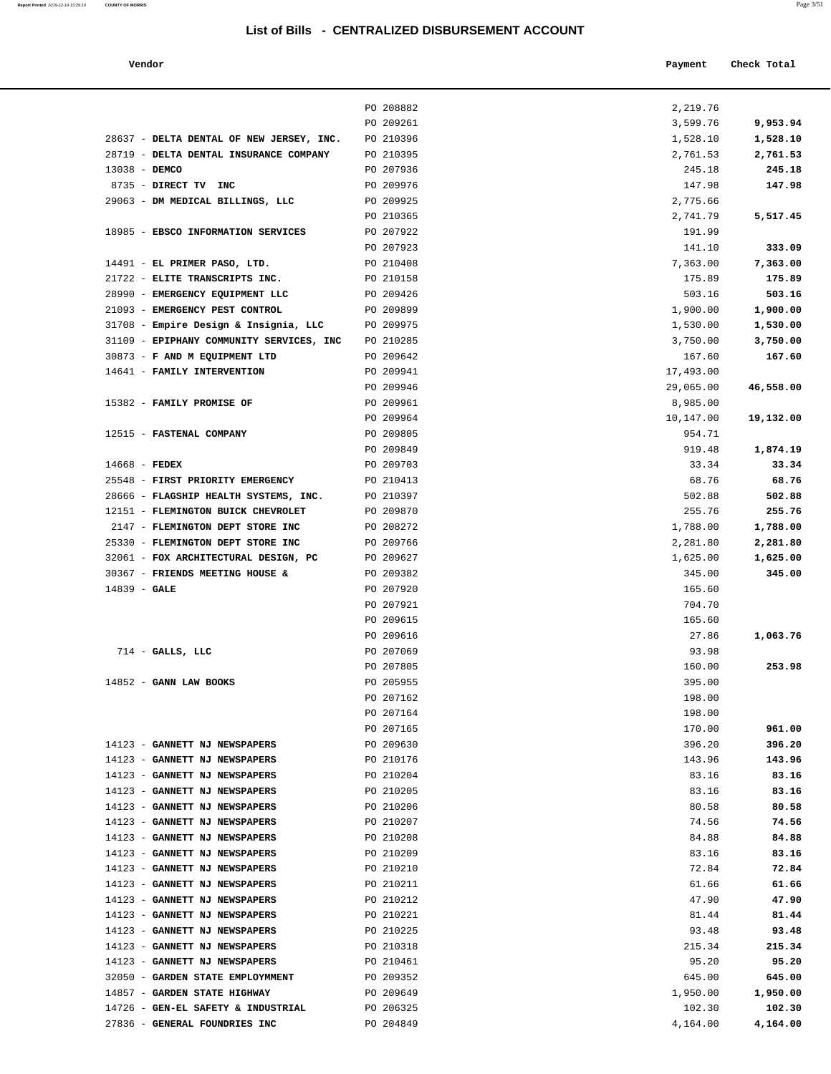#### **Vendor Payment** Check Total

| Report Printed 2019-12-19 15:29:19 | <b>COUNTY OF MORRIS</b> | Page 3/51 |
|------------------------------------|-------------------------|-----------|
|                                    |                         |           |

|                                                                           | PO 208882              | 2,219.76              |           |
|---------------------------------------------------------------------------|------------------------|-----------------------|-----------|
|                                                                           | PO 209261              | 3,599.76              | 9,953.94  |
| 28637 - DELTA DENTAL OF NEW JERSEY, INC.                                  | PO 210396              | 1,528.10              | 1,528.10  |
| 28719 - DELTA DENTAL INSURANCE COMPANY                                    | PO 210395              | 2,761.53              | 2,761.53  |
| 13038 - DEMCO                                                             | PO 207936              | 245.18                | 245.18    |
| 8735 - DIRECT TV INC                                                      | PO 209976              | 147.98                | 147.98    |
| 29063 - DM MEDICAL BILLINGS, LLC                                          | PO 209925              | 2,775.66              |           |
|                                                                           | PO 210365              | 2,741.79              | 5,517.45  |
| 18985 - EBSCO INFORMATION SERVICES                                        | PO 207922              | 191.99                |           |
|                                                                           | PO 207923              | 141.10                | 333.09    |
| 14491 - EL PRIMER PASO, LTD.                                              | PO 210408              | 7,363.00              | 7,363.00  |
| 21722 - ELITE TRANSCRIPTS INC.                                            | PO 210158              | 175.89                | 175.89    |
| 28990 - EMERGENCY EQUIPMENT LLC                                           | PO 209426              | 503.16                | 503.16    |
| 21093 - EMERGENCY PEST CONTROL                                            | PO 209899              | 1,900.00              | 1,900.00  |
| 31708 - Empire Design & Insignia, LLC                                     | PO 209975              | 1,530.00              | 1,530.00  |
| 31109 - EPIPHANY COMMUNITY SERVICES, INC<br>30873 - F AND M EQUIPMENT LTD | PO 210285              | 3,750.00              | 3,750.00  |
|                                                                           | PO 209642<br>PO 209941 | 167.60<br>17,493.00   | 167.60    |
| 14641 - FAMILY INTERVENTION                                               | PO 209946              |                       | 46,558.00 |
|                                                                           | PO 209961              | 29,065.00<br>8,985.00 |           |
| 15382 - FAMILY PROMISE OF                                                 | PO 209964              | 10,147.00             |           |
| 12515 - FASTENAL COMPANY                                                  | PO 209805              | 954.71                | 19,132.00 |
|                                                                           | PO 209849              | 919.48                | 1,874.19  |
| $14668$ - FEDEX                                                           | PO 209703              | 33.34                 | 33.34     |
| 25548 - FIRST PRIORITY EMERGENCY                                          | PO 210413              | 68.76                 | 68.76     |
| 28666 - FLAGSHIP HEALTH SYSTEMS, INC.                                     | PO 210397              | 502.88                | 502.88    |
| 12151 - FLEMINGTON BUICK CHEVROLET                                        | PO 209870              | 255.76                | 255.76    |
| 2147 - FLEMINGTON DEPT STORE INC                                          | PO 208272              | 1,788.00              | 1,788.00  |
| 25330 - FLEMINGTON DEPT STORE INC                                         | PO 209766              | 2,281.80              | 2,281.80  |
| 32061 - FOX ARCHITECTURAL DESIGN, PC                                      | PO 209627              | 1,625.00              | 1,625.00  |
| 30367 - FRIENDS MEETING HOUSE &                                           | PO 209382              | 345.00                | 345.00    |
| $14839 - GALE$                                                            | PO 207920              | 165.60                |           |
|                                                                           | PO 207921              | 704.70                |           |
|                                                                           | PO 209615              | 165.60                |           |
|                                                                           | PO 209616              | 27.86                 | 1,063.76  |
| $714$ - GALLS, LLC                                                        | PO 207069              | 93.98                 |           |
|                                                                           | PO 207805              | 160.00                | 253.98    |
| 14852 - GANN LAW BOOKS                                                    | PO 205955              | 395.00                |           |
|                                                                           | PO 207162              | 198.00                |           |
|                                                                           | PO 207164              | 198.00                |           |
|                                                                           | PO 207165              | 170.00                | 961.00    |
| 14123 - GANNETT NJ NEWSPAPERS                                             | PO 209630              | 396.20                | 396.20    |
| 14123 - GANNETT NJ NEWSPAPERS                                             | PO 210176              | 143.96                | 143.96    |
| 14123 - GANNETT NJ NEWSPAPERS                                             | PO 210204              | 83.16                 | 83.16     |
| 14123 - GANNETT NJ NEWSPAPERS                                             | PO 210205              | 83.16                 | 83.16     |
| 14123 - GANNETT NJ NEWSPAPERS                                             | PO 210206              | 80.58                 | 80.58     |
| 14123 - GANNETT NJ NEWSPAPERS                                             | PO 210207              | 74.56                 | 74.56     |
| 14123 - GANNETT NJ NEWSPAPERS                                             | PO 210208              | 84.88                 | 84.88     |
| 14123 - GANNETT NJ NEWSPAPERS                                             | PO 210209              | 83.16                 | 83.16     |
| 14123 - GANNETT NJ NEWSPAPERS                                             | PO 210210              | 72.84                 | 72.84     |
| 14123 - GANNETT NJ NEWSPAPERS                                             | PO 210211              | 61.66                 | 61.66     |
| 14123 - GANNETT NJ NEWSPAPERS                                             | PO 210212              | 47.90                 | 47.90     |
| 14123 - GANNETT NJ NEWSPAPERS                                             | PO 210221              | 81.44                 | 81.44     |
| 14123 - GANNETT NJ NEWSPAPERS                                             | PO 210225              | 93.48                 | 93.48     |
| 14123 - GANNETT NJ NEWSPAPERS                                             | PO 210318              | 215.34                | 215.34    |
| 14123 - GANNETT NJ NEWSPAPERS                                             | PO 210461              | 95.20                 | 95.20     |
| 32050 - GARDEN STATE EMPLOYMMENT                                          | PO 209352              | 645.00                | 645.00    |
| 14857 - GARDEN STATE HIGHWAY                                              | PO 209649              | 1,950.00              | 1,950.00  |
| 14726 - GEN-EL SAFETY & INDUSTRIAL                                        | PO 206325              | 102.30                | 102.30    |
| 27836 - GENERAL FOUNDRIES INC                                             | PO 204849              | 4,164.00              | 4,164.00  |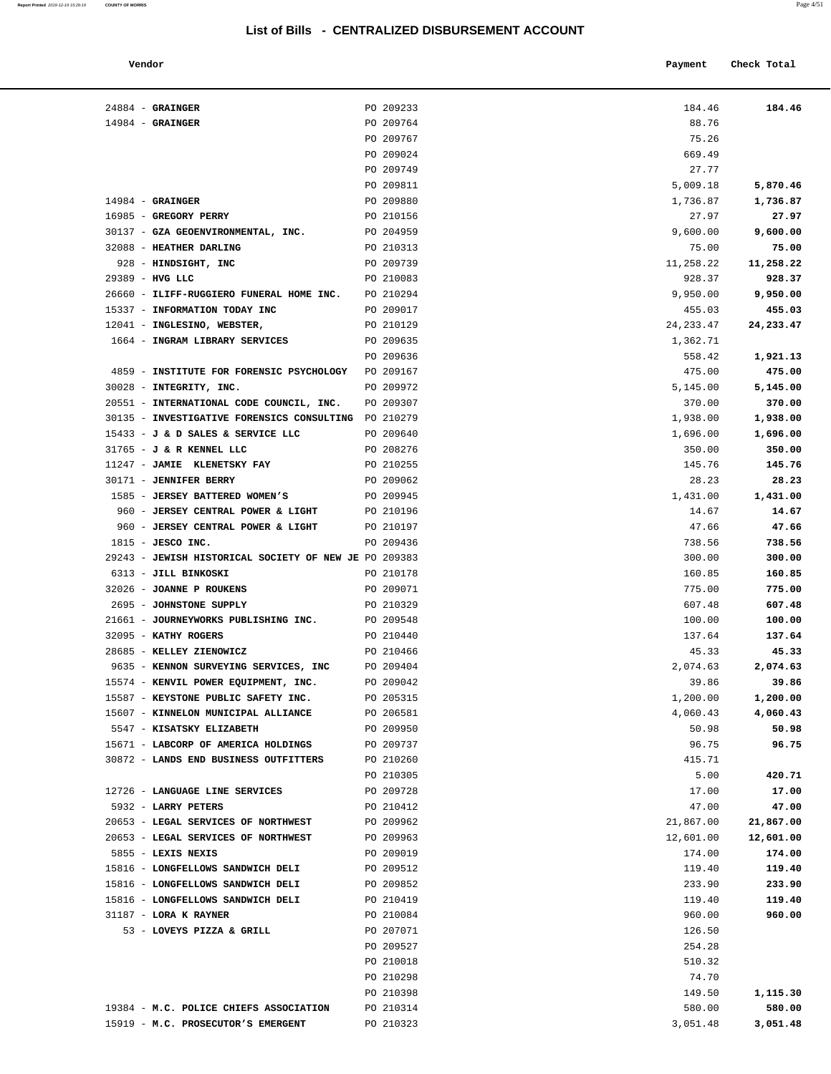#### **Vendor Payment Check Total**

| $24884$ - GRAINGER                                                    | PO 209233              | 184.46             | 184.46             |
|-----------------------------------------------------------------------|------------------------|--------------------|--------------------|
| $14984$ - GRAINGER                                                    | PO 209764              | 88.76              |                    |
|                                                                       | PO 209767              | 75.26              |                    |
|                                                                       | PO 209024              | 669.49             |                    |
|                                                                       | PO 209749              | 27.77              |                    |
|                                                                       | PO 209811              | 5,009.18           | 5,870.46           |
| $14984$ - GRAINGER                                                    | PO 209880              | 1,736.87           | 1,736.87           |
| 16985 - GREGORY PERRY                                                 | PO 210156              | 27.97              | 27.97              |
| 30137 - GZA GEOENVIRONMENTAL, INC.                                    | PO 204959              | 9,600.00           | 9,600.00           |
| 32088 - HEATHER DARLING                                               | PO 210313              | 75.00              | 75.00              |
| 928 - HINDSIGHT, INC                                                  | PO 209739              | 11,258.22          | 11,258.22          |
| 29389 - HVG LLC<br>26660 - ILIFF-RUGGIERO FUNERAL HOME INC. PO 210294 | PO 210083              | 928.37<br>9,950.00 | 928.37<br>9,950.00 |
| 15337 - INFORMATION TODAY INC                                         | PO 209017              | 455.03             | 455.03             |
| 12041 - INGLESINO, WEBSTER,                                           | PO 210129              | 24, 233.47         | 24, 233. 47        |
| 1664 - INGRAM LIBRARY SERVICES                                        | PO 209635              | 1,362.71           |                    |
|                                                                       | PO 209636              | 558.42             | 1,921.13           |
| 4859 - INSTITUTE FOR FORENSIC PSYCHOLOGY PO 209167                    |                        | 475.00             | 475.00             |
| 30028 - INTEGRITY, INC.                                               | PO 209972              | 5,145.00           | 5,145.00           |
| 20551 - INTERNATIONAL CODE COUNCIL, INC. PO 209307                    |                        | 370.00             | 370.00             |
| 30135 - INVESTIGATIVE FORENSICS CONSULTING PO 210279                  |                        | 1,938.00           | 1,938.00           |
| 15433 - J & D SALES & SERVICE LLC                                     | PO 209640              | 1,696.00           | 1,696.00           |
| 31765 - J & R KENNEL LLC                                              | PO 208276              | 350.00             | 350.00             |
| 11247 - JAMIE KLENETSKY FAY                                           | PO 210255              | 145.76             | 145.76             |
| 30171 - JENNIFER BERRY                                                | PO 209062              | 28.23              | 28.23              |
| 1585 - JERSEY BATTERED WOMEN'S                                        | PO 209945              | 1,431.00           | 1,431.00           |
| 960 - JERSEY CENTRAL POWER & LIGHT                                    | PO 210196              | 14.67              | 14.67              |
| 960 - JERSEY CENTRAL POWER & LIGHT                                    | PO 210197              | 47.66              | 47.66              |
| $1815$ - JESCO INC.                                                   | PO 209436              | 738.56             | 738.56             |
| 29243 - JEWISH HISTORICAL SOCIETY OF NEW JE PO 209383                 |                        | 300.00             | 300.00             |
| 6313 - JILL BINKOSKI                                                  | PO 210178              | 160.85             | 160.85             |
| 32026 - JOANNE P ROUKENS<br>2695 - JOHNSTONE SUPPLY                   | PO 209071<br>PO 210329 | 775.00<br>607.48   | 775.00<br>607.48   |
| 21661 - JOURNEYWORKS PUBLISHING INC.                                  | PO 209548              | 100.00             | 100.00             |
| 32095 - KATHY ROGERS                                                  | PO 210440              | 137.64             | 137.64             |
| 28685 - KELLEY ZIENOWICZ                                              | PO 210466              | 45.33              | 45.33              |
| 9635 - KENNON SURVEYING SERVICES, INC                                 | PO 209404              | 2,074.63           | 2,074.63           |
| 15574 - KENVIL POWER EQUIPMENT, INC.                                  | PO 209042              | 39.86              | 39.86              |
| 15587 - KEYSTONE PUBLIC SAFETY INC.                                   | PO 205315              | 1,200.00           | 1,200.00           |
| 15607 - KINNELON MUNICIPAL ALLIANCE                                   | PO 206581              | 4,060.43           | 4,060.43           |
| 5547 - KISATSKY ELIZABETH                                             | PO 209950              | 50.98              | 50.98              |
| 15671 - LABCORP OF AMERICA HOLDINGS                                   | PO 209737              | 96.75              | 96.75              |
| 30872 - LANDS END BUSINESS OUTFITTERS                                 | PO 210260              | 415.71             |                    |
|                                                                       | PO 210305              | 5.00               | 420.71             |
| 12726 - LANGUAGE LINE SERVICES                                        | PO 209728              | 17.00              | 17.00              |
| 5932 - LARRY PETERS                                                   | PO 210412              | 47.00              | 47.00              |
| 20653 - LEGAL SERVICES OF NORTHWEST                                   | PO 209962              | 21,867.00          | 21,867.00          |
| 20653 - LEGAL SERVICES OF NORTHWEST                                   | PO 209963              | 12,601.00          | 12,601.00          |
| 5855 - LEXIS NEXIS                                                    | PO 209019              | 174.00             | 174.00             |
| 15816 - LONGFELLOWS SANDWICH DELI                                     | PO 209512              | 119.40             | 119.40             |
| 15816 - LONGFELLOWS SANDWICH DELI                                     | PO 209852              | 233.90             | 233.90             |
| 15816 - LONGFELLOWS SANDWICH DELI<br>31187 - LORA K RAYNER            | PO 210419<br>PO 210084 | 119.40<br>960.00   | 119.40<br>960.00   |
| 53 - LOVEYS PIZZA & GRILL                                             | PO 207071              | 126.50             |                    |
|                                                                       | PO 209527              | 254.28             |                    |
|                                                                       | PO 210018              | 510.32             |                    |
|                                                                       | PO 210298              | 74.70              |                    |
|                                                                       | PO 210398              | 149.50             | 1,115.30           |
| 19384 - M.C. POLICE CHIEFS ASSOCIATION                                | PO 210314              | 580.00             | 580.00             |
| 15919 - M.C. PROSECUTOR'S EMERGENT                                    | PO 210323              | 3,051.48           | 3,051.48           |
|                                                                       |                        |                    |                    |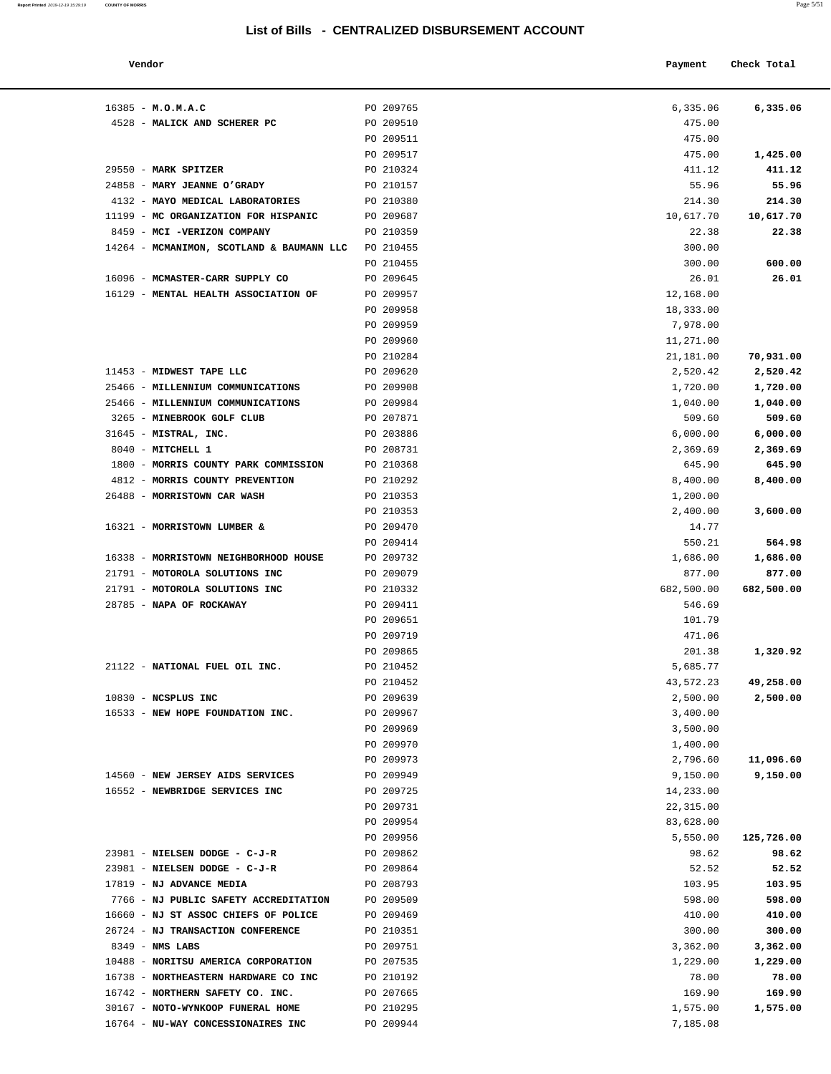| Vendor                                              |                        | Payment            | Check Total |
|-----------------------------------------------------|------------------------|--------------------|-------------|
|                                                     |                        |                    |             |
| $16385 - M.0.M.A.C$<br>4528 - MALICK AND SCHERER PC | PO 209765<br>PO 209510 | 6,335.06<br>475.00 | 6,335.06    |
|                                                     | PO 209511              | 475.00             |             |
|                                                     | PO 209517              | 475.00             | 1,425.00    |
| 29550 - MARK SPITZER                                | PO 210324              | 411.12             | 411.12      |
| 24858 - MARY JEANNE O'GRADY                         | PO 210157              | 55.96              | 55.96       |
| 4132 - MAYO MEDICAL LABORATORIES                    | PO 210380              | 214.30             | 214.30      |
| 11199 - MC ORGANIZATION FOR HISPANIC                | PO 209687              | 10,617.70          | 10,617.70   |
| 8459 - MCI -VERIZON COMPANY                         | PO 210359              | 22.38              | 22.38       |
| 14264 - MCMANIMON, SCOTLAND & BAUMANN LLC           | PO 210455              | 300.00             |             |
|                                                     | PO 210455              | 300.00             | 600.00      |
| 16096 - MCMASTER-CARR SUPPLY CO                     | PO 209645              | 26.01              | 26.01       |
| 16129 - MENTAL HEALTH ASSOCIATION OF                | PO 209957              | 12,168.00          |             |
|                                                     | PO 209958              | 18,333.00          |             |
|                                                     | PO 209959              | 7,978.00           |             |
|                                                     | PO 209960              | 11,271.00          |             |
|                                                     | PO 210284              | 21,181.00          | 70,931.00   |
| 11453 - MIDWEST TAPE LLC                            | PO 209620              | 2,520.42           | 2,520.42    |
| 25466 - MILLENNIUM COMMUNICATIONS                   | PO 209908              | 1,720.00           | 1,720.00    |
| 25466 - MILLENNIUM COMMUNICATIONS                   | PO 209984              | 1,040.00           | 1,040.00    |
| 3265 - MINEBROOK GOLF CLUB                          | PO 207871              | 509.60             | 509.60      |
| 31645 - MISTRAL, INC.                               | PO 203886              | 6,000.00           | 6,000.00    |
| 8040 - MITCHELL 1                                   | PO 208731              | 2,369.69           | 2,369.69    |
| 1800 - MORRIS COUNTY PARK COMMISSION                | PO 210368              | 645.90             | 645.90      |
| 4812 - MORRIS COUNTY PREVENTION                     | PO 210292              | 8,400.00           | 8,400.00    |
| 26488 - MORRISTOWN CAR WASH                         | PO 210353              | 1,200.00           |             |
|                                                     | PO 210353              | 2,400.00           | 3,600.00    |
| 16321 - MORRISTOWN LUMBER &                         | PO 209470              | 14.77              |             |
|                                                     | PO 209414              | 550.21             | 564.98      |
| 16338 - MORRISTOWN NEIGHBORHOOD HOUSE               | PO 209732              | 1,686.00           | 1,686.00    |
| 21791 - MOTOROLA SOLUTIONS INC                      | PO 209079              | 877.00             | 877.00      |
| 21791 - MOTOROLA SOLUTIONS INC                      | PO 210332              | 682,500.00         | 682,500.00  |
| 28785 - NAPA OF ROCKAWAY                            | PO 209411              | 546.69             |             |
|                                                     | PO 209651              | 101.79             |             |
|                                                     | PO 209719              | 471.06             |             |
|                                                     | PO 209865              | 201.38             | 1,320.92    |
| 21122 - NATIONAL FUEL OIL INC.                      | PO 210452              | 5,685.77           |             |
|                                                     | PO 210452              | 43,572.23          | 49,258.00   |
| 10830 - NCSPLUS INC                                 | PO 209639              | 2,500.00           | 2,500.00    |
| 16533 - NEW HOPE FOUNDATION INC.                    | PO 209967              | 3,400.00           |             |
|                                                     | PO 209969              | 3,500.00           |             |
|                                                     | PO 209970              | 1,400.00           |             |
|                                                     | PO 209973              | 2,796.60           | 11,096.60   |
| 14560 - NEW JERSEY AIDS SERVICES                    | PO 209949              | 9,150.00           | 9,150.00    |
| 16552 - NEWBRIDGE SERVICES INC                      | PO 209725              | 14,233.00          |             |
|                                                     | PO 209731              | 22,315.00          |             |
|                                                     | PO 209954              | 83,628.00          |             |
|                                                     | PO 209956              | 5,550.00           | 125,726.00  |
| 23981 - NIELSEN DODGE - C-J-R                       | PO 209862              | 98.62              | 98.62       |
| 23981 - NIELSEN DODGE - C-J-R                       | PO 209864              | 52.52              | 52.52       |
| 17819 - NJ ADVANCE MEDIA                            | PO 208793              | 103.95             | 103.95      |
| 7766 - NJ PUBLIC SAFETY ACCREDITATION               | PO 209509              | 598.00             | 598.00      |
| 16660 - NJ ST ASSOC CHIEFS OF POLICE                | PO 209469              | 410.00             | 410.00      |

| $16385 - M.0.M.A.C$                                 | PO 209765 | 6,335.06   | 6,335.06   |
|-----------------------------------------------------|-----------|------------|------------|
| 4528 - MALICK AND SCHERER PC                        | PO 209510 | 475.00     |            |
|                                                     |           |            |            |
|                                                     | PO 209511 | 475.00     |            |
|                                                     | PO 209517 | 475.00     | 1,425.00   |
| 29550 - MARK SPITZER                                | PO 210324 | 411.12     | 411.12     |
| 24858 - MARY JEANNE O'GRADY                         | PO 210157 | 55.96      | 55.96      |
| 4132 - MAYO MEDICAL LABORATORIES                    | PO 210380 | 214.30     | 214.30     |
| 11199 - MC ORGANIZATION FOR HISPANIC                | PO 209687 | 10,617.70  | 10,617.70  |
| 8459 - MCI - VERIZON COMPANY                        | PO 210359 | 22.38      | 22.38      |
| 14264 - MCMANIMON, SCOTLAND & BAUMANN LLC PO 210455 |           | 300.00     |            |
|                                                     | PO 210455 | 300.00     | 600.00     |
| 16096 - MCMASTER-CARR SUPPLY CO                     | PO 209645 | 26.01      | 26.01      |
|                                                     |           |            |            |
| 16129 - MENTAL HEALTH ASSOCIATION OF                | PO 209957 | 12,168.00  |            |
|                                                     | PO 209958 | 18,333.00  |            |
|                                                     | PO 209959 | 7,978.00   |            |
|                                                     | PO 209960 | 11,271.00  |            |
|                                                     | PO 210284 | 21,181.00  | 70,931.00  |
| 11453 - MIDWEST TAPE LLC                            | PO 209620 | 2,520.42   | 2,520.42   |
| 25466 - MILLENNIUM COMMUNICATIONS                   | PO 209908 | 1,720.00   | 1,720.00   |
| 25466 - MILLENNIUM COMMUNICATIONS                   | PO 209984 | 1,040.00   | 1,040.00   |
| 3265 - MINEBROOK GOLF CLUB                          | PO 207871 | 509.60     | 509.60     |
| 31645 - MISTRAL, INC.                               | PO 203886 | 6,000.00   | 6,000.00   |
| 8040 - MITCHELL 1                                   | PO 208731 | 2,369.69   | 2,369.69   |
|                                                     |           |            |            |
| 1800 - MORRIS COUNTY PARK COMMISSION                | PO 210368 | 645.90     | 645.90     |
| 4812 - MORRIS COUNTY PREVENTION                     | PO 210292 | 8,400.00   | 8,400.00   |
| 26488 - MORRISTOWN CAR WASH                         | PO 210353 | 1,200.00   |            |
|                                                     | PO 210353 | 2,400.00   | 3,600.00   |
| 16321 - MORRISTOWN LUMBER &                         | PO 209470 | 14.77      |            |
|                                                     | PO 209414 | 550.21     | 564.98     |
| 16338 - MORRISTOWN NEIGHBORHOOD HOUSE               | PO 209732 | 1,686.00   | 1,686.00   |
| 21791 - MOTOROLA SOLUTIONS INC                      | PO 209079 | 877.00     | 877.00     |
| 21791 - MOTOROLA SOLUTIONS INC                      | PO 210332 | 682,500.00 | 682,500.00 |
| 28785 - NAPA OF ROCKAWAY                            | PO 209411 | 546.69     |            |
|                                                     | PO 209651 | 101.79     |            |
|                                                     | PO 209719 | 471.06     |            |
|                                                     |           |            |            |
|                                                     | PO 209865 | 201.38     | 1,320.92   |
| 21122 - NATIONAL FUEL OIL INC.                      | PO 210452 | 5,685.77   |            |
|                                                     | PO 210452 | 43,572.23  | 49,258.00  |
| 10830 - NCSPLUS INC                                 | PO 209639 | 2,500.00   | 2,500.00   |
| 16533 - NEW HOPE FOUNDATION INC.                    | PO 209967 | 3,400.00   |            |
|                                                     | PO 209969 | 3,500.00   |            |
|                                                     | PO 209970 | 1,400.00   |            |
|                                                     | PO 209973 | 2,796.60   | 11,096.60  |
| 14560 - NEW JERSEY AIDS SERVICES                    | PO 209949 | 9,150.00   | 9,150.00   |
| 16552 - NEWBRIDGE SERVICES INC                      | PO 209725 | 14,233.00  |            |
|                                                     | PO 209731 | 22,315.00  |            |
|                                                     |           |            |            |
|                                                     | PO 209954 | 83,628.00  |            |
|                                                     | PO 209956 | 5,550.00   | 125,726.00 |
| 23981 - NIELSEN DODGE - C-J-R                       | PO 209862 | 98.62      | 98.62      |
| 23981 - NIELSEN DODGE - C-J-R                       | PO 209864 | 52.52      | 52.52      |
| 17819 - NJ ADVANCE MEDIA                            | PO 208793 | 103.95     | 103.95     |
| 7766 - NJ PUBLIC SAFETY ACCREDITATION               | PO 209509 | 598.00     | 598.00     |
| 16660 - NJ ST ASSOC CHIEFS OF POLICE                | PO 209469 | 410.00     | 410.00     |
| 26724 - NJ TRANSACTION CONFERENCE                   | PO 210351 | 300.00     | 300.00     |
| 8349 - NMS LABS                                     | PO 209751 | 3,362.00   | 3,362.00   |
| 10488 - NORITSU AMERICA CORPORATION                 | PO 207535 | 1,229.00   | 1,229.00   |
| 16738 - NORTHEASTERN HARDWARE CO INC                | PO 210192 | 78.00      | 78.00      |
| 16742 - NORTHERN SAFETY CO. INC.                    | PO 207665 | 169.90     | 169.90     |
|                                                     |           |            |            |
| 30167 - NOTO-WYNKOOP FUNERAL HOME                   | PO 210295 | 1,575.00   | 1,575.00   |
| 16764 - NU-WAY CONCESSIONAIRES INC                  | PO 209944 | 7,185.08   |            |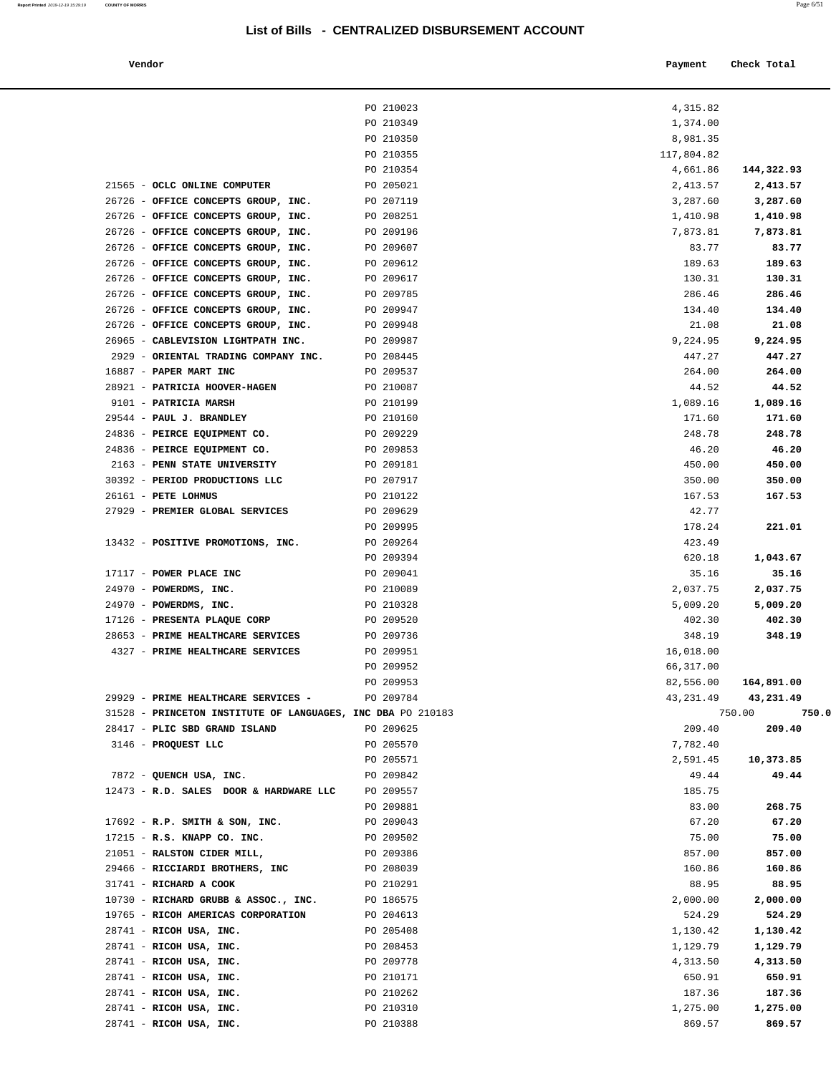| Vendor | Payment | Check Total |
|--------|---------|-------------|
|        |         |             |

|                                                                   | PO 210023              | 4,315.82        |                       |
|-------------------------------------------------------------------|------------------------|-----------------|-----------------------|
|                                                                   | PO 210349              | 1,374.00        |                       |
|                                                                   | PO 210350              | 8,981.35        |                       |
|                                                                   | PO 210355              | 117,804.82      |                       |
|                                                                   | PO 210354              | 4,661.86        | 144,322.93            |
| 21565 - OCLC ONLINE COMPUTER                                      | PO 205021              | 2,413.57        | 2,413.57              |
| 26726 - OFFICE CONCEPTS GROUP, INC.                               | PO 207119              | 3,287.60        | 3,287.60              |
| 26726 - OFFICE CONCEPTS GROUP, INC.                               | PO 208251              | 1,410.98        | 1,410.98              |
| 26726 - OFFICE CONCEPTS GROUP, INC.                               | PO 209196              | 7,873.81        | 7,873.81              |
| 26726 - OFFICE CONCEPTS GROUP, INC.                               | PO 209607              | 83.77           | 83.77                 |
| 26726 - OFFICE CONCEPTS GROUP, INC.                               | PO 209612              | 189.63          | 189.63                |
| 26726 - OFFICE CONCEPTS GROUP, INC.                               | PO 209617              | 130.31          | 130.31                |
| 26726 - OFFICE CONCEPTS GROUP, INC.                               | PO 209785              | 286.46          | 286.46                |
| 26726 - OFFICE CONCEPTS GROUP, INC.                               | PO 209947              | 134.40          | 134.40                |
| 26726 - OFFICE CONCEPTS GROUP, INC.                               | PO 209948              | 21.08           | 21.08                 |
| 26965 - CABLEVISION LIGHTPATH INC.                                | PO 209987              | 9,224.95        | 9,224.95              |
| 2929 - ORIENTAL TRADING COMPANY INC.                              | PO 208445              | 447.27          | 447.27                |
| 16887 - PAPER MART INC                                            | PO 209537              | 264.00          | 264.00                |
| 28921 - PATRICIA HOOVER-HAGEN                                     | PO 210087              | 44.52           | 44.52                 |
| 9101 - PATRICIA MARSH                                             | PO 210199              | 1,089.16        | 1,089.16              |
| 29544 - PAUL J. BRANDLEY                                          | PO 210160              | 171.60          | 171.60                |
| 24836 - PEIRCE EQUIPMENT CO.                                      | PO 209229              | 248.78          | 248.78                |
| 24836 - PEIRCE EQUIPMENT CO.                                      | PO 209853              | 46.20           | 46.20                 |
| 2163 - PENN STATE UNIVERSITY                                      | PO 209181              | 450.00          | 450.00                |
| 30392 - PERIOD PRODUCTIONS LLC                                    | PO 207917              | 350.00          | 350.00                |
| 26161 - PETE LOHMUS                                               | PO 210122              | 167.53          | 167.53                |
| 27929 - PREMIER GLOBAL SERVICES                                   | PO 209629              | 42.77           |                       |
|                                                                   | PO 209995              | 178.24          | 221.01                |
| 13432 - POSITIVE PROMOTIONS, INC.                                 | PO 209264              | 423.49          |                       |
|                                                                   | PO 209394              | 620.18          | 1,043.67              |
| 17117 - POWER PLACE INC                                           | PO 209041              | 35.16           | 35.16                 |
| 24970 - POWERDMS, INC.                                            | PO 210089              | 2,037.75        | 2,037.75              |
| 24970 - POWERDMS, INC.                                            | PO 210328              | 5,009.20        | 5,009.20              |
| 17126 - PRESENTA PLAQUE CORP                                      | PO 209520              | 402.30          | 402.30                |
| 28653 - PRIME HEALTHCARE SERVICES                                 | PO 209736              | 348.19          | 348.19                |
| 4327 - PRIME HEALTHCARE SERVICES                                  | PO 209951              | 16,018.00       |                       |
|                                                                   | PO 209952              | 66,317.00       |                       |
|                                                                   | PO 209953              |                 | 82,556.00 164,891.00  |
| 29929 - PRIME HEALTHCARE SERVICES -                               | PO 209784              |                 | 43, 231.49 43, 231.49 |
| 31528 - PRINCETON INSTITUTE OF LANGUAGES, INC DBA PO 210183       |                        |                 | 750.00<br>750.0       |
| 28417 - PLIC SBD GRAND ISLAND                                     | PO 209625              | 209.40          | 209.40                |
| 3146 - PROQUEST LLC                                               | PO 205570              | 7,782.40        |                       |
|                                                                   |                        |                 |                       |
|                                                                   | PO 205571              | 2,591.45        | 10,373.85             |
| 7872 - QUENCH USA, INC.<br>12473 - R.D. SALES DOOR & HARDWARE LLC | PO 209842<br>PO 209557 | 49.44<br>185.75 | 49.44                 |
|                                                                   |                        |                 |                       |
|                                                                   | PO 209881              | 83.00           | 268.75                |
| $17692$ - R.P. SMITH & SON, INC.                                  | PO 209043              | 67.20           | 67.20                 |
| 17215 - R.S. KNAPP CO. INC.                                       | PO 209502              | 75.00           | 75.00                 |
| 21051 - RALSTON CIDER MILL,                                       | PO 209386              | 857.00          | 857.00                |
| 29466 - RICCIARDI BROTHERS, INC                                   | PO 208039              | 160.86          | 160.86                |
| 31741 - RICHARD A COOK                                            | PO 210291              | 88.95           | 88.95                 |
| 10730 - RICHARD GRUBB & ASSOC., INC.                              | PO 186575              | 2,000.00        | 2,000.00              |
| 19765 - RICOH AMERICAS CORPORATION                                | PO 204613              | 524.29          | 524.29                |
| 28741 - RICOH USA, INC.                                           | PO 205408              | 1,130.42        | 1,130.42              |
| 28741 - RICOH USA, INC.                                           | PO 208453              | 1,129.79        | 1,129.79              |
| 28741 - RICOH USA, INC.                                           | PO 209778              | 4,313.50        | 4,313.50              |
| 28741 - RICOH USA, INC.                                           | PO 210171              | 650.91          | 650.91                |
| 28741 - RICOH USA, INC.                                           | PO 210262              | 187.36          | 187.36                |
| 28741 - RICOH USA, INC.                                           | PO 210310              | 1,275.00        | 1,275.00              |
| 28741 - RICOH USA, INC.                                           | PO 210388              | 869.57          | 869.57                |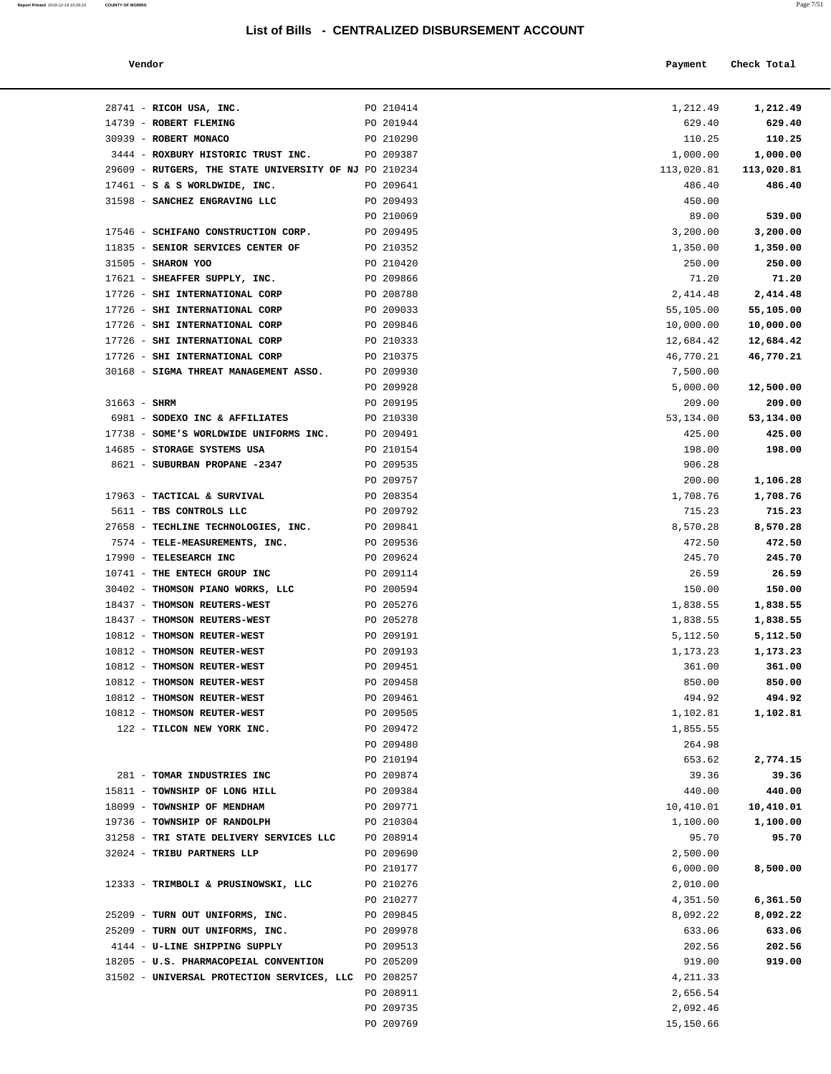**Report Printed** 2019-12-19 15:29:19 **COUNTY OF MORRIS** Page 7/51

| Vendor | Payment Check Total |
|--------|---------------------|

| 28741 - RICOH USA, INC.                                                  | PO 210414              | 1,212.49         | 1,212.49         |
|--------------------------------------------------------------------------|------------------------|------------------|------------------|
| 14739 - ROBERT FLEMING                                                   | PO 201944              | 629.40           | 629.40           |
| 30939 - ROBERT MONACO                                                    | PO 210290              | 110.25           | 110.25           |
| 3444 - ROXBURY HISTORIC TRUST INC.                                       | PO 209387              | 1,000.00         | 1,000.00         |
| 29609 - RUTGERS, THE STATE UNIVERSITY OF NJ PO 210234                    |                        | 113,020.81       | 113,020.81       |
| $17461 - S$ & S WORLDWIDE, INC.                                          | PO 209641              | 486.40           | 486.40           |
| 31598 - SANCHEZ ENGRAVING LLC                                            | PO 209493              | 450.00           |                  |
|                                                                          | PO 210069              | 89.00            | 539.00           |
| 17546 - SCHIFANO CONSTRUCTION CORP.                                      | PO 209495              | 3,200.00         | 3,200.00         |
| 11835 - SENIOR SERVICES CENTER OF                                        | PO 210352              | 1,350.00         | 1,350.00         |
| 31505 - SHARON YOO                                                       | PO 210420              | 250.00           | 250.00           |
| 17621 - SHEAFFER SUPPLY, INC.                                            | PO 209866              | 71.20            | 71.20            |
| 17726 - SHI INTERNATIONAL CORP                                           | PO 208780              | 2,414.48         | 2,414.48         |
| 17726 - SHI INTERNATIONAL CORP                                           | PO 209033              | 55,105.00        | 55,105.00        |
| 17726 - SHI INTERNATIONAL CORP                                           | PO 209846              | 10,000.00        | 10,000.00        |
| 17726 - SHI INTERNATIONAL CORP                                           | PO 210333              | 12,684.42        | 12,684.42        |
| 17726 - SHI INTERNATIONAL CORP                                           | PO 210375              | 46,770.21        | 46,770.21        |
| 30168 - SIGMA THREAT MANAGEMENT ASSO.                                    | PO 209930              | 7,500.00         |                  |
|                                                                          | PO 209928              | 5,000.00         | 12,500.00        |
| $31663 - SHRM$                                                           | PO 209195              | 209.00           | 209.00           |
| 6981 - SODEXO INC & AFFILIATES<br>17738 - SOME'S WORLDWIDE UNIFORMS INC. | PO 210330<br>PO 209491 | 53,134.00        | 53,134.00        |
| 14685 - STORAGE SYSTEMS USA                                              | PO 210154              | 425.00<br>198.00 | 425.00<br>198.00 |
| 8621 - SUBURBAN PROPANE -2347                                            | PO 209535              | 906.28           |                  |
|                                                                          | PO 209757              | 200.00           | 1,106.28         |
| 17963 - TACTICAL & SURVIVAL                                              | PO 208354              | 1,708.76         | 1,708.76         |
| 5611 - TBS CONTROLS LLC                                                  | PO 209792              | 715.23           | 715.23           |
| 27658 - TECHLINE TECHNOLOGIES, INC.                                      | PO 209841              | 8,570.28         | 8,570.28         |
| 7574 - TELE-MEASUREMENTS, INC.                                           | PO 209536              | 472.50           | 472.50           |
| 17990 - TELESEARCH INC                                                   | PO 209624              | 245.70           | 245.70           |
| 10741 - THE ENTECH GROUP INC                                             | PO 209114              | 26.59            | 26.59            |
| 30402 - THOMSON PIANO WORKS, LLC                                         | PO 200594              | 150.00           | 150.00           |
| 18437 - THOMSON REUTERS-WEST                                             | PO 205276              | 1,838.55         | 1,838.55         |
| 18437 - THOMSON REUTERS-WEST                                             | PO 205278              | 1,838.55         | 1,838.55         |
| 10812 - THOMSON REUTER-WEST                                              | PO 209191              | 5,112.50         | 5,112.50         |
| 10812 - THOMSON REUTER-WEST                                              | PO 209193              | 1,173.23         | 1,173.23         |
| 10812 - THOMSON REUTER-WEST                                              | PO 209451              | 361.00           | 361.00           |
| 10812 - THOMSON REUTER-WEST                                              | PO 209458              | 850.00           | 850.00           |
| 10812 - THOMSON REUTER-WEST                                              | PO 209461              | 494.92           | 494.92           |
| 10812 - THOMSON REUTER-WEST                                              | PO 209505              | 1,102.81         | 1,102.81         |
| 122 - TILCON NEW YORK INC.                                               | PO 209472              | 1,855.55         |                  |
|                                                                          | PO 209480              | 264.98           |                  |
|                                                                          | PO 210194              | 653.62           | 2,774.15         |
| 281 - TOMAR INDUSTRIES INC                                               | PO 209874              | 39.36            | 39.36            |
| 15811 - TOWNSHIP OF LONG HILL                                            | PO 209384              | 440.00           | 440.00           |
| 18099 - TOWNSHIP OF MENDHAM                                              | PO 209771              | 10,410.01        | 10,410.01        |
| 19736 - TOWNSHIP OF RANDOLPH                                             | PO 210304              | 1,100.00         | 1,100.00         |
| 31258 - TRI STATE DELIVERY SERVICES LLC                                  | PO 208914              | 95.70            | 95.70            |
| 32024 - TRIBU PARTNERS LLP                                               | PO 209690              | 2,500.00         |                  |
|                                                                          | PO 210177              | 6,000.00         | 8,500.00         |
| 12333 - TRIMBOLI & PRUSINOWSKI, LLC                                      | PO 210276              | 2,010.00         |                  |
|                                                                          | PO 210277              | 4,351.50         | 6,361.50         |
| 25209 - TURN OUT UNIFORMS, INC.                                          | PO 209845              | 8,092.22         | 8,092.22         |
| 25209 - TURN OUT UNIFORMS, INC.                                          | PO 209978              | 633.06           | 633.06           |
| 4144 - U-LINE SHIPPING SUPPLY                                            | PO 209513              | 202.56           | 202.56           |
| 18205 - U.S. PHARMACOPEIAL CONVENTION                                    | PO 205209              | 919.00           | 919.00           |
| 31502 - UNIVERSAL PROTECTION SERVICES, LLC PO 208257                     |                        | 4,211.33         |                  |
|                                                                          | PO 208911              | 2,656.54         |                  |
|                                                                          | PO 209735              | 2,092.46         |                  |
|                                                                          | PO 209769              | 15,150.66        |                  |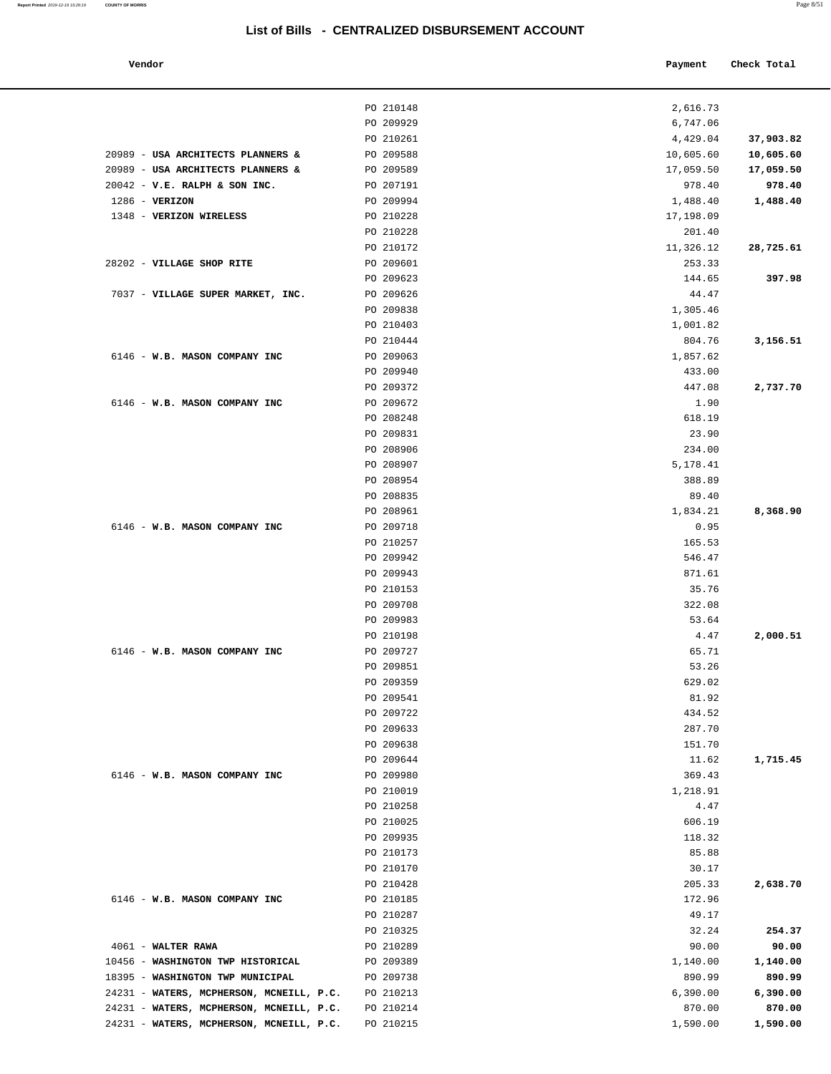| Vendor                                   |                        | Payment         | Check Total |
|------------------------------------------|------------------------|-----------------|-------------|
|                                          | PO 210148              | 2,616.73        |             |
|                                          | PO 209929              | 6,747.06        |             |
|                                          | PO 210261              | 4,429.04        | 37,903.82   |
| 20989 - USA ARCHITECTS PLANNERS &        | PO 209588              | 10,605.60       | 10,605.60   |
| 20989 - USA ARCHITECTS PLANNERS &        | PO 209589              | 17,059.50       | 17,059.50   |
| 20042 - V.E. RALPH & SON INC.            | PO 207191              | 978.40          | 978.40      |
| $1286$ - VERIZON                         | PO 209994              | 1,488.40        | 1,488.40    |
| 1348 - VERIZON WIRELESS                  | PO 210228              | 17,198.09       |             |
|                                          | PO 210228              | 201.40          |             |
|                                          | PO 210172              | 11,326.12       | 28,725.61   |
| 28202 - VILLAGE SHOP RITE                | PO 209601              | 253.33          |             |
|                                          | PO 209623              | 144.65          | 397.98      |
| 7037 - VILLAGE SUPER MARKET, INC.        | PO 209626              | 44.47           |             |
|                                          | PO 209838              | 1,305.46        |             |
|                                          | PO 210403              | 1,001.82        |             |
|                                          | PO 210444              | 804.76          | 3,156.51    |
| 6146 - W.B. MASON COMPANY INC            | PO 209063              | 1,857.62        |             |
|                                          | PO 209940              | 433.00          |             |
|                                          | PO 209372              | 447.08          | 2,737.70    |
| 6146 - W.B. MASON COMPANY INC            | PO 209672              | 1.90            |             |
|                                          | PO 208248              | 618.19          |             |
|                                          | PO 209831              | 23.90           |             |
|                                          | PO 208906              | 234.00          |             |
|                                          | PO 208907              | 5,178.41        |             |
|                                          | PO 208954              | 388.89          |             |
|                                          | PO 208835              | 89.40           |             |
|                                          | PO 208961              | 1,834.21        | 8,368.90    |
| 6146 - W.B. MASON COMPANY INC            | PO 209718              | 0.95            |             |
|                                          | PO 210257              | 165.53          |             |
|                                          | PO 209942              | 546.47          |             |
|                                          | PO 209943              | 871.61          |             |
|                                          | PO 210153              | 35.76           |             |
|                                          | PO 209708              | 322.08          |             |
|                                          | PO 209983              | 53.64           |             |
|                                          | PO 210198<br>PO 209727 | 4.47            | 2,000.51    |
| 6146 - W.B. MASON COMPANY INC            |                        | 65.71           |             |
|                                          | PO 209851              | 53.26           |             |
|                                          | PO 209359<br>PO 209541 | 629.02<br>81.92 |             |
|                                          | PO 209722              | 434.52          |             |
|                                          | PO 209633              | 287.70          |             |
|                                          | PO 209638              | 151.70          |             |
|                                          | PO 209644              | 11.62           | 1,715.45    |
| 6146 - W.B. MASON COMPANY INC            | PO 209980              | 369.43          |             |
|                                          | PO 210019              | 1,218.91        |             |
|                                          | PO 210258              | 4.47            |             |
|                                          | PO 210025              | 606.19          |             |
|                                          | PO 209935              | 118.32          |             |
|                                          | PO 210173              | 85.88           |             |
|                                          | PO 210170              | 30.17           |             |
|                                          | PO 210428              | 205.33          | 2,638.70    |
| 6146 - W.B. MASON COMPANY INC            | PO 210185              | 172.96          |             |
|                                          | PO 210287              | 49.17           |             |
|                                          | PO 210325              | 32.24           | 254.37      |
| 4061 - WALTER RAWA                       | PO 210289              | 90.00           | 90.00       |
| 10456 - WASHINGTON TWP HISTORICAL        | PO 209389              | 1,140.00        | 1,140.00    |
| 18395 - WASHINGTON TWP MUNICIPAL         | PO 209738              | 890.99          | 890.99      |
| 24231 - WATERS, MCPHERSON, MCNEILL, P.C. | PO 210213              | 6,390.00        | 6,390.00    |
| 24231 - WATERS, MCPHERSON, MCNEILL, P.C. | PO 210214              | 870.00          | 870.00      |
| 24231 - WATERS, MCPHERSON, MCNEILL, P.C. | PO 210215              | 1,590.00        | 1,590.00    |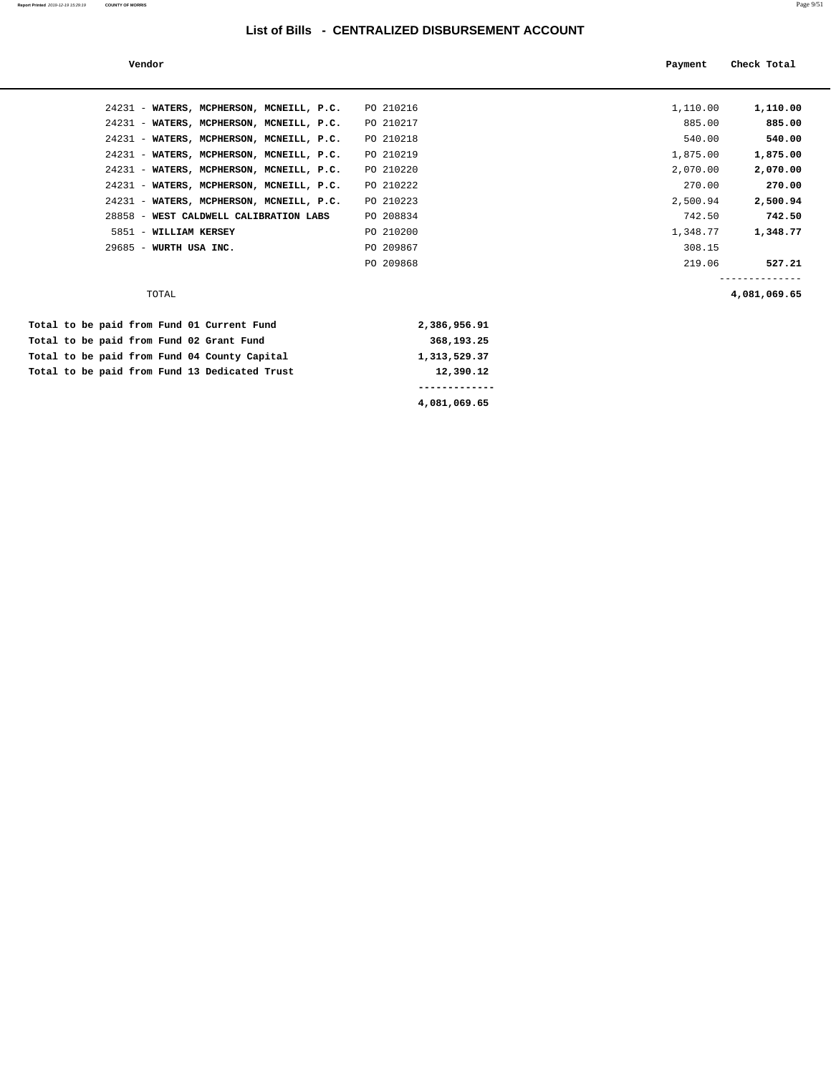| Vendor                                   |           | Payment  | Check Total  |
|------------------------------------------|-----------|----------|--------------|
|                                          |           |          |              |
| 24231 - WATERS, MCPHERSON, MCNEILL, P.C. | PO 210216 | 1,110.00 | 1,110.00     |
| 24231 - WATERS, MCPHERSON, MCNEILL, P.C. | PO 210217 | 885.00   | 885.00       |
| 24231 - WATERS, MCPHERSON, MCNEILL, P.C. | PO 210218 | 540.00   | 540.00       |
| 24231 - WATERS, MCPHERSON, MCNEILL, P.C. | PO 210219 | 1,875.00 | 1,875.00     |
| 24231 - WATERS, MCPHERSON, MCNEILL, P.C. | PO 210220 | 2,070.00 | 2,070.00     |
| 24231 - WATERS, MCPHERSON, MCNEILL, P.C. | PO 210222 | 270.00   | 270.00       |
| 24231 - WATERS, MCPHERSON, MCNEILL, P.C. | PO 210223 | 2,500.94 | 2,500.94     |
| 28858 - WEST CALDWELL CALIBRATION LABS   | PO 208834 | 742.50   | 742.50       |
| 5851 - WILLIAM KERSEY                    | PO 210200 | 1,348.77 | 1,348.77     |
| 29685 - WURTH USA INC.                   | PO 209867 | 308.15   |              |
|                                          | PO 209868 | 219.06   | 527.21       |
|                                          |           |          |              |
| TOTAL                                    |           |          | 4,081,069.65 |

|  |  |  |  |                                               | 4,081,069.65 |
|--|--|--|--|-----------------------------------------------|--------------|
|  |  |  |  | Total to be paid from Fund 13 Dedicated Trust | 12,390.12    |
|  |  |  |  | Total to be paid from Fund 04 County Capital  | 1,313,529.37 |
|  |  |  |  | Total to be paid from Fund 02 Grant Fund      | 368,193.25   |
|  |  |  |  | Total to be paid from Fund 01 Current Fund    | 2,386,956.91 |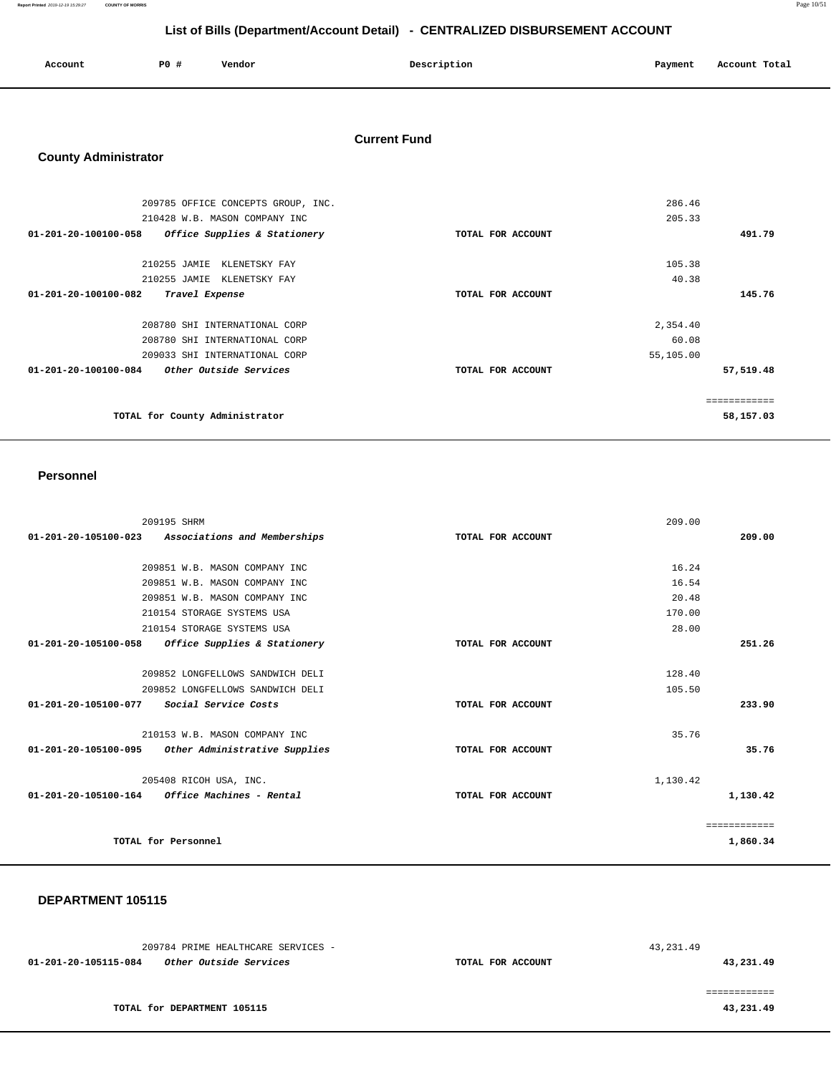**Report Printed** 2019-12-19 15:29:27 **COUNTY OF MORRIS** Page 10/51

## **List of Bills (Department/Account Detail) - CENTRALIZED DISBURSEMENT ACCOUNT**

| Account | PO # | Vendor | Description<br>$\sim$ $\sim$ | Payment<br>$\sim$ $\sim$ | Account Total<br>.<br>. |
|---------|------|--------|------------------------------|--------------------------|-------------------------|
|         |      |        |                              |                          |                         |

#### **Current Fund**

## **County Administrator**

| 209785 OFFICE CONCEPTS GROUP, INC.                   |                   | 286.46     |
|------------------------------------------------------|-------------------|------------|
| 210428 W.B. MASON COMPANY INC                        |                   | 205.33     |
| 01-201-20-100100-058<br>Office Supplies & Stationery | TOTAL FOR ACCOUNT | 491.79     |
| 210255 JAMIE<br>KLENETSKY FAY                        |                   | 105.38     |
| 210255 JAMIE KLENETSKY FAY                           |                   | 40.38      |
| $01 - 201 - 20 - 100100 - 082$<br>Travel Expense     | TOTAL FOR ACCOUNT | 145.76     |
| 208780 SHI INTERNATIONAL CORP                        |                   | 2,354.40   |
| 208780 SHI INTERNATIONAL CORP                        |                   | 60.08      |
| 209033 SHI INTERNATIONAL CORP                        |                   | 55,105.00  |
| Other Outside Services<br>01-201-20-100100-084       | TOTAL FOR ACCOUNT | 57,519.48  |
|                                                      |                   | ========== |
| TOTAL for County Administrator                       |                   | 58,157.03  |
|                                                      |                   |            |

#### **Personnel**

| 209195 SHRM                                                       |                   | 209.00       |
|-------------------------------------------------------------------|-------------------|--------------|
| 01-201-20-105100-023 Associations and Memberships                 | TOTAL FOR ACCOUNT | 209.00       |
|                                                                   |                   |              |
| 209851 W.B. MASON COMPANY INC                                     |                   | 16.24        |
| 209851 W.B. MASON COMPANY INC                                     |                   | 16.54        |
| 209851 W.B. MASON COMPANY INC                                     |                   | 20.48        |
| 210154 STORAGE SYSTEMS USA                                        |                   | 170.00       |
| 210154 STORAGE SYSTEMS USA                                        |                   | 28.00        |
| Office Supplies & Stationery<br>01-201-20-105100-058              | TOTAL FOR ACCOUNT | 251.26       |
|                                                                   |                   |              |
| 209852 LONGFELLOWS SANDWICH DELI                                  |                   | 128.40       |
| 209852 LONGFELLOWS SANDWICH DELI                                  |                   | 105.50       |
| $01 - 201 - 20 - 105100 - 077$<br><i>Social Service Costs</i>     | TOTAL FOR ACCOUNT | 233.90       |
|                                                                   |                   |              |
| 210153 W.B. MASON COMPANY INC                                     |                   | 35.76        |
| 01-201-20-105100-095<br>Other Administrative Supplies             | TOTAL FOR ACCOUNT | 35.76        |
|                                                                   |                   |              |
| 205408 RICOH USA, INC.                                            |                   | 1,130.42     |
| $01 - 201 - 20 - 105100 - 164$<br><i>Office Machines - Rental</i> | TOTAL FOR ACCOUNT | 1,130.42     |
|                                                                   |                   |              |
|                                                                   |                   | ============ |
| TOTAL for Personnel                                               |                   | 1,860.34     |
|                                                                   |                   |              |

| 209784 PRIME HEALTHCARE SERVICES -                    |                   | 43,231.49 |
|-------------------------------------------------------|-------------------|-----------|
| <i>Other Outside Services</i><br>01-201-20-105115-084 | TOTAL FOR ACCOUNT | 43,231.49 |
|                                                       |                   |           |
|                                                       |                   |           |
| TOTAL for DEPARTMENT 105115                           |                   | 43,231.49 |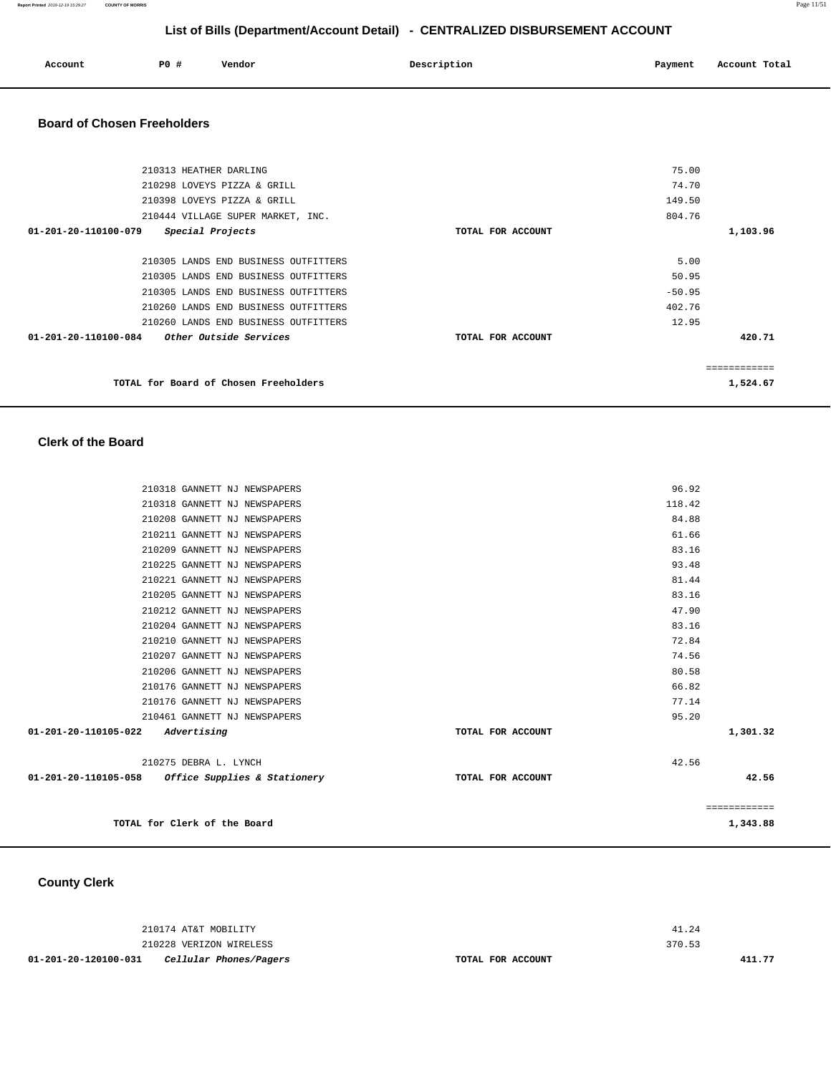**Report Printed** 2019-12-19 15:29:27 **COUNTY OF MORRIS** Page 11/51

## **List of Bills (Department/Account Detail) - CENTRALIZED DISBURSEMENT ACCOUNT**

| Account | <b>PO #</b> | Vendor | Description | Payment | Account Total |
|---------|-------------|--------|-------------|---------|---------------|
|         |             |        |             |         |               |

#### **Board of Chosen Freeholders**

| 210313 HEATHER DARLING                                |                   | 75.00    |             |
|-------------------------------------------------------|-------------------|----------|-------------|
| 210298 LOVEYS PIZZA & GRILL                           |                   | 74.70    |             |
| 210398 LOVEYS PIZZA & GRILL                           |                   | 149.50   |             |
| 210444 VILLAGE SUPER MARKET, INC.                     |                   | 804.76   |             |
| $01 - 201 - 20 - 110100 - 079$<br>Special Projects    | TOTAL FOR ACCOUNT |          | 1,103.96    |
|                                                       |                   |          |             |
| 210305 LANDS END BUSINESS OUTFITTERS                  |                   | 5.00     |             |
| 210305 LANDS END BUSINESS OUTFITTERS                  |                   | 50.95    |             |
| 210305 LANDS END BUSINESS OUTFITTERS                  |                   | $-50.95$ |             |
| 210260 LANDS END BUSINESS OUTFITTERS                  |                   | 402.76   |             |
| 210260 LANDS END BUSINESS OUTFITTERS                  |                   | 12.95    |             |
| 01-201-20-110100-084<br><i>Other Outside Services</i> | TOTAL FOR ACCOUNT |          | 420.71      |
|                                                       |                   |          |             |
|                                                       |                   |          | =========== |
| TOTAL for Board of Chosen Freeholders                 |                   |          | 1,524.67    |

**Clerk of the Board** 

|                                                   | TOTAL for Clerk of the Board |                   |        | 1,343.88     |
|---------------------------------------------------|------------------------------|-------------------|--------|--------------|
|                                                   |                              |                   |        | ============ |
| 01-201-20-110105-058 Office Supplies & Stationery |                              | TOTAL FOR ACCOUNT |        | 42.56        |
|                                                   | 210275 DEBRA L. LYNCH        |                   | 42.56  |              |
| 01-201-20-110105-022                              | Advertising                  | TOTAL FOR ACCOUNT |        | 1,301.32     |
|                                                   | 210461 GANNETT NJ NEWSPAPERS |                   | 95.20  |              |
|                                                   | 210176 GANNETT NJ NEWSPAPERS |                   | 77.14  |              |
|                                                   | 210176 GANNETT NJ NEWSPAPERS |                   | 66.82  |              |
|                                                   | 210206 GANNETT NJ NEWSPAPERS |                   | 80.58  |              |
|                                                   | 210207 GANNETT NJ NEWSPAPERS |                   | 74.56  |              |
|                                                   | 210210 GANNETT NJ NEWSPAPERS |                   | 72.84  |              |
|                                                   | 210204 GANNETT NJ NEWSPAPERS |                   | 83.16  |              |
|                                                   | 210212 GANNETT NJ NEWSPAPERS |                   | 47.90  |              |
|                                                   | 210205 GANNETT NJ NEWSPAPERS |                   | 83.16  |              |
|                                                   | 210221 GANNETT NJ NEWSPAPERS |                   | 81.44  |              |
|                                                   | 210225 GANNETT NJ NEWSPAPERS |                   | 93.48  |              |
|                                                   | 210209 GANNETT NJ NEWSPAPERS |                   | 83.16  |              |
|                                                   | 210211 GANNETT NJ NEWSPAPERS |                   | 61.66  |              |
|                                                   | 210208 GANNETT NJ NEWSPAPERS |                   | 84.88  |              |
|                                                   | 210318 GANNETT NJ NEWSPAPERS |                   | 118.42 |              |
|                                                   | 210318 GANNETT NJ NEWSPAPERS |                   | 96.92  |              |

**County Clerk** 

| 01-201-20-120100-031<br>Cellular Phones/Pagers | TOTAL FOR ACCOUNT | 411.77 |
|------------------------------------------------|-------------------|--------|
| 210228 VERIZON WIRELESS                        |                   | 370.53 |
| 210174 AT&T MOBILITY                           |                   | 41.24  |
|                                                |                   |        |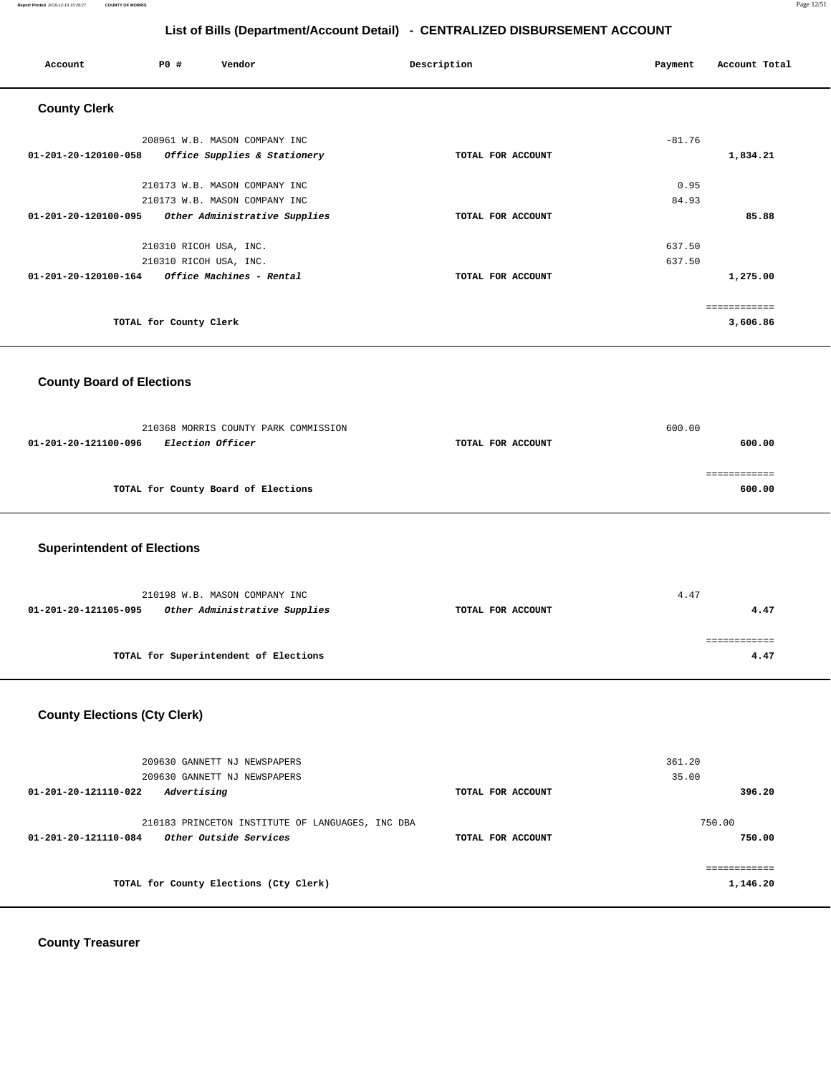**Report Printed** 2019-12-19 15:29:27 **COUNTY OF MORRIS** Page 12/51

## **List of Bills (Department/Account Detail) - CENTRALIZED DISBURSEMENT ACCOUNT**

| Account                                                  | PO#                    | Vendor                                                   | Description       | Payment  | Account Total          |
|----------------------------------------------------------|------------------------|----------------------------------------------------------|-------------------|----------|------------------------|
| <b>County Clerk</b>                                      |                        |                                                          |                   |          |                        |
|                                                          |                        | 208961 W.B. MASON COMPANY INC                            |                   | $-81.76$ |                        |
| 01-201-20-120100-058                                     |                        | Office Supplies & Stationery                             | TOTAL FOR ACCOUNT |          | 1,834.21               |
|                                                          |                        | 210173 W.B. MASON COMPANY INC                            |                   | 0.95     |                        |
|                                                          |                        | 210173 W.B. MASON COMPANY INC                            |                   | 84.93    |                        |
| 01-201-20-120100-095                                     |                        | Other Administrative Supplies                            | TOTAL FOR ACCOUNT |          | 85.88                  |
|                                                          |                        | 210310 RICOH USA, INC.                                   |                   | 637.50   |                        |
|                                                          |                        | 210310 RICOH USA, INC.                                   |                   | 637.50   |                        |
| 01-201-20-120100-164                                     |                        | Office Machines - Rental                                 | TOTAL FOR ACCOUNT |          | 1,275.00               |
|                                                          |                        |                                                          |                   |          | ============           |
|                                                          | TOTAL for County Clerk |                                                          |                   |          | 3,606.86               |
| <b>County Board of Elections</b><br>01-201-20-121100-096 |                        | 210368 MORRIS COUNTY PARK COMMISSION<br>Election Officer | TOTAL FOR ACCOUNT | 600.00   | 600.00                 |
|                                                          |                        | TOTAL for County Board of Elections                      |                   |          | ============<br>600.00 |
| <b>Superintendent of Elections</b>                       |                        |                                                          |                   |          |                        |
|                                                          |                        | 210198 W.B. MASON COMPANY INC                            |                   | 4.47     |                        |
| 01-201-20-121105-095                                     |                        | Other Administrative Supplies                            | TOTAL FOR ACCOUNT |          | 4.47                   |
|                                                          |                        |                                                          |                   |          | <b>EEEEEEEEEE</b>      |
|                                                          |                        | TOTAL for Superintendent of Elections                    |                   |          | 4.47                   |
|                                                          |                        |                                                          |                   |          |                        |

# **County Elections (Cty Clerk)**

| 209630 GANNETT NJ NEWSPAPERS<br>209630 GANNETT NJ NEWSPAPERS<br>Advertising<br>01-201-20-121110-022 | TOTAL FOR ACCOUNT | 361.20<br>35.00<br>396.20 |
|-----------------------------------------------------------------------------------------------------|-------------------|---------------------------|
|                                                                                                     |                   |                           |
| 210183 PRINCETON INSTITUTE OF LANGUAGES, INC DBA                                                    |                   | 750.00                    |
| <i>Other Outside Services</i><br>01-201-20-121110-084                                               | TOTAL FOR ACCOUNT | 750.00                    |
|                                                                                                     |                   |                           |
|                                                                                                     |                   | ==========                |
| TOTAL for County Elections (Cty Clerk)                                                              |                   | 1,146.20                  |
|                                                                                                     |                   |                           |

**County Treasurer**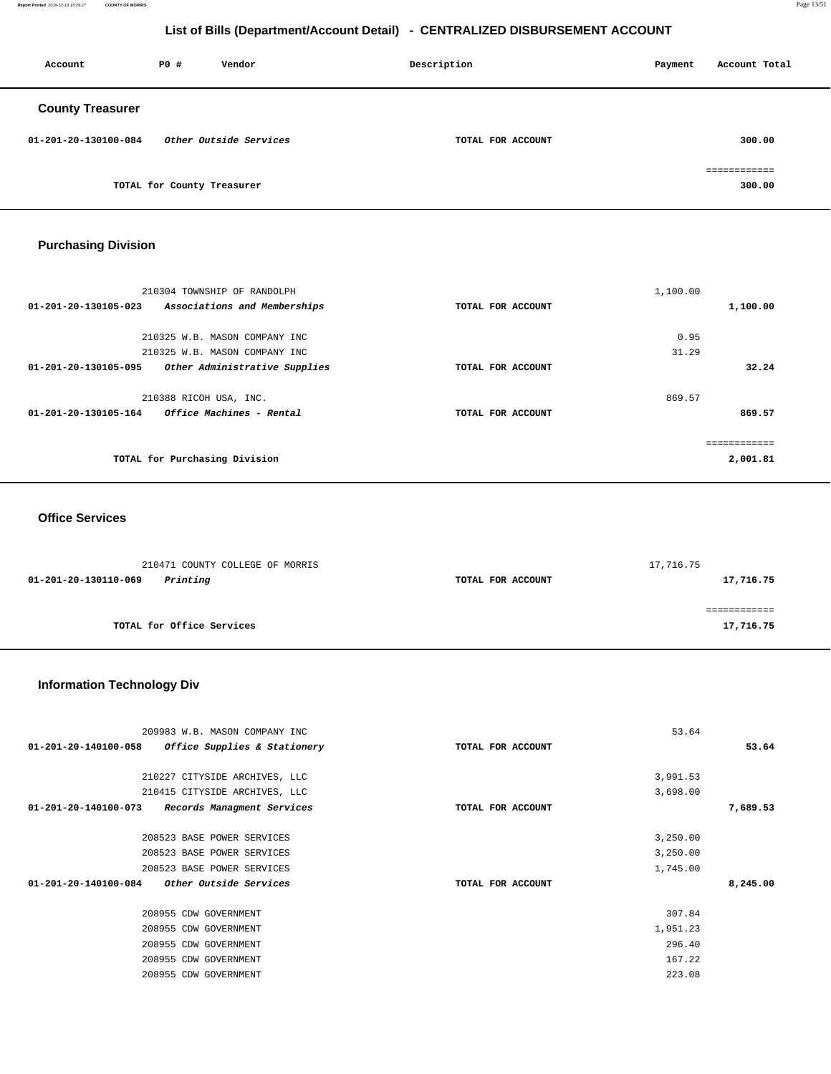**Report Printed** 2019-12-19 15:29:27 **COUNTY OF MORRIS** Page 13/51

## **List of Bills (Department/Account Detail) - CENTRALIZED DISBURSEMENT ACCOUNT**

| Account                 | PO#                        | Vendor                 | Description<br>Payment |  | Account Total          |
|-------------------------|----------------------------|------------------------|------------------------|--|------------------------|
| <b>County Treasurer</b> |                            |                        |                        |  |                        |
| 01-201-20-130100-084    |                            | Other Outside Services | TOTAL FOR ACCOUNT      |  | 300.00                 |
|                         | TOTAL for County Treasurer |                        |                        |  | ------------<br>300.00 |

# **Purchasing Division**

|                      | 210304 TOWNSHIP OF RANDOLPH   |                   | 1,100.00 |             |
|----------------------|-------------------------------|-------------------|----------|-------------|
| 01-201-20-130105-023 | Associations and Memberships  | TOTAL FOR ACCOUNT |          | 1,100.00    |
|                      |                               |                   |          |             |
|                      | 210325 W.B. MASON COMPANY INC |                   | 0.95     |             |
|                      | 210325 W.B. MASON COMPANY INC |                   | 31.29    |             |
| 01-201-20-130105-095 | Other Administrative Supplies | TOTAL FOR ACCOUNT |          | 32.24       |
|                      | 210388 RICOH USA, INC.        |                   | 869.57   |             |
| 01-201-20-130105-164 | Office Machines - Rental      | TOTAL FOR ACCOUNT |          | 869.57      |
|                      |                               |                   |          | =========== |
|                      | TOTAL for Purchasing Division |                   |          | 2,001.81    |
|                      |                               |                   |          |             |

#### **Office Services**

| 210471 COUNTY COLLEGE OF MORRIS  |                   | 17,716.75 |
|----------------------------------|-------------------|-----------|
| Printing<br>01-201-20-130110-069 | TOTAL FOR ACCOUNT | 17,716.75 |
|                                  |                   |           |
|                                  |                   |           |
| TOTAL for Office Services        |                   | 17,716.75 |

## **Information Technology Div**

|                      | 209983 W.B. MASON COMPANY INC |                   | 53.64    |          |
|----------------------|-------------------------------|-------------------|----------|----------|
| 01-201-20-140100-058 | Office Supplies & Stationery  | TOTAL FOR ACCOUNT |          | 53.64    |
|                      |                               |                   |          |          |
|                      | 210227 CITYSIDE ARCHIVES, LLC |                   | 3,991.53 |          |
|                      | 210415 CITYSIDE ARCHIVES, LLC |                   | 3,698.00 |          |
| 01-201-20-140100-073 | Records Managment Services    | TOTAL FOR ACCOUNT |          | 7,689.53 |
|                      |                               |                   |          |          |
|                      | 208523 BASE POWER SERVICES    |                   | 3,250.00 |          |
|                      | 208523 BASE POWER SERVICES    |                   | 3,250.00 |          |
|                      | 208523 BASE POWER SERVICES    |                   | 1,745.00 |          |
| 01-201-20-140100-084 | Other Outside Services        | TOTAL FOR ACCOUNT |          | 8,245.00 |
|                      |                               |                   |          |          |
|                      | 208955 CDW GOVERNMENT         |                   | 307.84   |          |
|                      | 208955 CDW GOVERNMENT         |                   | 1,951.23 |          |
|                      | 208955 CDW GOVERNMENT         |                   | 296.40   |          |
|                      | 208955 CDW GOVERNMENT         |                   | 167.22   |          |
|                      | 208955 CDW GOVERNMENT         |                   | 223.08   |          |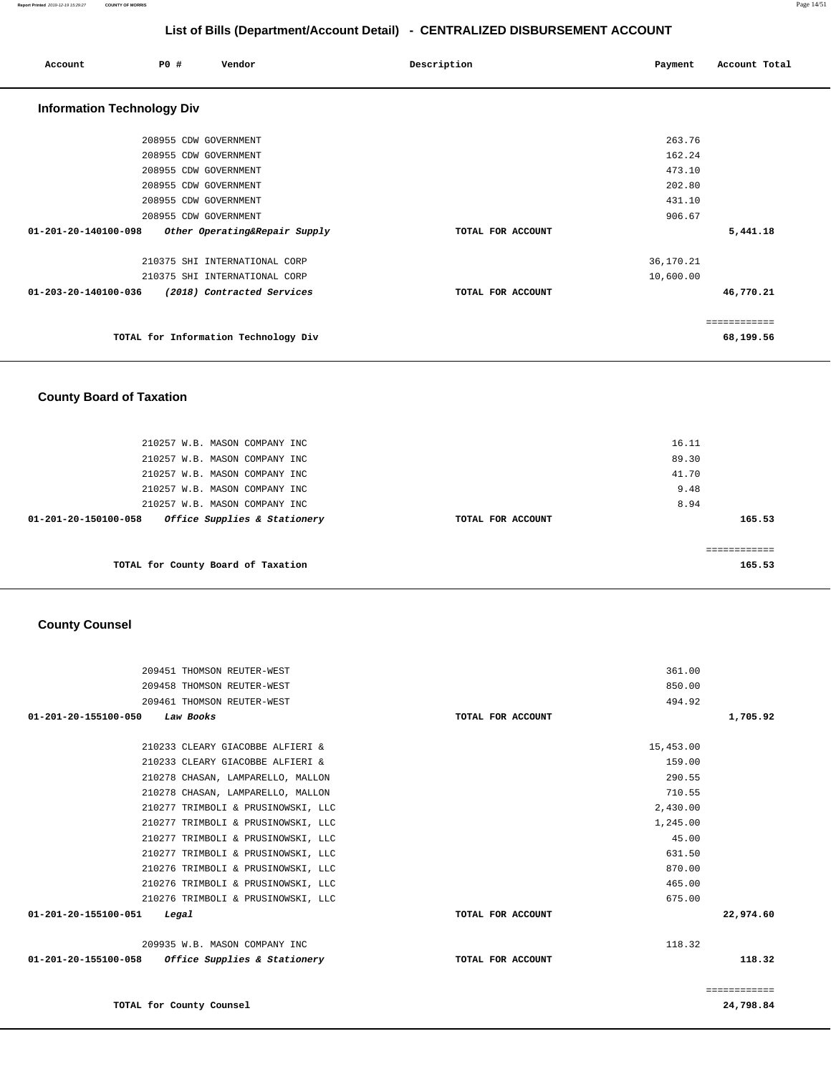| Account                           | PO# | Vendor                               | Description       | Payment   | Account Total |
|-----------------------------------|-----|--------------------------------------|-------------------|-----------|---------------|
| <b>Information Technology Div</b> |     |                                      |                   |           |               |
|                                   |     | 208955 CDW GOVERNMENT                |                   | 263.76    |               |
|                                   |     | 208955 CDW GOVERNMENT                |                   | 162.24    |               |
|                                   |     | 208955 CDW GOVERNMENT                |                   | 473.10    |               |
|                                   |     | 208955 CDW GOVERNMENT                |                   | 202.80    |               |
|                                   |     | 208955 CDW GOVERNMENT                |                   | 431.10    |               |
|                                   |     | 208955 CDW GOVERNMENT                |                   | 906.67    |               |
| $01 - 201 - 20 - 140100 - 098$    |     | Other Operating&Repair Supply        | TOTAL FOR ACCOUNT |           | 5,441.18      |
|                                   |     | 210375 SHI INTERNATIONAL CORP        |                   | 36,170.21 |               |
|                                   |     | 210375 SHI INTERNATIONAL CORP        |                   | 10,600.00 |               |
| 01-203-20-140100-036              |     | (2018) Contracted Services           | TOTAL FOR ACCOUNT |           | 46,770.21     |
|                                   |     |                                      |                   |           | ============  |
|                                   |     | TOTAL for Information Technology Div |                   |           | 68,199.56     |

## **County Board of Taxation**

| 210257 W.B. MASON COMPANY INC<br>210257 W.B. MASON COMPANY INC |                   | 16.11<br>89.30 |
|----------------------------------------------------------------|-------------------|----------------|
| 210257 W.B. MASON COMPANY INC                                  |                   | 41.70          |
| 210257 W.B. MASON COMPANY INC<br>210257 W.B. MASON COMPANY INC |                   | 9.48<br>8.94   |
| Office Supplies & Stationery<br>01-201-20-150100-058           | TOTAL FOR ACCOUNT | 165.53         |
|                                                                |                   |                |
| TOTAL for County Board of Taxation                             |                   | 165.53         |

### **County Counsel**

| 209451 THOMSON REUTER-WEST                        |                   | 361.00    |              |
|---------------------------------------------------|-------------------|-----------|--------------|
| 209458 THOMSON REUTER-WEST                        |                   | 850.00    |              |
| 209461 THOMSON REUTER-WEST                        |                   | 494.92    |              |
| $01 - 201 - 20 - 155100 - 050$<br>Law Books       | TOTAL FOR ACCOUNT |           | 1,705.92     |
|                                                   |                   |           |              |
| 210233 CLEARY GIACOBBE ALFIERI &                  |                   | 15,453.00 |              |
| 210233 CLEARY GIACOBBE ALFIERI &                  |                   | 159.00    |              |
| 210278 CHASAN, LAMPARELLO, MALLON                 |                   | 290.55    |              |
| 210278 CHASAN, LAMPARELLO, MALLON                 |                   | 710.55    |              |
| 210277 TRIMBOLI & PRUSINOWSKI, LLC                |                   | 2,430.00  |              |
| 210277 TRIMBOLI & PRUSINOWSKI, LLC                |                   | 1,245.00  |              |
| 210277 TRIMBOLI & PRUSINOWSKI, LLC                |                   | 45.00     |              |
| 210277 TRIMBOLI & PRUSINOWSKI, LLC                |                   | 631.50    |              |
| 210276 TRIMBOLI & PRUSINOWSKI, LLC                |                   | 870.00    |              |
| 210276 TRIMBOLI & PRUSINOWSKI, LLC                |                   | 465.00    |              |
| 210276 TRIMBOLI & PRUSINOWSKI, LLC                |                   | 675.00    |              |
| 01-201-20-155100-051<br>Legal                     | TOTAL FOR ACCOUNT |           | 22,974.60    |
| 209935 W.B. MASON COMPANY INC                     |                   | 118.32    |              |
| 01-201-20-155100-058 Office Supplies & Stationery | TOTAL FOR ACCOUNT |           | 118.32       |
|                                                   |                   |           | ============ |
| TOTAL for County Counsel                          |                   |           | 24,798.84    |

**24,798.84**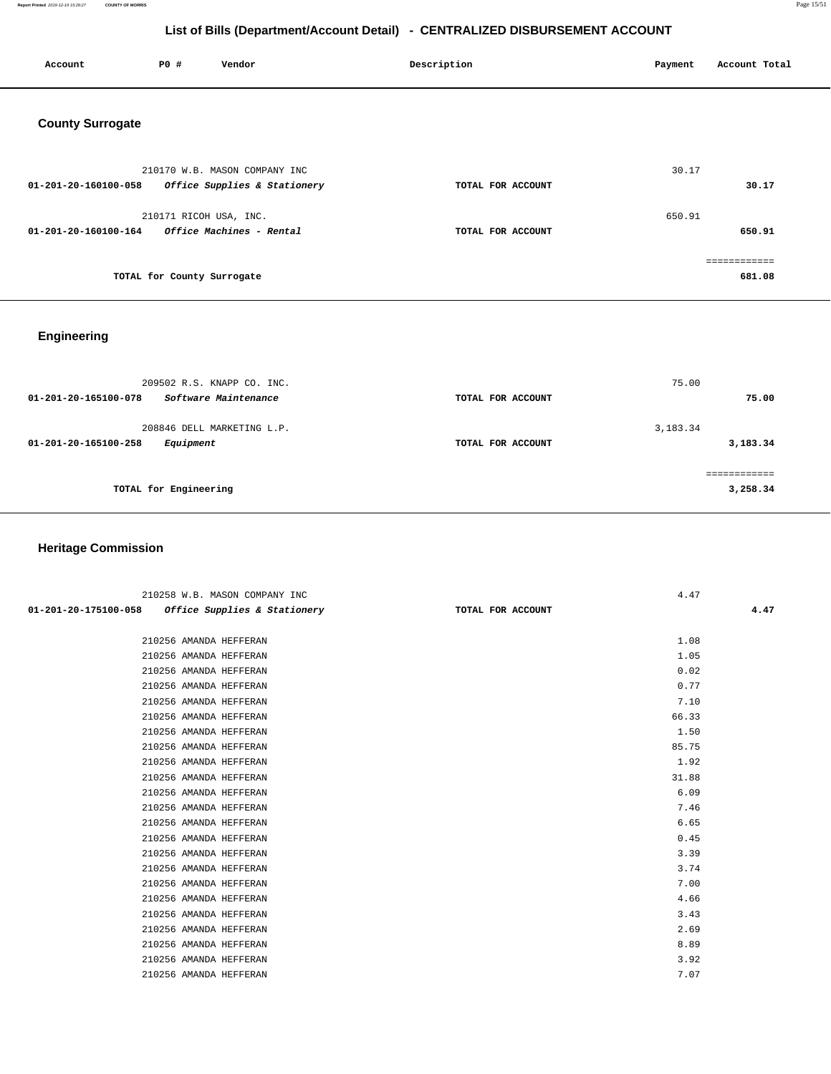**Report Printed** 2019-12-19 15:29:27 **COUNTY OF MORRIS** Page 15/51

# **List of Bills (Department/Account Detail) - CENTRALIZED DISBURSEMENT ACCOUNT**

| Account                 | <b>PO #</b>                | Vendor                        | Description       | Payment | Account Total |
|-------------------------|----------------------------|-------------------------------|-------------------|---------|---------------|
| <b>County Surrogate</b> |                            |                               |                   |         |               |
|                         |                            | 210170 W.B. MASON COMPANY INC |                   | 30.17   |               |
| 01-201-20-160100-058    |                            | Office Supplies & Stationery  | TOTAL FOR ACCOUNT |         | 30.17         |
|                         | 210171 RICOH USA, INC.     |                               |                   | 650.91  |               |
| 01-201-20-160100-164    |                            | Office Machines - Rental      | TOTAL FOR ACCOUNT |         | 650.91        |
|                         |                            |                               |                   |         | ============  |
|                         | TOTAL for County Surrogate |                               |                   |         | 681.08        |

# **Engineering**

| 209502 R.S. KNAPP CO. INC.<br>Software Maintenance<br>01-201-20-165100-078 | TOTAL FOR ACCOUNT | 75.00<br>75.00       |
|----------------------------------------------------------------------------|-------------------|----------------------|
| 208846 DELL MARKETING L.P.<br>01-201-20-165100-258<br>Equipment            | TOTAL FOR ACCOUNT | 3,183.34<br>3,183.34 |
| TOTAL for Engineering                                                      |                   | 3,258.34             |

# **Heritage Commission**

|                      |                        | 210258 W.B. MASON COMPANY INC           |                   | 4.47  |
|----------------------|------------------------|-----------------------------------------|-------------------|-------|
| 01-201-20-175100-058 |                        | <i>Office Supplies &amp; Stationery</i> | TOTAL FOR ACCOUNT | 4.47  |
|                      |                        |                                         |                   |       |
|                      | 210256 AMANDA HEFFERAN |                                         |                   | 1.08  |
|                      | 210256 AMANDA HEFFERAN |                                         |                   | 1.05  |
|                      | 210256 AMANDA HEFFERAN |                                         |                   | 0.02  |
|                      | 210256 AMANDA HEFFERAN |                                         |                   | 0.77  |
|                      | 210256 AMANDA HEFFERAN |                                         |                   | 7.10  |
|                      | 210256 AMANDA HEFFERAN |                                         |                   | 66.33 |
|                      | 210256 AMANDA HEFFERAN |                                         |                   | 1.50  |
|                      | 210256 AMANDA HEFFERAN |                                         |                   | 85.75 |
|                      | 210256 AMANDA HEFFERAN |                                         |                   | 1.92  |
|                      | 210256 AMANDA HEFFERAN |                                         |                   | 31.88 |
|                      | 210256 AMANDA HEFFERAN |                                         |                   | 6.09  |
|                      | 210256 AMANDA HEFFERAN |                                         |                   | 7.46  |
|                      | 210256 AMANDA HEFFERAN |                                         |                   | 6.65  |
|                      | 210256 AMANDA HEFFERAN |                                         |                   | 0.45  |
|                      | 210256 AMANDA HEFFERAN |                                         |                   | 3.39  |
|                      | 210256 AMANDA HEFFERAN |                                         |                   | 3.74  |
|                      | 210256 AMANDA HEFFERAN |                                         |                   | 7.00  |
|                      | 210256 AMANDA HEFFERAN |                                         |                   | 4.66  |
|                      | 210256 AMANDA HEFFERAN |                                         |                   | 3.43  |
|                      | 210256 AMANDA HEFFERAN |                                         |                   | 2.69  |
|                      | 210256 AMANDA HEFFERAN |                                         |                   | 8.89  |
|                      | 210256 AMANDA HEFFERAN |                                         |                   | 3.92  |
|                      | 210256 AMANDA HEFFERAN |                                         |                   | 7.07  |
|                      |                        |                                         |                   |       |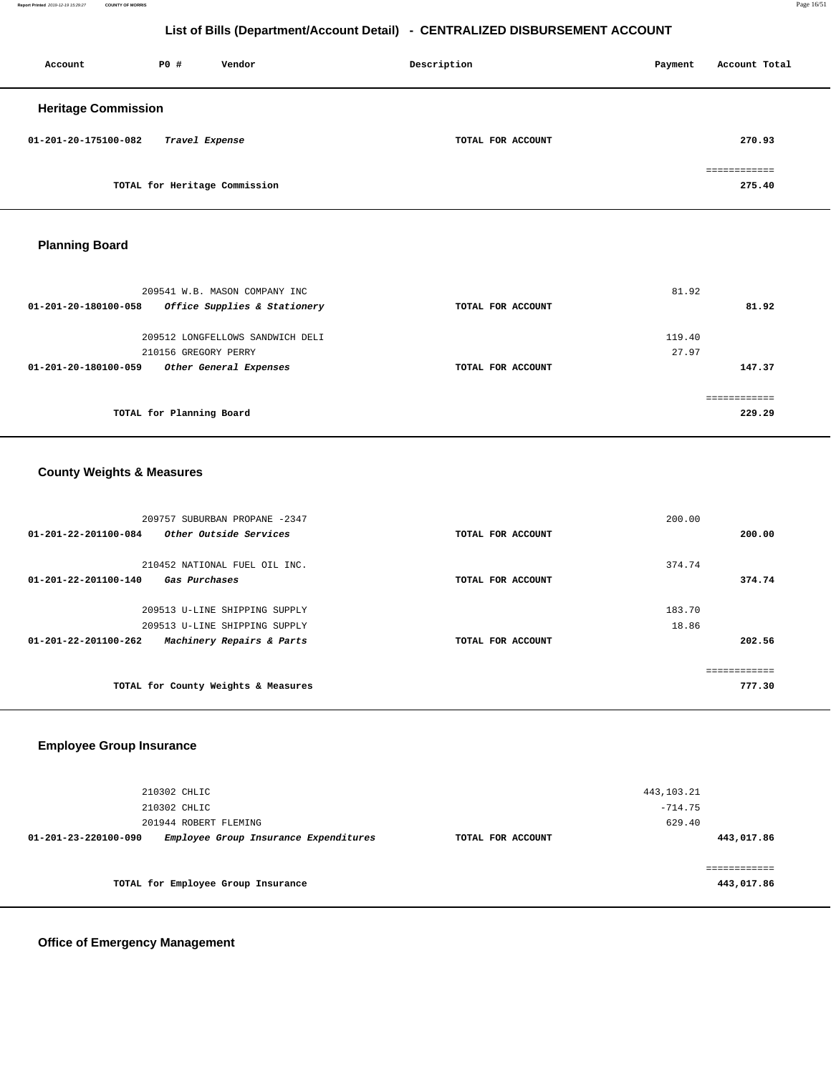**Report Printed** 2019-12-19 15:29:27 **COUNTY OF MORRIS** Page 16/51

## **List of Bills (Department/Account Detail) - CENTRALIZED DISBURSEMENT ACCOUNT**

| Account                    | PO# | Vendor                        | Description       | Payment | Account Total          |
|----------------------------|-----|-------------------------------|-------------------|---------|------------------------|
| <b>Heritage Commission</b> |     |                               |                   |         |                        |
| 01-201-20-175100-082       |     | Travel Expense                | TOTAL FOR ACCOUNT |         | 270.93                 |
|                            |     | TOTAL for Heritage Commission |                   |         | ============<br>275.40 |

# **Planning Board**

| 209541 W.B. MASON COMPANY INC                        |                   | 81.92  |
|------------------------------------------------------|-------------------|--------|
| Office Supplies & Stationery<br>01-201-20-180100-058 | TOTAL FOR ACCOUNT | 81.92  |
| 209512 LONGFELLOWS SANDWICH DELI                     |                   | 119.40 |
| 210156 GREGORY PERRY                                 |                   | 27.97  |
| 01-201-20-180100-059<br>Other General Expenses       | TOTAL FOR ACCOUNT | 147.37 |
|                                                      |                   |        |
| TOTAL for Planning Board                             |                   | 229.29 |

# **County Weights & Measures**

| 209757 SUBURBAN PROPANE -2347                     |                   | 200.00 |
|---------------------------------------------------|-------------------|--------|
| Other Outside Services<br>01-201-22-201100-084    | TOTAL FOR ACCOUNT | 200.00 |
|                                                   |                   |        |
| 210452 NATIONAL FUEL OIL INC.                     |                   | 374.74 |
| 01-201-22-201100-140<br>Gas Purchases             | TOTAL FOR ACCOUNT | 374.74 |
|                                                   |                   |        |
| 209513 U-LINE SHIPPING SUPPLY                     |                   | 183.70 |
| 209513 U-LINE SHIPPING SUPPLY                     |                   | 18.86  |
| Machinery Repairs & Parts<br>01-201-22-201100-262 | TOTAL FOR ACCOUNT | 202.56 |
|                                                   |                   |        |
|                                                   |                   |        |
| TOTAL for County Weights & Measures               |                   | 777.30 |

## **Employee Group Insurance**

| 210302 CHLIC<br>210302 CHLIC                                  |                   | 443, 103. 21<br>$-714.75$ |
|---------------------------------------------------------------|-------------------|---------------------------|
| 201944 ROBERT FLEMING                                         |                   | 629.40                    |
| Employee Group Insurance Expenditures<br>01-201-23-220100-090 | TOTAL FOR ACCOUNT | 443,017.86                |
|                                                               |                   |                           |
| TOTAL for Employee Group Insurance                            |                   | 443,017.86                |

### **Office of Emergency Management**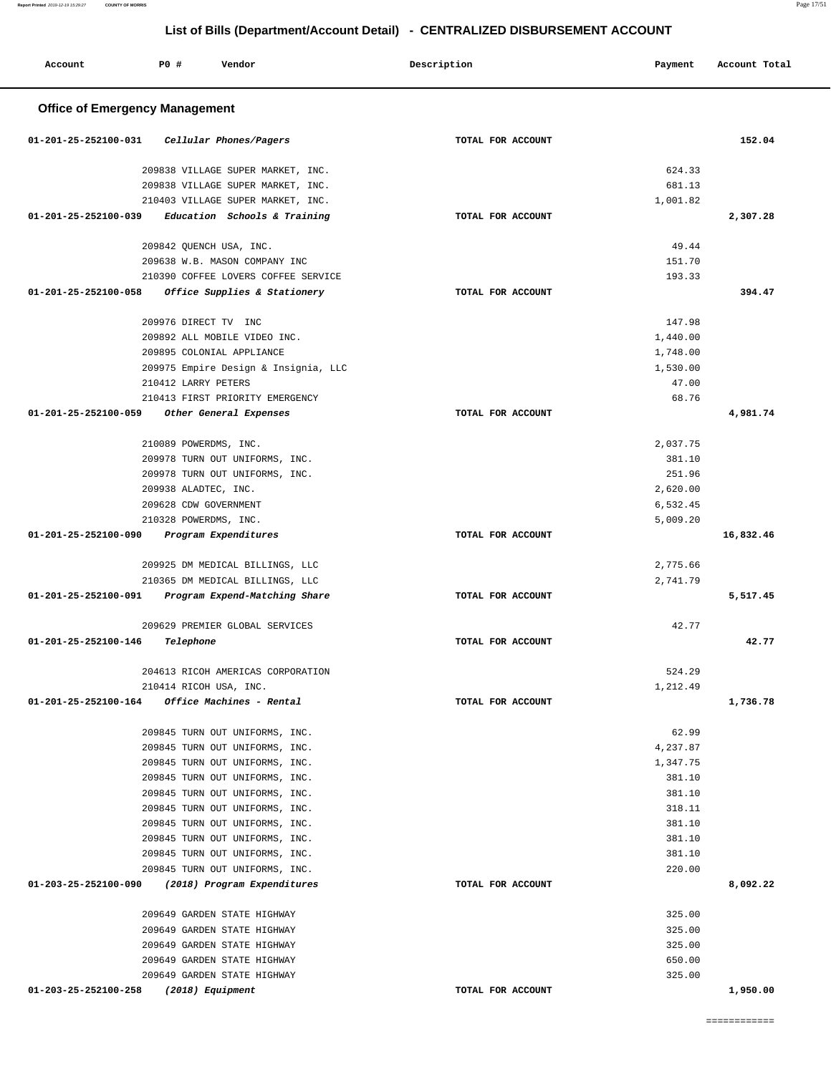| Account                               | <b>PO #</b>                                   | Vendor                               | Description       | Payment            | Account Total |  |  |
|---------------------------------------|-----------------------------------------------|--------------------------------------|-------------------|--------------------|---------------|--|--|
| <b>Office of Emergency Management</b> |                                               |                                      |                   |                    |               |  |  |
| 01-201-25-252100-031                  |                                               | Cellular Phones/Pagers               | TOTAL FOR ACCOUNT |                    | 152.04        |  |  |
|                                       |                                               | 209838 VILLAGE SUPER MARKET, INC.    |                   | 624.33             |               |  |  |
|                                       |                                               | 209838 VILLAGE SUPER MARKET, INC.    |                   | 681.13             |               |  |  |
|                                       |                                               | 210403 VILLAGE SUPER MARKET, INC.    |                   | 1,001.82           |               |  |  |
| $01 - 201 - 25 - 252100 - 039$        |                                               | Education Schools & Training         | TOTAL FOR ACCOUNT |                    | 2,307.28      |  |  |
|                                       |                                               |                                      |                   |                    |               |  |  |
|                                       |                                               | 209842 QUENCH USA, INC.              |                   | 49.44              |               |  |  |
|                                       |                                               | 209638 W.B. MASON COMPANY INC        |                   | 151.70             |               |  |  |
|                                       |                                               | 210390 COFFEE LOVERS COFFEE SERVICE  |                   | 193.33             |               |  |  |
| 01-201-25-252100-058                  |                                               | Office Supplies & Stationery         | TOTAL FOR ACCOUNT |                    | 394.47        |  |  |
|                                       | 209976 DIRECT TV INC                          |                                      |                   | 147.98             |               |  |  |
|                                       |                                               | 209892 ALL MOBILE VIDEO INC.         |                   | 1,440.00           |               |  |  |
|                                       |                                               | 209895 COLONIAL APPLIANCE            |                   | 1,748.00           |               |  |  |
|                                       |                                               | 209975 Empire Design & Insignia, LLC |                   | 1,530.00           |               |  |  |
|                                       | 210412 LARRY PETERS                           |                                      |                   | 47.00              |               |  |  |
|                                       |                                               | 210413 FIRST PRIORITY EMERGENCY      |                   | 68.76              |               |  |  |
| 01-201-25-252100-059                  |                                               | Other General Expenses               | TOTAL FOR ACCOUNT |                    | 4,981.74      |  |  |
|                                       |                                               |                                      |                   |                    |               |  |  |
|                                       | 210089 POWERDMS, INC.                         |                                      |                   | 2,037.75           |               |  |  |
|                                       |                                               | 209978 TURN OUT UNIFORMS, INC.       |                   | 381.10             |               |  |  |
|                                       |                                               | 209978 TURN OUT UNIFORMS, INC.       |                   | 251.96<br>2,620.00 |               |  |  |
|                                       | 209938 ALADTEC, INC.<br>209628 CDW GOVERNMENT |                                      |                   | 6,532.45           |               |  |  |
|                                       | 210328 POWERDMS, INC.                         |                                      |                   | 5,009.20           |               |  |  |
| 01-201-25-252100-090                  |                                               | Program Expenditures                 | TOTAL FOR ACCOUNT |                    | 16,832.46     |  |  |
|                                       |                                               |                                      |                   |                    |               |  |  |
|                                       |                                               | 209925 DM MEDICAL BILLINGS, LLC      |                   | 2,775.66           |               |  |  |
|                                       |                                               | 210365 DM MEDICAL BILLINGS, LLC      |                   | 2,741.79           |               |  |  |
| 01-201-25-252100-091                  |                                               | Program Expend-Matching Share        | TOTAL FOR ACCOUNT |                    | 5,517.45      |  |  |
|                                       |                                               | 209629 PREMIER GLOBAL SERVICES       |                   | 42.77              |               |  |  |
| 01-201-25-252100-146                  | Telephone                                     |                                      | TOTAL FOR ACCOUNT |                    | 42.77         |  |  |
|                                       |                                               |                                      |                   |                    |               |  |  |
|                                       |                                               | 204613 RICOH AMERICAS CORPORATION    |                   | 524.29             |               |  |  |
|                                       | 210414 RICOH USA, INC.                        |                                      |                   | 1,212.49           |               |  |  |
| 01-201-25-252100-164                  |                                               | <i>Office Machines - Rental</i>      | TOTAL FOR ACCOUNT |                    | 1,736.78      |  |  |
|                                       |                                               | 209845 TURN OUT UNIFORMS, INC.       |                   | 62.99              |               |  |  |
|                                       |                                               | 209845 TURN OUT UNIFORMS, INC.       |                   | 4,237.87           |               |  |  |
|                                       |                                               | 209845 TURN OUT UNIFORMS, INC.       |                   | 1,347.75           |               |  |  |
|                                       |                                               | 209845 TURN OUT UNIFORMS, INC.       |                   | 381.10             |               |  |  |
|                                       |                                               | 209845 TURN OUT UNIFORMS, INC.       |                   | 381.10             |               |  |  |
|                                       |                                               | 209845 TURN OUT UNIFORMS, INC.       |                   | 318.11             |               |  |  |
|                                       |                                               | 209845 TURN OUT UNIFORMS, INC.       |                   | 381.10             |               |  |  |
|                                       |                                               | 209845 TURN OUT UNIFORMS, INC.       |                   | 381.10             |               |  |  |
|                                       |                                               | 209845 TURN OUT UNIFORMS, INC.       |                   | 381.10             |               |  |  |
|                                       |                                               | 209845 TURN OUT UNIFORMS, INC.       |                   | 220.00             |               |  |  |
| 01-203-25-252100-090                  |                                               | (2018) Program Expenditures          | TOTAL FOR ACCOUNT |                    | 8,092.22      |  |  |
|                                       |                                               | 209649 GARDEN STATE HIGHWAY          |                   | 325.00             |               |  |  |
|                                       |                                               | 209649 GARDEN STATE HIGHWAY          |                   | 325.00             |               |  |  |
|                                       |                                               | 209649 GARDEN STATE HIGHWAY          |                   | 325.00             |               |  |  |
|                                       |                                               | 209649 GARDEN STATE HIGHWAY          |                   | 650.00             |               |  |  |
|                                       |                                               | 209649 GARDEN STATE HIGHWAY          |                   | 325.00             |               |  |  |
| 01-203-25-252100-258                  |                                               | (2018) Equipment                     | TOTAL FOR ACCOUNT |                    | 1,950.00      |  |  |
|                                       |                                               |                                      |                   |                    |               |  |  |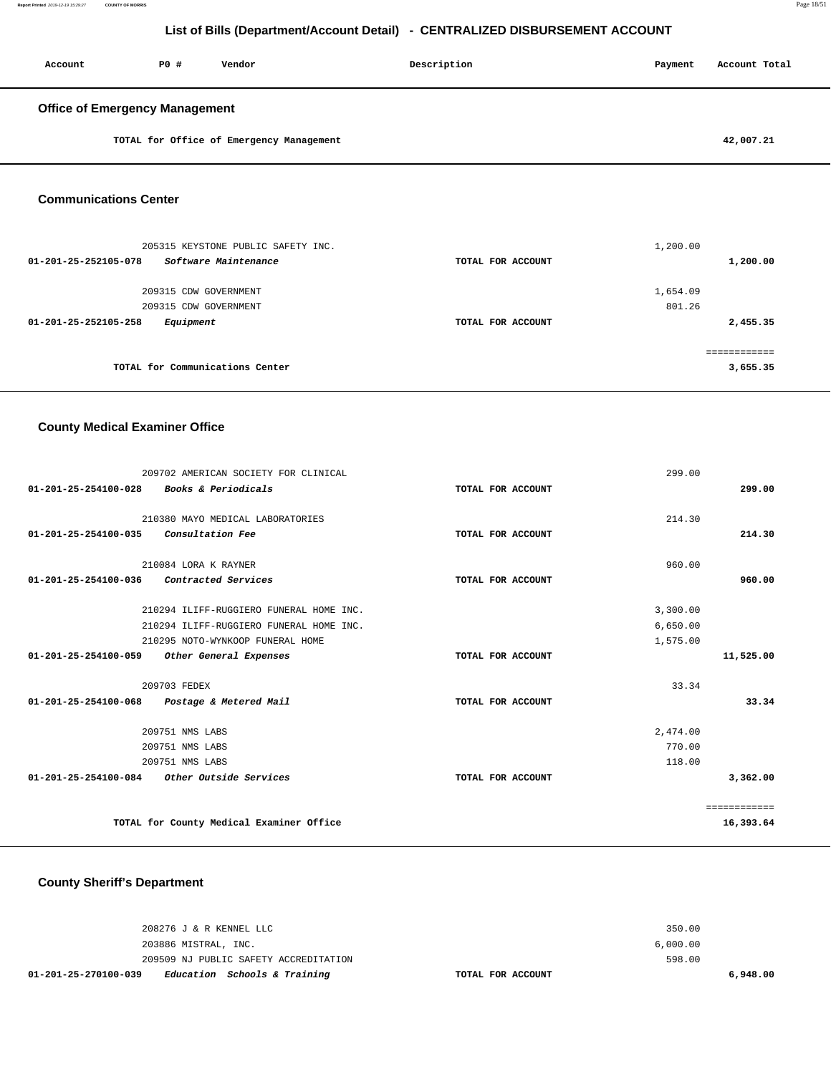| Account                               | PO# | Vendor                                   | Description | Payment | Account Total |
|---------------------------------------|-----|------------------------------------------|-------------|---------|---------------|
| <b>Office of Emergency Management</b> |     |                                          |             |         |               |
|                                       |     | TOTAL for Office of Emergency Management |             |         | 42,007.21     |

#### **Communications Center**

| 205315 KEYSTONE PUBLIC SAFETY INC.           |                   | 1,200.00 |
|----------------------------------------------|-------------------|----------|
| Software Maintenance<br>01-201-25-252105-078 | TOTAL FOR ACCOUNT | 1,200.00 |
|                                              |                   |          |
| 209315 CDW GOVERNMENT                        |                   | 1,654.09 |
| 209315 CDW GOVERNMENT                        |                   | 801.26   |
| Equipment<br>01-201-25-252105-258            | TOTAL FOR ACCOUNT | 2,455.35 |
|                                              |                   |          |
| TOTAL for Communications Center              |                   | 3,655.35 |

### **County Medical Examiner Office**

| 209702 AMERICAN SOCIETY FOR CLINICAL                     |                   | 299.00       |
|----------------------------------------------------------|-------------------|--------------|
| <i>Books &amp; Periodicals</i><br>01-201-25-254100-028   | TOTAL FOR ACCOUNT | 299.00       |
|                                                          |                   |              |
| 210380 MAYO MEDICAL LABORATORIES                         |                   | 214.30       |
| Consultation Fee<br>$01 - 201 - 25 - 254100 - 035$       | TOTAL FOR ACCOUNT | 214.30       |
| 210084 LORA K RAYNER                                     |                   | 960.00       |
| 01-201-25-254100-036<br>Contracted Services              | TOTAL FOR ACCOUNT | 960.00       |
|                                                          |                   |              |
| 210294 ILIFF-RUGGIERO FUNERAL HOME INC.                  |                   | 3,300.00     |
| 210294 ILIFF-RUGGIERO FUNERAL HOME INC.                  |                   | 6,650.00     |
| 210295 NOTO-WYNKOOP FUNERAL HOME                         |                   | 1,575.00     |
| $01 - 201 - 25 - 254100 - 059$<br>Other General Expenses | TOTAL FOR ACCOUNT | 11,525.00    |
| 209703 FEDEX                                             |                   | 33.34        |
| 01-201-25-254100-068<br>Postage & Metered Mail           | TOTAL FOR ACCOUNT | 33.34        |
|                                                          |                   |              |
| 209751 NMS LABS                                          |                   | 2,474.00     |
| 209751 NMS LABS                                          |                   | 770.00       |
| 209751 NMS LABS                                          |                   | 118.00       |
| 01-201-25-254100-084<br><i>Other Outside Services</i>    | TOTAL FOR ACCOUNT | 3,362.00     |
|                                                          |                   | ============ |
| TOTAL for County Medical Examiner Office                 |                   | 16,393.64    |
|                                                          |                   |              |

### **County Sheriff's Department**

| 01-201-25-270100-039 |                         | Education Schools & Training          | TOTAL FOR ACCOUNT |          | 6,948.00 |
|----------------------|-------------------------|---------------------------------------|-------------------|----------|----------|
|                      |                         | 209509 NJ PUBLIC SAFETY ACCREDITATION |                   | 598.00   |          |
|                      | 203886 MISTRAL, INC.    |                                       |                   | 6.000.00 |          |
|                      | 208276 J & R KENNEL LLC |                                       |                   | 350.00   |          |
|                      |                         |                                       |                   |          |          |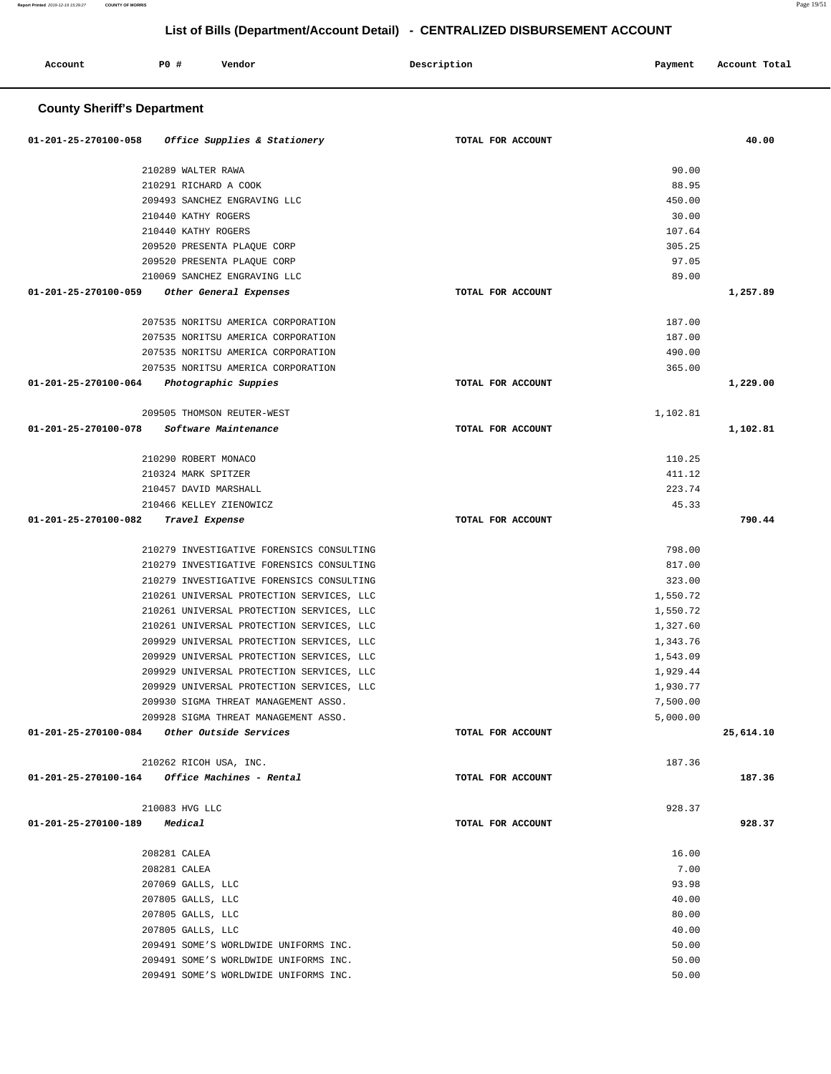| Account<br>. | PO# | Vendor | Description | Payment | Account Total<br>. |
|--------------|-----|--------|-------------|---------|--------------------|
|              |     |        |             |         |                    |

### **County Sheriff's Department**

| Office Supplies & Stationery<br>01-201-25-270100-058    | TOTAL FOR ACCOUNT | 40.00            |
|---------------------------------------------------------|-------------------|------------------|
| 210289 WALTER RAWA                                      |                   | 90.00            |
| 210291 RICHARD A COOK                                   |                   | 88.95            |
| 209493 SANCHEZ ENGRAVING LLC                            |                   | 450.00           |
| 210440 KATHY ROGERS                                     |                   | 30.00            |
| 210440 KATHY ROGERS                                     |                   | 107.64           |
| 209520 PRESENTA PLAQUE CORP                             |                   | 305.25           |
| 209520 PRESENTA PLAQUE CORP                             |                   | 97.05            |
| 210069 SANCHEZ ENGRAVING LLC                            |                   | 89.00            |
| 01-201-25-270100-059<br>Other General Expenses          | TOTAL FOR ACCOUNT | 1,257.89         |
|                                                         |                   |                  |
| 207535 NORITSU AMERICA CORPORATION                      |                   | 187.00           |
| 207535 NORITSU AMERICA CORPORATION                      |                   | 187.00           |
| 207535 NORITSU AMERICA CORPORATION                      |                   | 490.00           |
| 207535 NORITSU AMERICA CORPORATION                      |                   | 365.00           |
| 01-201-25-270100-064<br>Photographic Suppies            | TOTAL FOR ACCOUNT | 1,229.00         |
| 209505 THOMSON REUTER-WEST                              |                   | 1,102.81         |
| 01-201-25-270100-078<br>Software Maintenance            | TOTAL FOR ACCOUNT | 1,102.81         |
| 210290 ROBERT MONACO                                    |                   | 110.25           |
|                                                         |                   |                  |
| 210324 MARK SPITZER<br>210457 DAVID MARSHALL            |                   | 411.12<br>223.74 |
| 210466 KELLEY ZIENOWICZ                                 |                   | 45.33            |
| 01-201-25-270100-082<br>Travel Expense                  | TOTAL FOR ACCOUNT | 790.44           |
|                                                         |                   |                  |
| 210279 INVESTIGATIVE FORENSICS CONSULTING               |                   | 798.00           |
| 210279 INVESTIGATIVE FORENSICS CONSULTING               |                   | 817.00           |
| 210279 INVESTIGATIVE FORENSICS CONSULTING               |                   | 323.00           |
| 210261 UNIVERSAL PROTECTION SERVICES, LLC               |                   | 1,550.72         |
| 210261 UNIVERSAL PROTECTION SERVICES, LLC               |                   | 1,550.72         |
| 210261 UNIVERSAL PROTECTION SERVICES, LLC               |                   | 1,327.60         |
| 209929 UNIVERSAL PROTECTION SERVICES, LLC               |                   | 1,343.76         |
| 209929 UNIVERSAL PROTECTION SERVICES, LLC               |                   | 1,543.09         |
| 209929 UNIVERSAL PROTECTION SERVICES, LLC               |                   | 1,929.44         |
| 209929 UNIVERSAL PROTECTION SERVICES, LLC               |                   | 1,930.77         |
| 209930 SIGMA THREAT MANAGEMENT ASSO.                    |                   | 7,500.00         |
| 209928 SIGMA THREAT MANAGEMENT ASSO.                    |                   | 5,000.00         |
| 01-201-25-270100-084<br>Other Outside Services          | TOTAL FOR ACCOUNT | 25,614.10        |
| 210262 RICOH USA, INC.                                  |                   | 187.36           |
| $01 - 201 - 25 - 270100 - 164$ Office Machines - Rental | TOTAL FOR ACCOUNT | 187.36           |
|                                                         |                   | 928.37           |
| 210083 HVG LLC                                          |                   | 928.37           |
| 01-201-25-270100-189<br>Medical                         | TOTAL FOR ACCOUNT |                  |
| 208281 CALEA                                            |                   | 16.00            |
| 208281 CALEA                                            |                   | 7.00             |
| 207069 GALLS, LLC                                       |                   | 93.98            |
| 207805 GALLS, LLC                                       |                   | 40.00            |
| 207805 GALLS, LLC                                       |                   | 80.00            |
| 207805 GALLS, LLC                                       |                   | 40.00            |
| 209491 SOME'S WORLDWIDE UNIFORMS INC.                   |                   | 50.00            |
| 209491 SOME'S WORLDWIDE UNIFORMS INC.                   |                   | 50.00            |
| 209491 SOME'S WORLDWIDE UNIFORMS INC.                   |                   | 50.00            |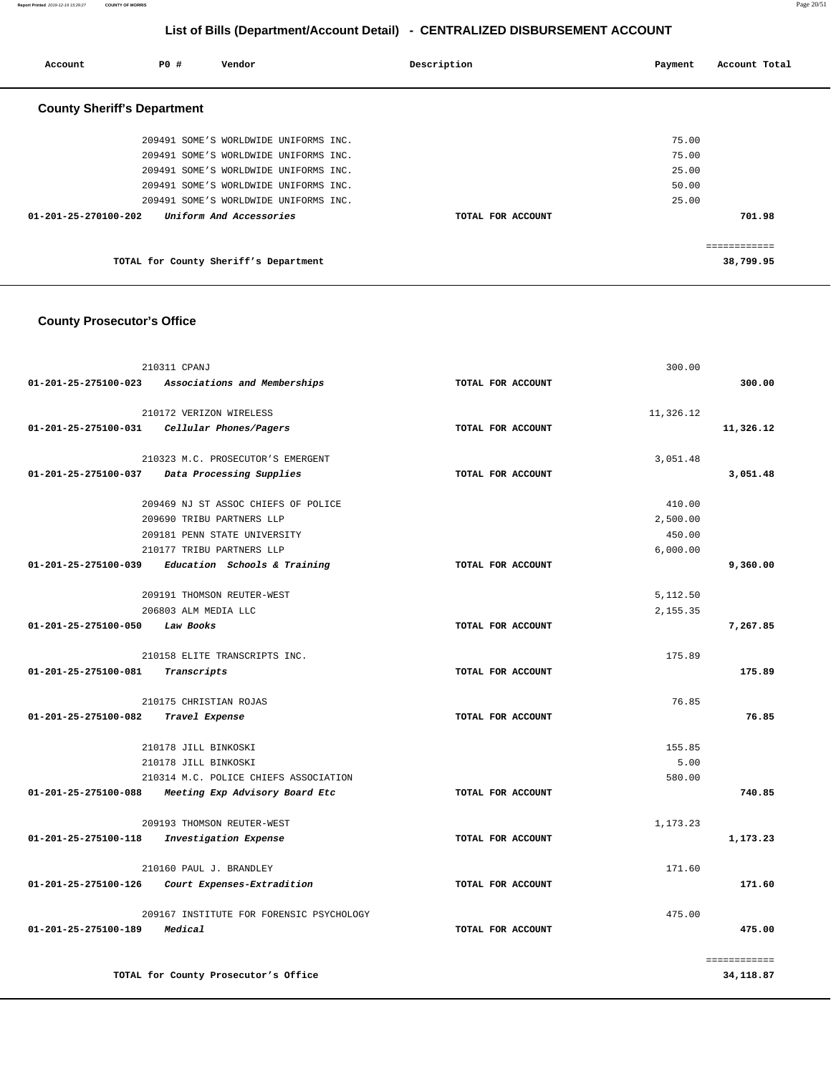#### **Report Printed** 2019-12-19 15:29:27 **COUNTY OF MORRIS** Page 20/51

## **List of Bills (Department/Account Detail) - CENTRALIZED DISBURSEMENT ACCOUNT**

| Account                            | PO# | Vendor                                | Description       | Account Total<br>Payment |
|------------------------------------|-----|---------------------------------------|-------------------|--------------------------|
| <b>County Sheriff's Department</b> |     |                                       |                   |                          |
|                                    |     | 209491 SOME'S WORLDWIDE UNIFORMS INC. |                   | 75.00                    |
|                                    |     | 209491 SOME'S WORLDWIDE UNIFORMS INC. |                   | 75.00                    |
|                                    |     | 209491 SOME'S WORLDWIDE UNIFORMS INC. |                   | 25.00                    |
|                                    |     | 209491 SOME'S WORLDWIDE UNIFORMS INC. |                   | 50.00                    |
|                                    |     | 209491 SOME'S WORLDWIDE UNIFORMS INC. |                   | 25.00                    |
| $01 - 201 - 25 - 270100 - 202$     |     | Uniform And Accessories               | TOTAL FOR ACCOUNT | 701.98                   |
|                                    |     |                                       |                   | ------------             |
|                                    |     | TOTAL for County Sheriff's Department |                   | 38,799.95                |

## **County Prosecutor's Office**

|                      | 210311 CPANJ                                      |                   | 300.00    |              |
|----------------------|---------------------------------------------------|-------------------|-----------|--------------|
|                      | 01-201-25-275100-023 Associations and Memberships | TOTAL FOR ACCOUNT |           | 300.00       |
|                      | 210172 VERIZON WIRELESS                           |                   | 11,326.12 |              |
| 01-201-25-275100-031 | Cellular Phones/Pagers                            | TOTAL FOR ACCOUNT |           | 11,326.12    |
|                      | 210323 M.C. PROSECUTOR'S EMERGENT                 |                   | 3,051.48  |              |
| 01-201-25-275100-037 | Data Processing Supplies                          | TOTAL FOR ACCOUNT |           | 3,051.48     |
|                      | 209469 NJ ST ASSOC CHIEFS OF POLICE               |                   | 410.00    |              |
|                      | 209690 TRIBU PARTNERS LLP                         |                   | 2,500.00  |              |
|                      | 209181 PENN STATE UNIVERSITY                      |                   | 450.00    |              |
|                      | 210177 TRIBU PARTNERS LLP                         |                   | 6,000.00  |              |
| 01-201-25-275100-039 | Education Schools & Training                      | TOTAL FOR ACCOUNT |           | 9,360.00     |
|                      | 209191 THOMSON REUTER-WEST                        |                   | 5,112.50  |              |
|                      | 206803 ALM MEDIA LLC                              |                   | 2,155.35  |              |
| 01-201-25-275100-050 | Law Books                                         | TOTAL FOR ACCOUNT |           | 7,267.85     |
|                      | 210158 ELITE TRANSCRIPTS INC.                     |                   | 175.89    |              |
| 01-201-25-275100-081 | Transcripts                                       | TOTAL FOR ACCOUNT |           | 175.89       |
|                      | 210175 CHRISTIAN ROJAS                            |                   | 76.85     |              |
| 01-201-25-275100-082 | Travel Expense                                    | TOTAL FOR ACCOUNT |           | 76.85        |
|                      | 210178 JILL BINKOSKI                              |                   | 155.85    |              |
|                      | 210178 JILL BINKOSKI                              |                   | 5.00      |              |
|                      | 210314 M.C. POLICE CHIEFS ASSOCIATION             |                   | 580.00    |              |
| 01-201-25-275100-088 | Meeting Exp Advisory Board Etc                    | TOTAL FOR ACCOUNT |           | 740.85       |
|                      | 209193 THOMSON REUTER-WEST                        |                   | 1,173.23  |              |
| 01-201-25-275100-118 | Investigation Expense                             | TOTAL FOR ACCOUNT |           | 1,173.23     |
|                      | 210160 PAUL J. BRANDLEY                           |                   | 171.60    |              |
| 01-201-25-275100-126 | Court Expenses-Extradition                        | TOTAL FOR ACCOUNT |           | 171.60       |
|                      | 209167 INSTITUTE FOR FORENSIC PSYCHOLOGY          |                   | 475.00    |              |
| 01-201-25-275100-189 | Medical                                           | TOTAL FOR ACCOUNT |           | 475.00       |
|                      |                                                   |                   |           | ============ |
|                      | TOTAL for County Prosecutor's Office              |                   |           | 34,118.87    |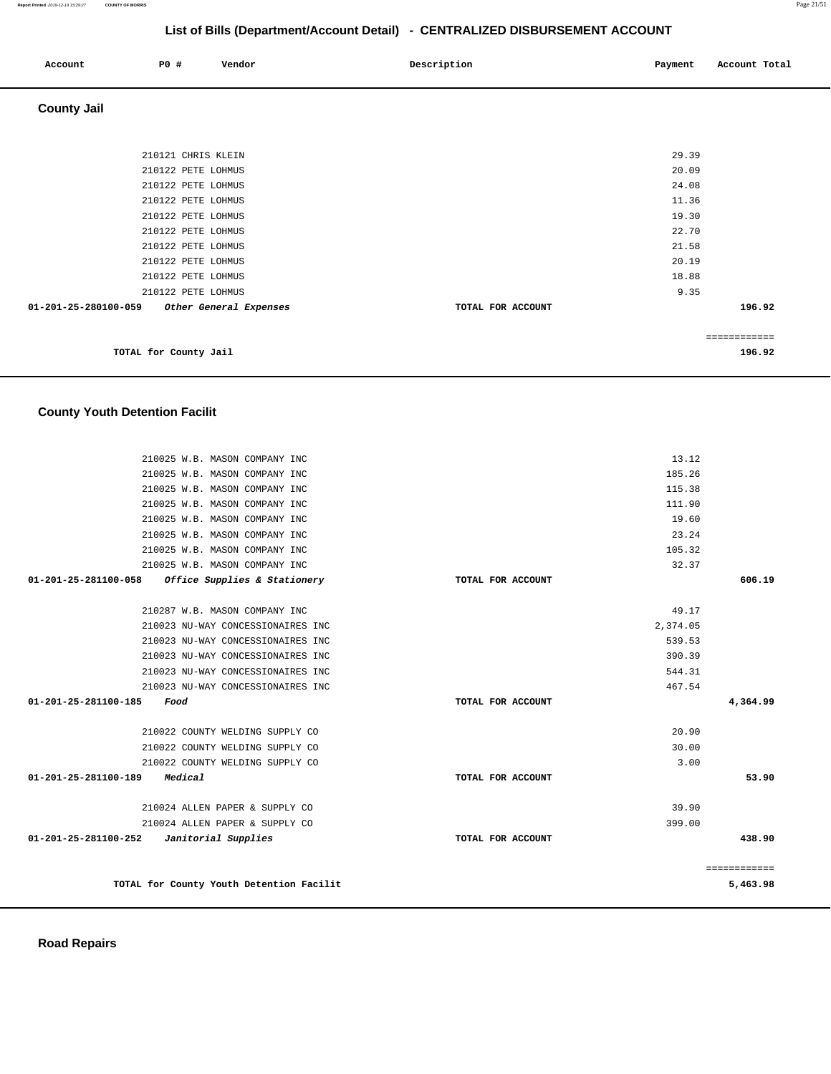| Account            | <b>PO #</b><br>Vendor | Description | Account Total<br>Payment |
|--------------------|-----------------------|-------------|--------------------------|
| <b>County Jail</b> |                       |             |                          |
|                    |                       |             |                          |
|                    | 210121 CHRIS KLEIN    |             | 29.39                    |
|                    | 210122 PETE LOHMUS    |             | 20.09                    |
|                    | 210122 PETE LOHMUS    |             | 24.08                    |
|                    | 210122 PETE LOHMUS    |             | 11.36                    |
|                    | 210122 PETE LOHMUS    |             | 19.30                    |
|                    | 210122 PETE LOHMUS    |             | 22.70                    |
|                    | 210122 PETE LOHMUS    |             | 21.58                    |
|                    | 210122 PETE LOHMUS    |             | 20.19                    |
|                    | 210122 PETE LOHMUS    |             | 18.88                    |

| .      |                   |                        |                      |
|--------|-------------------|------------------------|----------------------|
| 9.35   |                   | 210122 PETE LOHMUS     |                      |
| 196.92 | TOTAL FOR ACCOUNT | Other General Expenses | 01-201-25-280100-059 |
|        |                   |                        |                      |
|        |                   |                        |                      |
| 196.92 |                   | TOTAL for County Jail  |                      |

# **County Youth Detention Facilit**

| 210025 W.B. MASON COMPANY INC                        |                   | 13.12    |              |
|------------------------------------------------------|-------------------|----------|--------------|
| 210025 W.B. MASON COMPANY INC                        |                   | 185.26   |              |
| 210025 W.B. MASON COMPANY INC                        |                   | 115.38   |              |
| 210025 W.B. MASON COMPANY INC                        |                   | 111.90   |              |
| 210025 W.B. MASON COMPANY INC                        |                   | 19.60    |              |
| 210025 W.B. MASON COMPANY INC                        |                   | 23.24    |              |
| 210025 W.B. MASON COMPANY INC                        |                   | 105.32   |              |
| 210025 W.B. MASON COMPANY INC                        |                   | 32.37    |              |
| 01-201-25-281100-058<br>Office Supplies & Stationery | TOTAL FOR ACCOUNT |          | 606.19       |
|                                                      |                   |          |              |
| 210287 W.B. MASON COMPANY INC                        |                   | 49.17    |              |
| 210023 NU-WAY CONCESSIONAIRES INC                    |                   | 2,374.05 |              |
| 210023 NU-WAY CONCESSIONAIRES INC                    |                   | 539.53   |              |
| 210023 NU-WAY CONCESSIONAIRES INC                    |                   | 390.39   |              |
| 210023 NU-WAY CONCESSIONAIRES INC                    |                   | 544.31   |              |
| 210023 NU-WAY CONCESSIONAIRES INC                    |                   | 467.54   |              |
| 01-201-25-281100-185<br>Food                         | TOTAL FOR ACCOUNT |          | 4,364.99     |
|                                                      |                   |          |              |
| 210022 COUNTY WELDING SUPPLY CO                      |                   | 20.90    |              |
| 210022 COUNTY WELDING SUPPLY CO                      |                   | 30.00    |              |
| 210022 COUNTY WELDING SUPPLY CO                      |                   | 3.00     |              |
| 01-201-25-281100-189 Medical                         | TOTAL FOR ACCOUNT |          | 53.90        |
| 210024 ALLEN PAPER & SUPPLY CO                       |                   | 39.90    |              |
| 210024 ALLEN PAPER & SUPPLY CO                       |                   | 399.00   |              |
| $01-201-25-281100-252$ Janitorial Supplies           | TOTAL FOR ACCOUNT |          | 438.90       |
|                                                      |                   |          | ============ |
| TOTAL for County Youth Detention Facilit             |                   |          | 5,463.98     |
|                                                      |                   |          |              |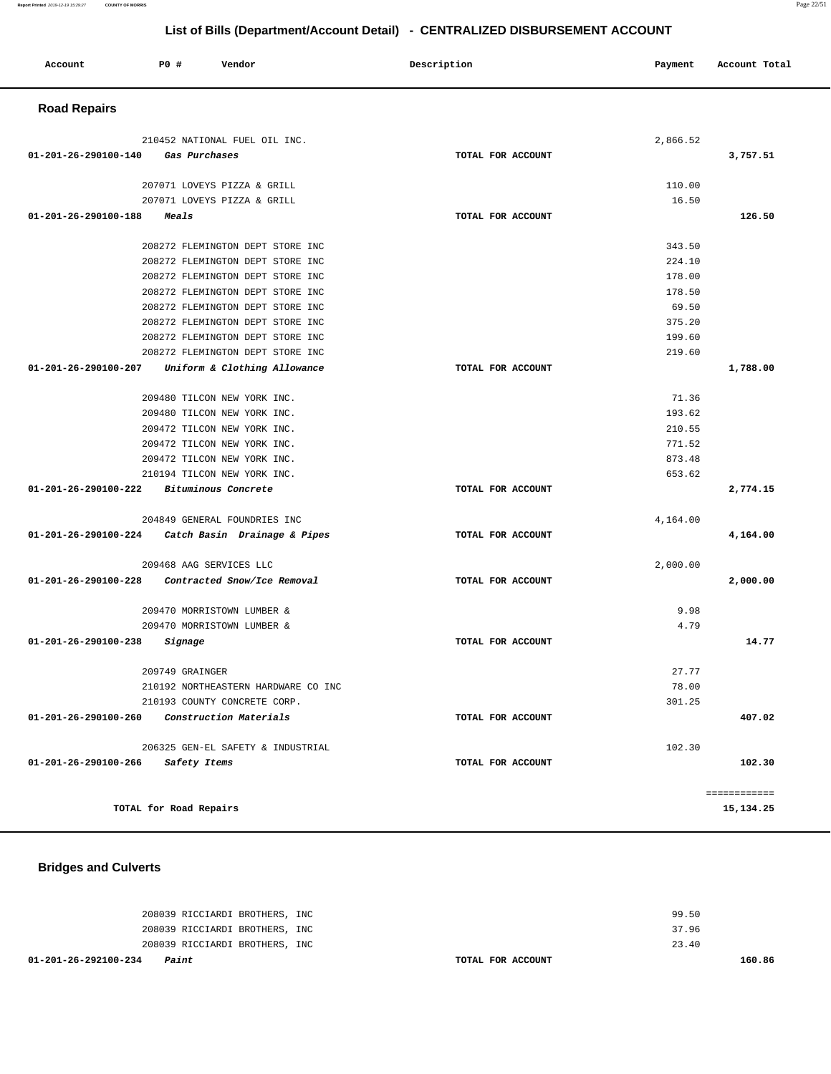| Account | P0 # | Vendor | Description | Payment | Account Total |  |
|---------|------|--------|-------------|---------|---------------|--|
|         |      |        |             |         |               |  |

## **Road Repairs**

| 210452 NATIONAL FUEL OIL INC.                        |                   | 2,866.52 |              |
|------------------------------------------------------|-------------------|----------|--------------|
| 01-201-26-290100-140<br>Gas Purchases                | TOTAL FOR ACCOUNT |          | 3,757.51     |
| 207071 LOVEYS PIZZA & GRILL                          |                   | 110.00   |              |
| 207071 LOVEYS PIZZA & GRILL                          |                   | 16.50    |              |
| $01 - 201 - 26 - 290100 - 188$<br>Meals              | TOTAL FOR ACCOUNT |          | 126.50       |
| 208272 FLEMINGTON DEPT STORE INC                     |                   | 343.50   |              |
| 208272 FLEMINGTON DEPT STORE INC                     |                   | 224.10   |              |
| 208272 FLEMINGTON DEPT STORE INC                     |                   | 178.00   |              |
| 208272 FLEMINGTON DEPT STORE INC                     |                   | 178.50   |              |
| 208272 FLEMINGTON DEPT STORE INC                     |                   | 69.50    |              |
| 208272 FLEMINGTON DEPT STORE INC                     |                   | 375.20   |              |
| 208272 FLEMINGTON DEPT STORE INC                     |                   | 199.60   |              |
| 208272 FLEMINGTON DEPT STORE INC                     |                   | 219.60   |              |
| 01-201-26-290100-207<br>Uniform & Clothing Allowance | TOTAL FOR ACCOUNT |          | 1,788.00     |
| 209480 TILCON NEW YORK INC.                          |                   | 71.36    |              |
| 209480 TILCON NEW YORK INC.                          |                   | 193.62   |              |
| 209472 TILCON NEW YORK INC.                          |                   | 210.55   |              |
| 209472 TILCON NEW YORK INC.                          |                   | 771.52   |              |
| 209472 TILCON NEW YORK INC.                          |                   | 873.48   |              |
| 210194 TILCON NEW YORK INC.                          |                   | 653.62   |              |
| 01-201-26-290100-222<br>Bituminous Concrete          | TOTAL FOR ACCOUNT |          | 2,774.15     |
| 204849 GENERAL FOUNDRIES INC                         |                   | 4,164.00 |              |
| 01-201-26-290100-224 Catch Basin Drainage & Pipes    | TOTAL FOR ACCOUNT |          | 4,164.00     |
| 209468 AAG SERVICES LLC                              |                   | 2,000.00 |              |
| 01-201-26-290100-228<br>Contracted Snow/Ice Removal  | TOTAL FOR ACCOUNT |          | 2,000.00     |
| 209470 MORRISTOWN LUMBER &                           |                   | 9.98     |              |
| 209470 MORRISTOWN LUMBER &                           |                   | 4.79     |              |
| 01-201-26-290100-238<br>Signage                      | TOTAL FOR ACCOUNT |          | 14.77        |
| 209749 GRAINGER                                      |                   | 27.77    |              |
| 210192 NORTHEASTERN HARDWARE CO INC                  |                   | 78.00    |              |
| 210193 COUNTY CONCRETE CORP.                         |                   | 301.25   |              |
| 01-201-26-290100-260<br>Construction Materials       | TOTAL FOR ACCOUNT |          | 407.02       |
| 206325 GEN-EL SAFETY & INDUSTRIAL                    |                   | 102.30   |              |
| 01-201-26-290100-266<br>Safety Items                 | TOTAL FOR ACCOUNT |          | 102.30       |
|                                                      |                   |          | ============ |
| TOTAL for Road Repairs                               |                   |          | 15,134.25    |

# **Bridges and Culverts**

| 01-201-26-292100-234<br>Paint  |  | TOTAL FOR ACCOUNT |       | 160.86 |
|--------------------------------|--|-------------------|-------|--------|
| 208039 RICCIARDI BROTHERS, INC |  |                   | 23.40 |        |
| 208039 RICCIARDI BROTHERS, INC |  |                   | 37.96 |        |
| 208039 RICCIARDI BROTHERS, INC |  |                   | 99.50 |        |
|                                |  |                   |       |        |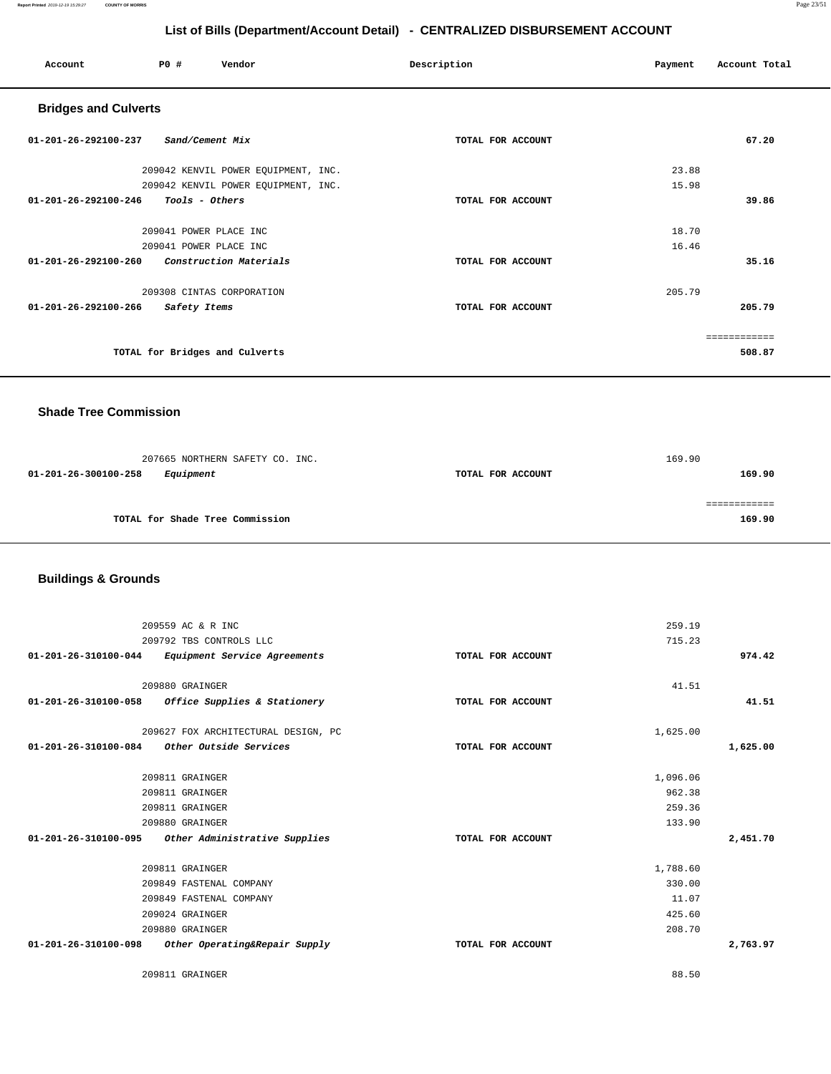**Report Printed** 2019-12-19 15:29:27 **COUNTY OF MORRIS** Page 23/51

## **List of Bills (Department/Account Detail) - CENTRALIZED DISBURSEMENT ACCOUNT**

| Account                        | P0#<br>Vendor                       | Description       | Payment | Account Total |
|--------------------------------|-------------------------------------|-------------------|---------|---------------|
| <b>Bridges and Culverts</b>    |                                     |                   |         |               |
| $01 - 201 - 26 - 292100 - 237$ | Sand/Cement Mix                     | TOTAL FOR ACCOUNT |         | 67.20         |
|                                | 209042 KENVIL POWER EQUIPMENT, INC. |                   | 23.88   |               |
|                                | 209042 KENVIL POWER EQUIPMENT, INC. |                   | 15.98   |               |
| $01 - 201 - 26 - 292100 - 246$ | Tools - Others                      | TOTAL FOR ACCOUNT |         | 39.86         |
|                                | 209041 POWER PLACE INC              |                   | 18.70   |               |
|                                | 209041 POWER PLACE INC              |                   | 16.46   |               |
| $01 - 201 - 26 - 292100 - 260$ | Construction Materials              | TOTAL FOR ACCOUNT |         | 35.16         |
|                                | 209308 CINTAS CORPORATION           |                   | 205.79  |               |
| 01-201-26-292100-266           | Safety Items                        | TOTAL FOR ACCOUNT |         | 205.79        |
|                                |                                     |                   |         | ============  |
|                                | TOTAL for Bridges and Culverts      |                   |         | 508.87        |

### **Shade Tree Commission**

| 207665 NORTHERN SAFETY CO. INC.   |                   | 169.90 |
|-----------------------------------|-------------------|--------|
| 01-201-26-300100-258<br>Equipment | TOTAL FOR ACCOUNT | 169.90 |
|                                   |                   |        |
|                                   |                   |        |
| TOTAL for Shade Tree Commission   |                   | 169.90 |

# **Buildings & Grounds**

| 209559 AC & R INC                                     |                   | 259.19   |          |
|-------------------------------------------------------|-------------------|----------|----------|
| 209792 TBS CONTROLS LLC                               |                   | 715.23   |          |
| 01-201-26-310100-044 Equipment Service Agreements     | TOTAL FOR ACCOUNT |          | 974.42   |
|                                                       |                   |          |          |
| 209880 GRAINGER                                       |                   | 41.51    |          |
| 01-201-26-310100-058 Office Supplies & Stationery     | TOTAL FOR ACCOUNT |          | 41.51    |
| 209627 FOX ARCHITECTURAL DESIGN, PC                   |                   | 1,625.00 |          |
| Other Outside Services<br>01-201-26-310100-084        | TOTAL FOR ACCOUNT |          | 1,625.00 |
|                                                       |                   |          |          |
| 209811 GRAINGER                                       |                   | 1,096.06 |          |
| 209811 GRAINGER                                       |                   | 962.38   |          |
| 209811 GRAINGER                                       |                   | 259.36   |          |
| 209880 GRAINGER                                       |                   | 133.90   |          |
| 01-201-26-310100-095 Other Administrative Supplies    | TOTAL FOR ACCOUNT |          | 2,451.70 |
|                                                       |                   |          |          |
| 209811 GRAINGER                                       |                   | 1,788.60 |          |
| 209849 FASTENAL COMPANY                               |                   | 330.00   |          |
| 209849 FASTENAL COMPANY                               |                   | 11.07    |          |
| 209024 GRAINGER                                       |                   | 425.60   |          |
| 209880 GRAINGER                                       |                   | 208.70   |          |
| 01-201-26-310100-098<br>Other Operating&Repair Supply | TOTAL FOR ACCOUNT |          | 2,763.97 |
| 209811 GRAINGER                                       |                   | 88.50    |          |
|                                                       |                   |          |          |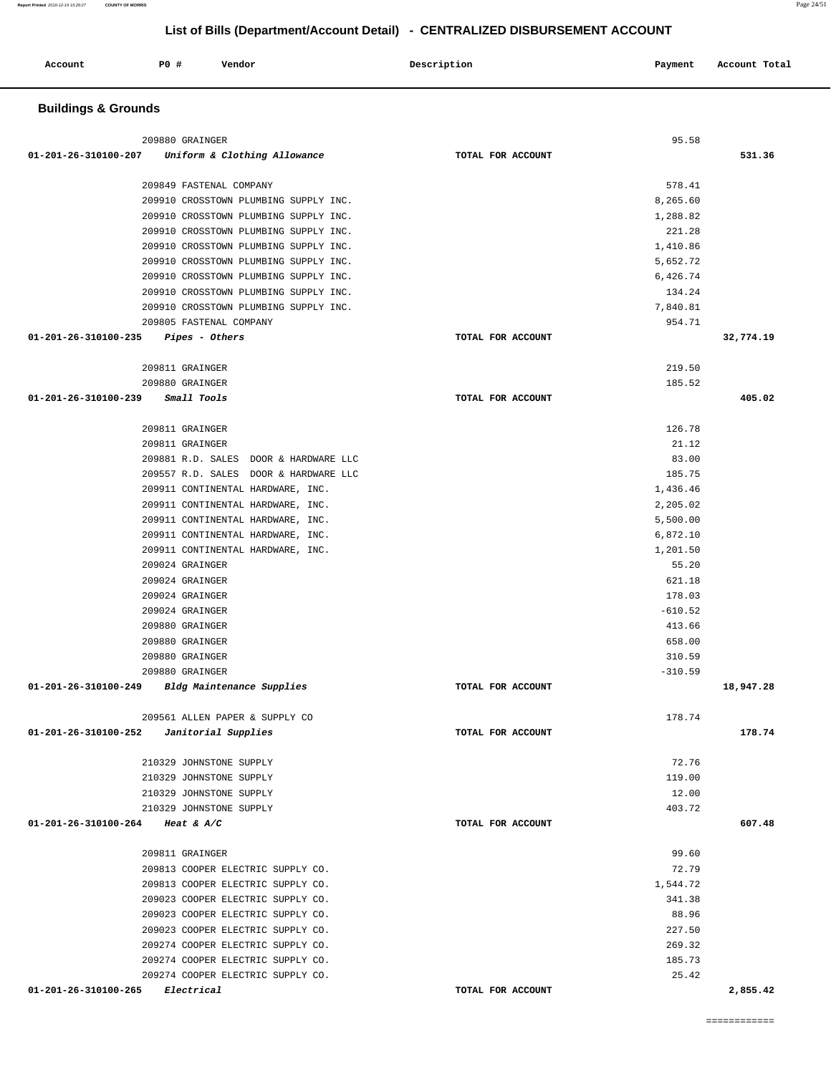| Account<br>. | P0 # | Vendor | Description | Payment | Account Total<br>. |
|--------------|------|--------|-------------|---------|--------------------|
|              |      |        |             |         |                    |

### **Buildings & Grounds**

| 209880 GRAINGER                                   |                   | 95.58     |           |
|---------------------------------------------------|-------------------|-----------|-----------|
| 01-201-26-310100-207 Uniform & Clothing Allowance | TOTAL FOR ACCOUNT |           | 531.36    |
|                                                   |                   |           |           |
| 209849 FASTENAL COMPANY                           |                   | 578.41    |           |
| 209910 CROSSTOWN PLUMBING SUPPLY INC.             |                   | 8,265.60  |           |
| 209910 CROSSTOWN PLUMBING SUPPLY INC.             |                   | 1,288.82  |           |
| 209910 CROSSTOWN PLUMBING SUPPLY INC.             |                   | 221.28    |           |
| 209910 CROSSTOWN PLUMBING SUPPLY INC.             |                   | 1,410.86  |           |
| 209910 CROSSTOWN PLUMBING SUPPLY INC.             |                   | 5,652.72  |           |
| 209910 CROSSTOWN PLUMBING SUPPLY INC.             |                   | 6,426.74  |           |
| 209910 CROSSTOWN PLUMBING SUPPLY INC.             |                   | 134.24    |           |
| 209910 CROSSTOWN PLUMBING SUPPLY INC.             |                   | 7,840.81  |           |
| 209805 FASTENAL COMPANY                           |                   | 954.71    |           |
| 01-201-26-310100-235<br><i>Pipes - Others</i>     | TOTAL FOR ACCOUNT |           | 32,774.19 |
|                                                   |                   |           |           |
| 209811 GRAINGER                                   |                   | 219.50    |           |
| 209880 GRAINGER                                   |                   | 185.52    |           |
| 01-201-26-310100-239<br>Small Tools               | TOTAL FOR ACCOUNT |           | 405.02    |
|                                                   |                   |           |           |
| 209811 GRAINGER                                   |                   | 126.78    |           |
| 209811 GRAINGER                                   |                   | 21.12     |           |
| 209881 R.D. SALES DOOR & HARDWARE LLC             |                   | 83.00     |           |
| 209557 R.D. SALES DOOR & HARDWARE LLC             |                   | 185.75    |           |
| 209911 CONTINENTAL HARDWARE, INC.                 |                   | 1,436.46  |           |
| 209911 CONTINENTAL HARDWARE, INC.                 |                   | 2,205.02  |           |
| 209911 CONTINENTAL HARDWARE, INC.                 |                   | 5,500.00  |           |
| 209911 CONTINENTAL HARDWARE, INC.                 |                   | 6,872.10  |           |
| 209911 CONTINENTAL HARDWARE, INC.                 |                   | 1,201.50  |           |
| 209024 GRAINGER                                   |                   | 55.20     |           |
| 209024 GRAINGER                                   |                   | 621.18    |           |
| 209024 GRAINGER                                   |                   | 178.03    |           |
| 209024 GRAINGER                                   |                   | $-610.52$ |           |
| 209880 GRAINGER                                   |                   | 413.66    |           |
| 209880 GRAINGER                                   |                   | 658.00    |           |
| 209880 GRAINGER                                   |                   | 310.59    |           |
| 209880 GRAINGER                                   |                   | $-310.59$ |           |
| 01-201-26-310100-249 Bldg Maintenance Supplies    | TOTAL FOR ACCOUNT |           | 18,947.28 |
|                                                   |                   |           |           |
| 209561 ALLEN PAPER & SUPPLY CO                    |                   | 178.74    |           |
| 01-201-26-310100-252<br>Janitorial Supplies       | TOTAL FOR ACCOUNT |           | 178.74    |
|                                                   |                   |           |           |
| 210329 JOHNSTONE SUPPLY                           |                   | 72.76     |           |
| 210329 JOHNSTONE SUPPLY                           |                   | 119.00    |           |
| 210329 JOHNSTONE SUPPLY                           |                   | 12.00     |           |
| 210329 JOHNSTONE SUPPLY                           |                   | 403.72    |           |
| 01-201-26-310100-264<br>Heat & $A/C$              | TOTAL FOR ACCOUNT |           | 607.48    |
|                                                   |                   |           |           |
| 209811 GRAINGER                                   |                   | 99.60     |           |
| 209813 COOPER ELECTRIC SUPPLY CO.                 |                   | 72.79     |           |
| 209813 COOPER ELECTRIC SUPPLY CO.                 |                   | 1,544.72  |           |
| 209023 COOPER ELECTRIC SUPPLY CO.                 |                   | 341.38    |           |
| 209023 COOPER ELECTRIC SUPPLY CO.                 |                   | 88.96     |           |
| 209023 COOPER ELECTRIC SUPPLY CO.                 |                   | 227.50    |           |
| 209274 COOPER ELECTRIC SUPPLY CO.                 |                   | 269.32    |           |
| 209274 COOPER ELECTRIC SUPPLY CO.                 |                   | 185.73    |           |
| 209274 COOPER ELECTRIC SUPPLY CO.                 |                   | 25.42     |           |
| 01-201-26-310100-265<br>Electrical                | TOTAL FOR ACCOUNT |           | 2,855.42  |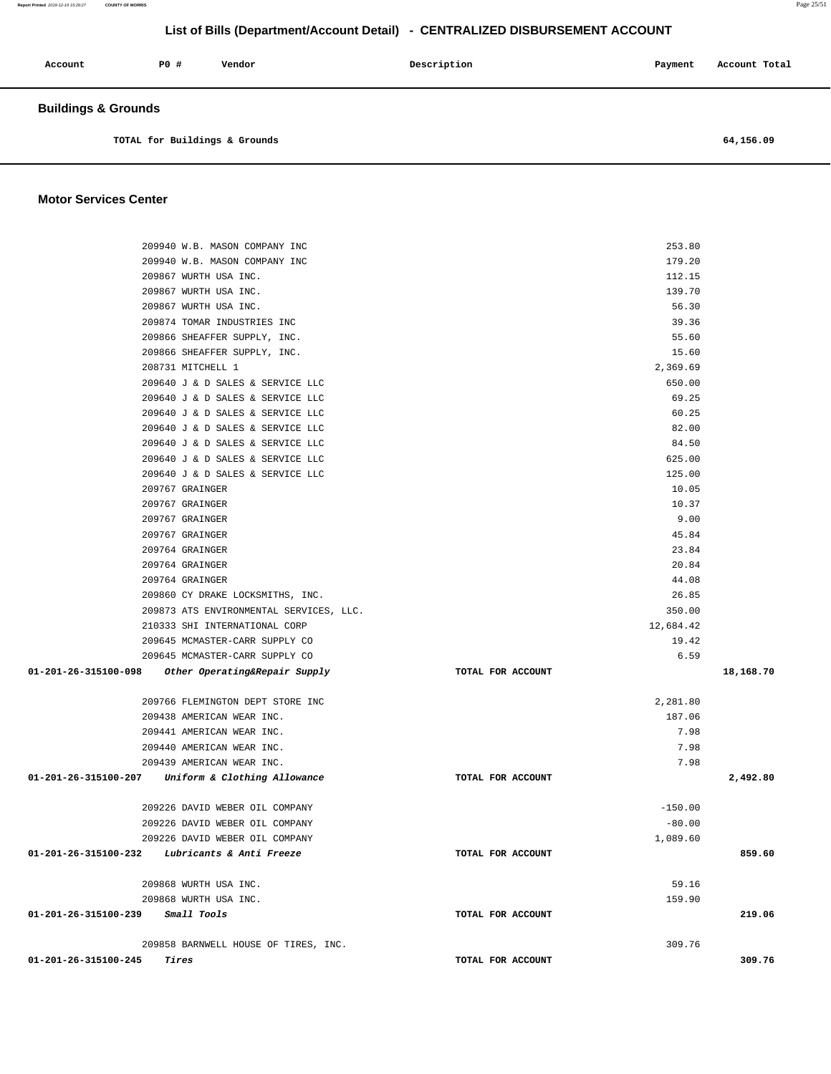**Buildings & Grounds TOTAL for Buildings & Grounds 64,156.09 Motor Services Center**  209940 W.B. MASON COMPANY INC 253.80 209940 W.B. MASON COMPANY INC 179.20 209867 WURTH USA INC. 112.15 209867 WURTH USA INC. 139.70 209867 WURTH USA INC. 56.30 209874 TOMAR INDUSTRIES INC 39.36 209866 SHEAFFER SUPPLY, INC. 55.60 209866 SHEAFFER SUPPLY, INC. 15.60 208731 MITCHELL 1 2,369.69 209640 J & D SALES & SERVICE LLC 650.00 209640 J & D SALES & SERVICE LLC 69.25 209640 J & D SALES & SERVICE LLC 60.25 209640 J & D SALES & SERVICE LLC 82.00 209640 J & D SALES & SERVICE LLC 84.50 209640 J & D SALES & SERVICE LLC 625.00 209640 J & D SALES & SERVICE LLC 125.00 209767 GRAINGER 10.05 209767 GRAINGER 10.37 209767 GRAINGER 9.00 209767 GRAINGER 45.84 209764 GRAINGER 23.84 209764 GRAINGER 20.84 209764 GRAINGER 44.08 209860 CY DRAKE LOCKSMITHS, INC. 26.85 209873 ATS ENVIRONMENTAL SERVICES, LLC. 350.00 210333 SHI INTERNATIONAL CORP 12,684.42 209645 MCMASTER-CARR SUPPLY CO 19.42 209645 MCMASTER-CARR SUPPLY CO 6.59  **01-201-26-315100-098 Other Operating&Repair Supply TOTAL FOR ACCOUNT 18,168.70** 209766 FLEMINGTON DEPT STORE INC 2,281.80 209438 AMERICAN WEAR INC. 187.06 209441 AMERICAN WEAR INC. 209441 AMERICAN WEAR INC. 209440 AMERICAN WEAR INC. 209440 AMERICAN WEAR INC. 209439 AMERICAN WEAR INC. 7.98  **01-201-26-315100-207 Uniform & Clothing Allowance TOTAL FOR ACCOUNT 2,492.80** 209226 DAVID WEBER OIL COMPANY -150.00 209226 DAVID WEBER OIL COMPANY -80.00 209226 DAVID WEBER OIL COMPANY 1,089.60  **01-201-26-315100-232 Lubricants & Anti Freeze TOTAL FOR ACCOUNT 859.60** 209868 WURTH USA INC. 59.16 209868 WURTH USA INC. 159.90  **01-201-26-315100-239 Small Tools TOTAL FOR ACCOUNT 219.06** 209858 BARNWELL HOUSE OF TIRES, INC. 309.76  **01-201-26-315100-245 Tires TOTAL FOR ACCOUNT 309.76** 

**Report Printed** 2019-12-19 15:29:27 **COUNTY OF MORRIS** Page 25/51

#### **List of Bills (Department/Account Detail) - CENTRALIZED DISBURSEMENT ACCOUNT**

 **Account P0 # Vendor Description Payment Account Total**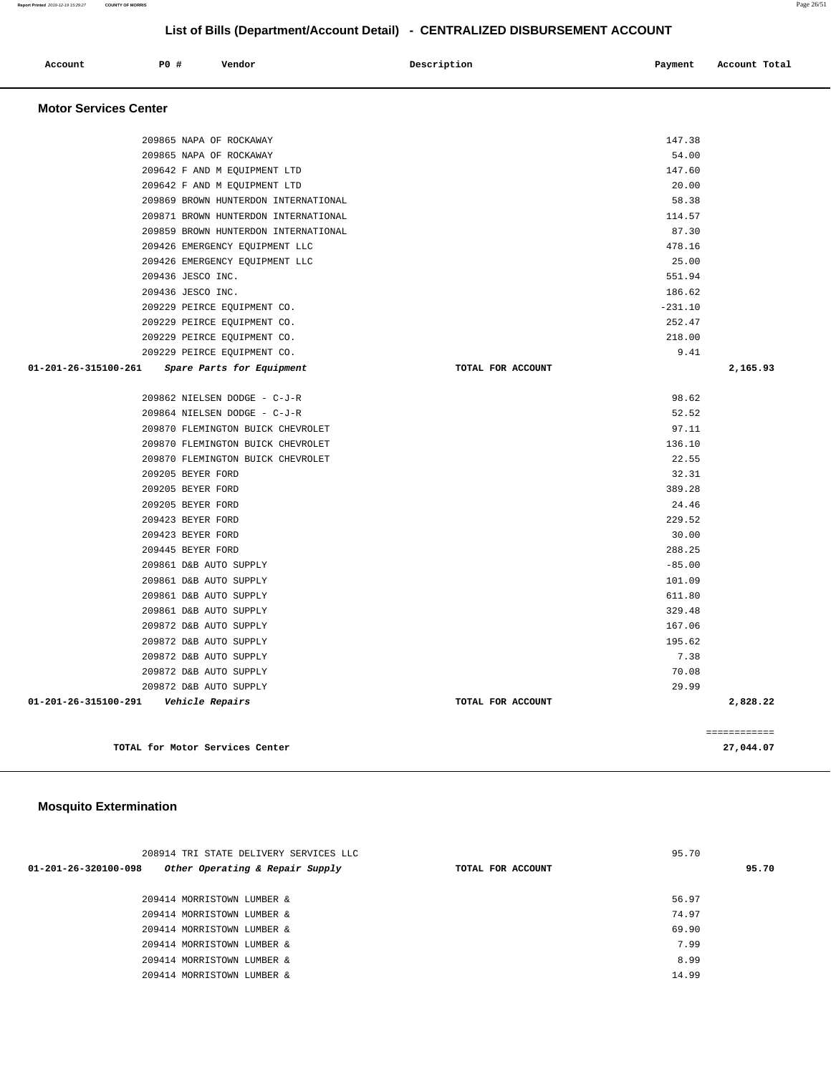| Account<br>. | P0 # | Vendor | Description | Payment | Account Total |
|--------------|------|--------|-------------|---------|---------------|
|              |      |        |             |         |               |

### **Motor Services Center**

|                      | 209865 NAPA OF ROCKAWAY              |                   | 147.38    |              |
|----------------------|--------------------------------------|-------------------|-----------|--------------|
|                      | 209865 NAPA OF ROCKAWAY              |                   | 54.00     |              |
|                      | 209642 F AND M EQUIPMENT LTD         |                   | 147.60    |              |
|                      | 209642 F AND M EQUIPMENT LTD         |                   | 20.00     |              |
|                      | 209869 BROWN HUNTERDON INTERNATIONAL |                   | 58.38     |              |
|                      | 209871 BROWN HUNTERDON INTERNATIONAL |                   | 114.57    |              |
|                      | 209859 BROWN HUNTERDON INTERNATIONAL |                   | 87.30     |              |
|                      | 209426 EMERGENCY EQUIPMENT LLC       |                   | 478.16    |              |
|                      | 209426 EMERGENCY EOUIPMENT LLC       |                   | 25.00     |              |
|                      | 209436 JESCO INC.                    |                   | 551.94    |              |
|                      | 209436 JESCO INC.                    |                   | 186.62    |              |
|                      | 209229 PEIRCE EQUIPMENT CO.          |                   | $-231.10$ |              |
|                      | 209229 PEIRCE EQUIPMENT CO.          |                   | 252.47    |              |
|                      | 209229 PEIRCE EQUIPMENT CO.          |                   | 218.00    |              |
|                      | 209229 PEIRCE EQUIPMENT CO.          |                   | 9.41      |              |
| 01-201-26-315100-261 | Spare Parts for Equipment            | TOTAL FOR ACCOUNT |           | 2,165.93     |
|                      | 209862 NIELSEN DODGE - C-J-R         |                   | 98.62     |              |
|                      | 209864 NIELSEN DODGE - C-J-R         |                   | 52.52     |              |
|                      | 209870 FLEMINGTON BUICK CHEVROLET    |                   | 97.11     |              |
|                      | 209870 FLEMINGTON BUICK CHEVROLET    |                   | 136.10    |              |
|                      | 209870 FLEMINGTON BUICK CHEVROLET    |                   | 22.55     |              |
|                      | 209205 BEYER FORD                    |                   | 32.31     |              |
|                      | 209205 BEYER FORD                    |                   | 389.28    |              |
|                      | 209205 BEYER FORD                    |                   | 24.46     |              |
|                      | 209423 BEYER FORD                    |                   | 229.52    |              |
|                      | 209423 BEYER FORD                    |                   | 30.00     |              |
|                      | 209445 BEYER FORD                    |                   | 288.25    |              |
|                      | 209861 D&B AUTO SUPPLY               |                   | $-85.00$  |              |
|                      | 209861 D&B AUTO SUPPLY               |                   | 101.09    |              |
|                      | 209861 D&B AUTO SUPPLY               |                   | 611.80    |              |
|                      | 209861 D&B AUTO SUPPLY               |                   | 329.48    |              |
|                      | 209872 D&B AUTO SUPPLY               |                   | 167.06    |              |
|                      | 209872 D&B AUTO SUPPLY               |                   | 195.62    |              |
|                      | 209872 D&B AUTO SUPPLY               |                   | 7.38      |              |
|                      | 209872 D&B AUTO SUPPLY               |                   | 70.08     |              |
|                      | 209872 D&B AUTO SUPPLY               |                   | 29.99     |              |
| 01-201-26-315100-291 | <i><b>Vehicle Repairs</b></i>        | TOTAL FOR ACCOUNT |           | 2,828.22     |
|                      |                                      |                   |           | ============ |
|                      | TOTAL for Motor Services Center      |                   |           | 27,044.07    |

# **Mosquito Extermination**

| 208914 TRI STATE DELIVERY SERVICES LLC                  |                   | 95.70 |       |  |
|---------------------------------------------------------|-------------------|-------|-------|--|
| Other Operating & Repair Supply<br>01-201-26-320100-098 | TOTAL FOR ACCOUNT |       | 95.70 |  |
| 209414 MORRISTOWN LUMBER &                              |                   | 56.97 |       |  |
| 209414 MORRISTOWN LUMBER &                              |                   | 74.97 |       |  |
| 209414 MORRISTOWN LUMBER &                              |                   | 69.90 |       |  |
| 209414 MORRISTOWN LUMBER &                              |                   | 7.99  |       |  |
| 209414 MORRISTOWN LUMBER &                              |                   | 8.99  |       |  |
| 209414 MORRISTOWN LUMBER &                              |                   | 14.99 |       |  |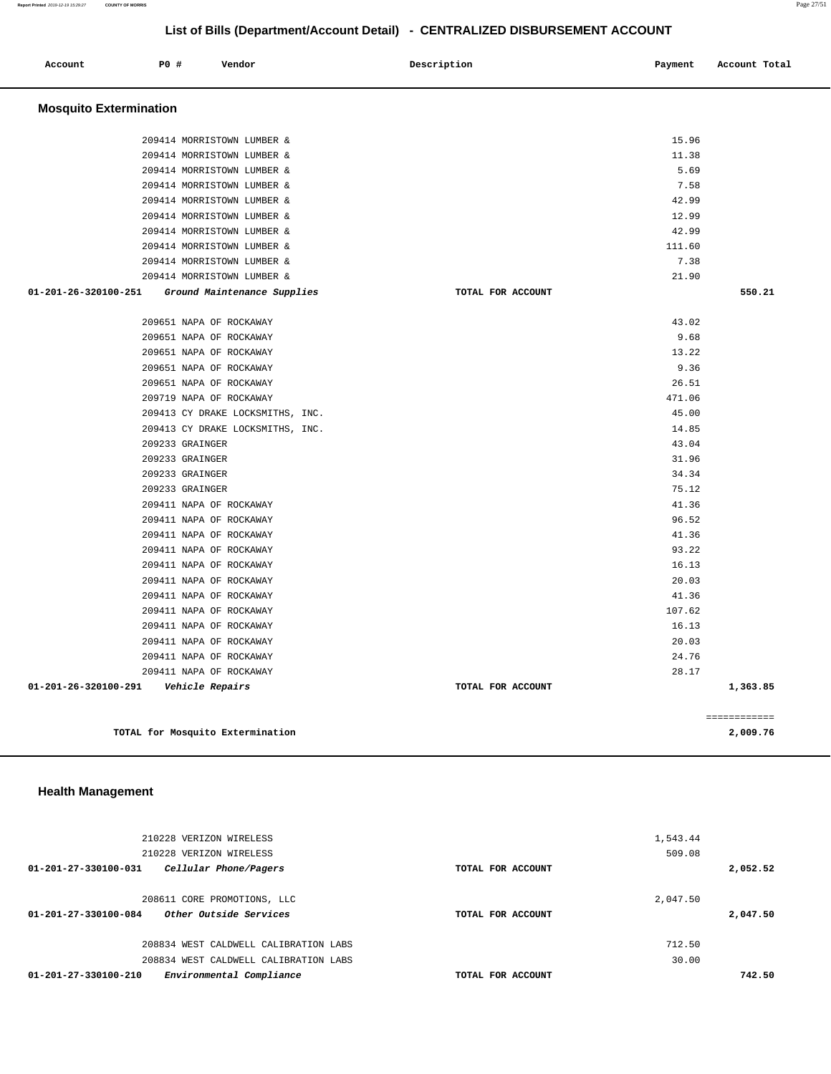| Account                       | P0 #            | Vendor                           | Description       | Payment | Account Total |
|-------------------------------|-----------------|----------------------------------|-------------------|---------|---------------|
| <b>Mosquito Extermination</b> |                 |                                  |                   |         |               |
|                               |                 | 209414 MORRISTOWN LUMBER &       |                   | 15.96   |               |
|                               |                 | 209414 MORRISTOWN LUMBER &       |                   | 11.38   |               |
|                               |                 | 209414 MORRISTOWN LUMBER &       |                   | 5.69    |               |
|                               |                 | 209414 MORRISTOWN LUMBER &       |                   | 7.58    |               |
|                               |                 | 209414 MORRISTOWN LUMBER &       |                   | 42.99   |               |
|                               |                 | 209414 MORRISTOWN LUMBER &       |                   | 12.99   |               |
|                               |                 | 209414 MORRISTOWN LUMBER &       |                   | 42.99   |               |
|                               |                 | 209414 MORRISTOWN LUMBER &       |                   | 111.60  |               |
|                               |                 | 209414 MORRISTOWN LUMBER &       |                   | 7.38    |               |
|                               |                 | 209414 MORRISTOWN LUMBER &       |                   | 21.90   |               |
| 01-201-26-320100-251          |                 | Ground Maintenance Supplies      | TOTAL FOR ACCOUNT |         | 550.21        |
|                               |                 | 209651 NAPA OF ROCKAWAY          |                   | 43.02   |               |
|                               |                 | 209651 NAPA OF ROCKAWAY          |                   | 9.68    |               |
|                               |                 | 209651 NAPA OF ROCKAWAY          |                   | 13.22   |               |
|                               |                 | 209651 NAPA OF ROCKAWAY          |                   | 9.36    |               |
|                               |                 | 209651 NAPA OF ROCKAWAY          |                   | 26.51   |               |
|                               |                 | 209719 NAPA OF ROCKAWAY          |                   | 471.06  |               |
|                               |                 | 209413 CY DRAKE LOCKSMITHS, INC. |                   | 45.00   |               |
|                               |                 | 209413 CY DRAKE LOCKSMITHS, INC. |                   | 14.85   |               |
|                               | 209233 GRAINGER |                                  |                   | 43.04   |               |
|                               | 209233 GRAINGER |                                  |                   | 31.96   |               |
|                               | 209233 GRAINGER |                                  |                   | 34.34   |               |
|                               | 209233 GRAINGER |                                  |                   | 75.12   |               |
|                               |                 | 209411 NAPA OF ROCKAWAY          |                   | 41.36   |               |
|                               |                 | 209411 NAPA OF ROCKAWAY          |                   | 96.52   |               |
|                               |                 | 209411 NAPA OF ROCKAWAY          |                   | 41.36   |               |
|                               |                 | 209411 NAPA OF ROCKAWAY          |                   | 93.22   |               |
|                               |                 | 209411 NAPA OF ROCKAWAY          |                   | 16.13   |               |
|                               |                 | 209411 NAPA OF ROCKAWAY          |                   | 20.03   |               |
|                               |                 | 209411 NAPA OF ROCKAWAY          |                   | 41.36   |               |
|                               |                 | 209411 NAPA OF ROCKAWAY          |                   | 107.62  |               |
|                               |                 | 209411 NAPA OF ROCKAWAY          |                   | 16.13   |               |
|                               |                 | 209411 NAPA OF ROCKAWAY          |                   | 20.03   |               |
|                               |                 | 209411 NAPA OF ROCKAWAY          |                   | 24.76   |               |
|                               |                 | 209411 NAPA OF ROCKAWAY          |                   | 28.17   |               |
| 01-201-26-320100-291          |                 | Vehicle Repairs                  | TOTAL FOR ACCOUNT |         | 1,363.85      |
|                               |                 |                                  |                   |         | ============  |
|                               |                 | TOTAL for Mosquito Extermination |                   |         | 2,009.76      |
|                               |                 |                                  |                   |         |               |

### **Health Management**

|                      | 210228 VERIZON WIRELESS<br>210228 VERIZON WIRELESS    |                   | 1,543.44<br>509.08 |          |
|----------------------|-------------------------------------------------------|-------------------|--------------------|----------|
| 01-201-27-330100-031 | Cellular Phone/Pagers                                 | TOTAL FOR ACCOUNT |                    | 2,052.52 |
| 01-201-27-330100-084 | 208611 CORE PROMOTIONS, LLC<br>Other Outside Services | TOTAL FOR ACCOUNT | 2,047.50           | 2,047.50 |
|                      | 208834 WEST CALDWELL CALIBRATION LABS                 |                   | 712.50             |          |
|                      | 208834 WEST CALDWELL CALIBRATION LABS                 |                   | 30.00              |          |
| 01-201-27-330100-210 | Environmental Compliance                              | TOTAL FOR ACCOUNT |                    | 742.50   |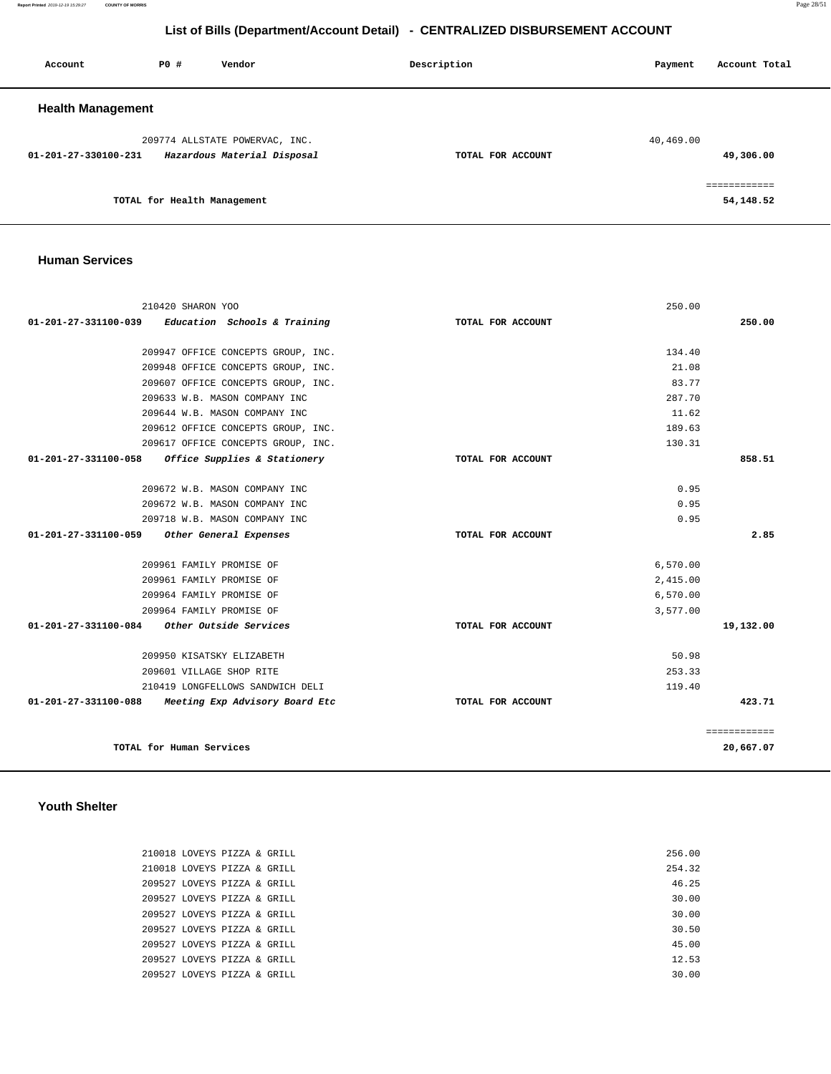**Report Printed** 2019-12-19 15:29:27 **COUNTY OF MORRIS** Page 28/51

## **List of Bills (Department/Account Detail) - CENTRALIZED DISBURSEMENT ACCOUNT**

| Account                  | PO#                         | Vendor                                                        | Description       | Account Total<br>Payment |
|--------------------------|-----------------------------|---------------------------------------------------------------|-------------------|--------------------------|
| <b>Health Management</b> |                             |                                                               |                   |                          |
| 01-201-27-330100-231     |                             | 209774 ALLSTATE POWERVAC, INC.<br>Hazardous Material Disposal | TOTAL FOR ACCOUNT | 40,469.00<br>49,306.00   |
|                          | TOTAL for Health Management |                                                               |                   | 54,148.52                |

#### **Human Services**

| 210420 SHARON YOO                                      |                   | 250.00   |              |
|--------------------------------------------------------|-------------------|----------|--------------|
| 01-201-27-331100-039 Education Schools & Training      | TOTAL FOR ACCOUNT |          | 250.00       |
| 209947 OFFICE CONCEPTS GROUP, INC.                     |                   | 134.40   |              |
| 209948 OFFICE CONCEPTS GROUP, INC.                     |                   | 21.08    |              |
| 209607 OFFICE CONCEPTS GROUP, INC.                     |                   | 83.77    |              |
| 209633 W.B. MASON COMPANY INC                          |                   | 287.70   |              |
| 209644 W.B. MASON COMPANY INC                          |                   | 11.62    |              |
| 209612 OFFICE CONCEPTS GROUP, INC.                     |                   | 189.63   |              |
| 209617 OFFICE CONCEPTS GROUP, INC.                     |                   | 130.31   |              |
| 01-201-27-331100-058 Office Supplies & Stationery      | TOTAL FOR ACCOUNT |          | 858.51       |
| 209672 W.B. MASON COMPANY INC                          |                   | 0.95     |              |
| 209672 W.B. MASON COMPANY INC                          |                   | 0.95     |              |
| 209718 W.B. MASON COMPANY INC                          |                   | 0.95     |              |
| 01-201-27-331100-059 Other General Expenses            | TOTAL FOR ACCOUNT |          | 2.85         |
| 209961 FAMILY PROMISE OF                               |                   | 6,570.00 |              |
| 209961 FAMILY PROMISE OF                               |                   | 2,415.00 |              |
| 209964 FAMILY PROMISE OF                               |                   | 6,570.00 |              |
| 209964 FAMILY PROMISE OF                               |                   | 3,577.00 |              |
| $01-201-27-331100-084$ Other Outside Services          | TOTAL FOR ACCOUNT |          | 19,132.00    |
| 209950 KISATSKY ELIZABETH                              |                   | 50.98    |              |
| 209601 VILLAGE SHOP RITE                               |                   | 253.33   |              |
| 210419 LONGFELLOWS SANDWICH DELI                       |                   | 119.40   |              |
| 01-201-27-331100-088<br>Meeting Exp Advisory Board Etc | TOTAL FOR ACCOUNT |          | 423.71       |
|                                                        |                   |          | ============ |
| TOTAL for Human Services                               |                   |          | 20,667.07    |

#### **Youth Shelter**

|  | 210018 LOVEYS PIZZA & GRILL | 256.00 |
|--|-----------------------------|--------|
|  | 210018 LOVEYS PIZZA & GRILL | 254.32 |
|  | 209527 LOVEYS PIZZA & GRILL | 46.25  |
|  | 209527 LOVEYS PIZZA & GRILL | 30.00  |
|  | 209527 LOVEYS PIZZA & GRILL | 30.00  |
|  | 209527 LOVEYS PIZZA & GRILL | 30.50  |
|  | 209527 LOVEYS PIZZA & GRILL | 45.00  |
|  | 209527 LOVEYS PIZZA & GRILL | 12.53  |
|  | 209527 LOVEYS PIZZA & GRILL | 30.00  |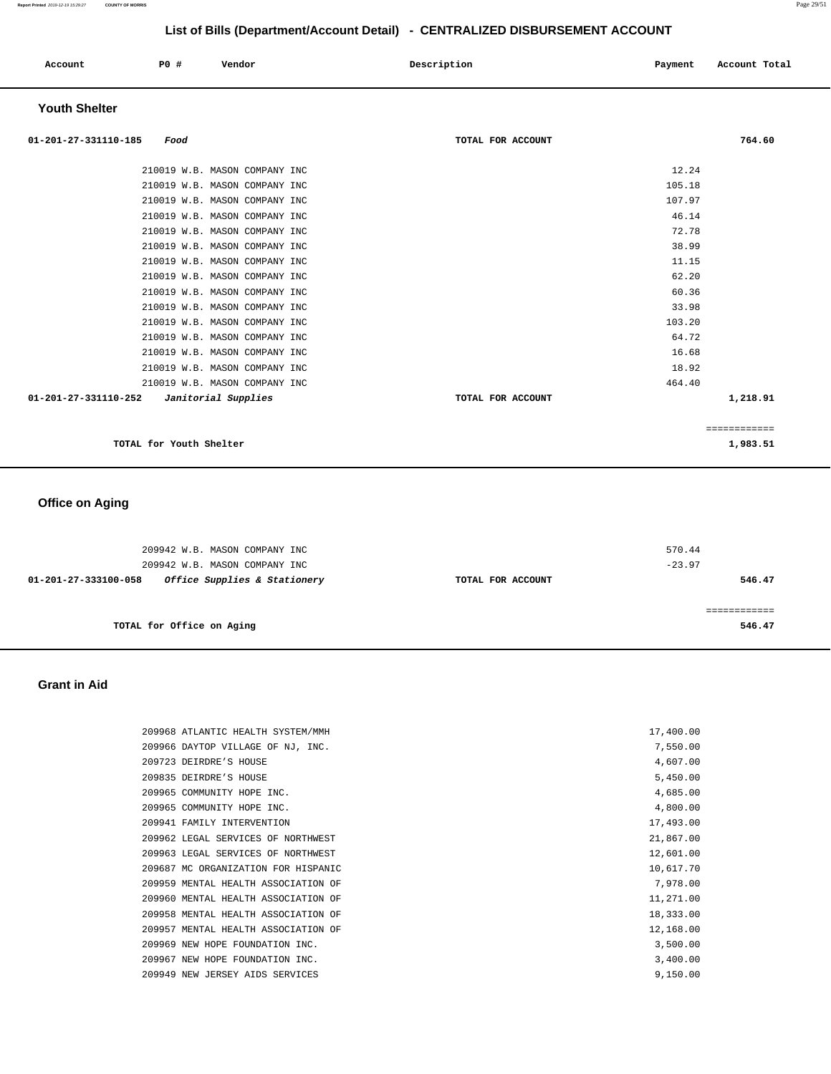| Account<br>. | P0 # | Vendor | Description<br>$\sim$ $\sim$ | Payment | Account Total<br>.<br>. |
|--------------|------|--------|------------------------------|---------|-------------------------|
|              |      |        |                              |         |                         |

## **Youth Shelter**

| 01-201-27-331110-185<br>Food                | TOTAL FOR ACCOUNT | 764.60      |
|---------------------------------------------|-------------------|-------------|
| 210019 W.B. MASON COMPANY INC               | 12.24             |             |
| 210019 W.B. MASON COMPANY INC               | 105.18            |             |
| 210019 W.B. MASON COMPANY INC               | 107.97            |             |
| 210019 W.B. MASON COMPANY INC               | 46.14             |             |
| 210019 W.B. MASON COMPANY INC               | 72.78             |             |
| 210019 W.B. MASON COMPANY INC               | 38.99             |             |
| 210019 W.B. MASON COMPANY INC               | 11.15             |             |
| 210019 W.B. MASON COMPANY INC               | 62.20             |             |
| 210019 W.B. MASON COMPANY INC               | 60.36             |             |
| 210019 W.B. MASON COMPANY INC               | 33.98             |             |
| 210019 W.B. MASON COMPANY INC               | 103.20            |             |
| 210019 W.B. MASON COMPANY INC               | 64.72             |             |
| 210019 W.B. MASON COMPANY INC               | 16.68             |             |
| 210019 W.B. MASON COMPANY INC               | 18.92             |             |
| 210019 W.B. MASON COMPANY INC               | 464.40            |             |
| 01-201-27-331110-252<br>Janitorial Supplies | TOTAL FOR ACCOUNT | 1,218.91    |
|                                             |                   | =========== |
| TOTAL for Youth Shelter                     |                   | 1,983.51    |

# **Office on Aging**

| 209942 W.B. MASON COMPANY INC<br>209942 W.B. MASON COMPANY INC |                   | 570.44<br>$-23.97$ |
|----------------------------------------------------------------|-------------------|--------------------|
| Office Supplies & Stationery<br>01-201-27-333100-058           | TOTAL FOR ACCOUNT | 546.47             |
|                                                                |                   |                    |
| TOTAL for Office on Aging                                      |                   | 546.47             |

### **Grant in Aid**

|  | 209968 ATLANTIC HEALTH SYSTEM/MMH   | 17,400.00 |
|--|-------------------------------------|-----------|
|  | 209966 DAYTOP VILLAGE OF NJ, INC.   | 7,550.00  |
|  | 209723 DEIRDRE'S HOUSE              | 4,607.00  |
|  | 209835 DEIRDRE'S HOUSE              | 5,450.00  |
|  | 209965 COMMUNITY HOPE INC.          | 4,685.00  |
|  | 209965 COMMUNITY HOPE INC.          | 4,800.00  |
|  | 209941 FAMILY INTERVENTION          | 17,493.00 |
|  | 209962 LEGAL SERVICES OF NORTHWEST  | 21,867.00 |
|  | 209963 LEGAL SERVICES OF NORTHWEST  | 12,601.00 |
|  | 209687 MC ORGANIZATION FOR HISPANIC | 10,617.70 |
|  | 209959 MENTAL HEALTH ASSOCIATION OF | 7,978.00  |
|  | 209960 MENTAL HEALTH ASSOCIATION OF | 11,271.00 |
|  | 209958 MENTAL HEALTH ASSOCIATION OF | 18,333.00 |
|  | 209957 MENTAL HEALTH ASSOCIATION OF | 12,168.00 |
|  | 209969 NEW HOPE FOUNDATION INC.     | 3,500.00  |
|  | 209967 NEW HOPE FOUNDATION INC.     | 3,400.00  |
|  | 209949 NEW JERSEY AIDS SERVICES     | 9,150.00  |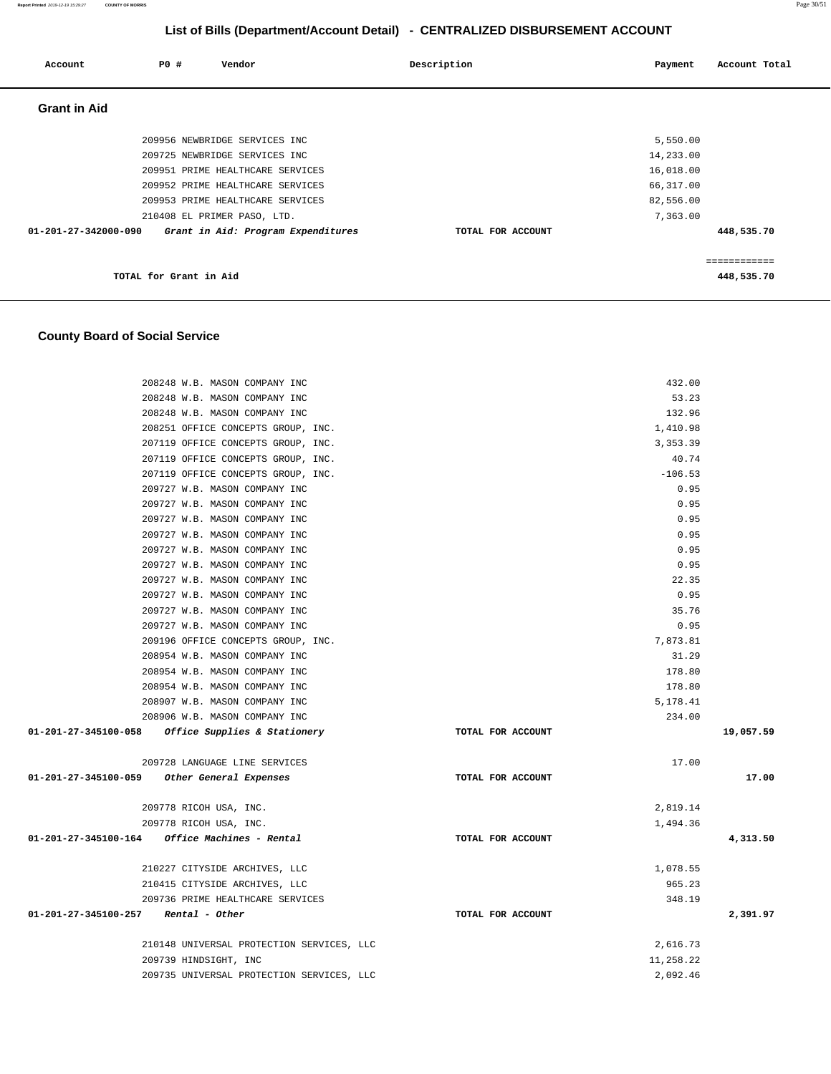| Account                        | P0 #                   | Vendor                             | Description       | Payment   | Account Total |
|--------------------------------|------------------------|------------------------------------|-------------------|-----------|---------------|
| <b>Grant in Aid</b>            |                        |                                    |                   |           |               |
|                                |                        | 209956 NEWBRIDGE SERVICES INC      |                   | 5,550.00  |               |
|                                |                        | 209725 NEWBRIDGE SERVICES INC      |                   | 14,233.00 |               |
|                                |                        | 209951 PRIME HEALTHCARE SERVICES   |                   | 16,018.00 |               |
|                                |                        | 209952 PRIME HEALTHCARE SERVICES   |                   | 66,317.00 |               |
|                                |                        | 209953 PRIME HEALTHCARE SERVICES   |                   | 82,556.00 |               |
|                                |                        | 210408 EL PRIMER PASO, LTD.        |                   | 7,363.00  |               |
| $01 - 201 - 27 - 342000 - 090$ |                        | Grant in Aid: Program Expenditures | TOTAL FOR ACCOUNT |           | 448,535.70    |
|                                |                        |                                    |                   |           | ===========   |
|                                | TOTAL for Grant in Aid |                                    |                   |           | 448,535.70    |

### **County Board of Social Service**

| 208248 W.B. MASON COMPANY INC                           |                   | 432.00    |           |
|---------------------------------------------------------|-------------------|-----------|-----------|
| 208248 W.B. MASON COMPANY INC                           |                   | 53.23     |           |
| 208248 W.B. MASON COMPANY INC                           |                   | 132.96    |           |
| 208251 OFFICE CONCEPTS GROUP, INC.                      |                   | 1,410.98  |           |
| 207119 OFFICE CONCEPTS GROUP, INC.                      |                   | 3,353.39  |           |
| 207119 OFFICE CONCEPTS GROUP, INC.                      |                   | 40.74     |           |
| 207119 OFFICE CONCEPTS GROUP, INC.                      |                   | $-106.53$ |           |
| 209727 W.B. MASON COMPANY INC                           |                   | 0.95      |           |
| 209727 W.B. MASON COMPANY INC                           |                   | 0.95      |           |
| 209727 W.B. MASON COMPANY INC                           |                   | 0.95      |           |
| 209727 W.B. MASON COMPANY INC                           |                   | 0.95      |           |
| 209727 W.B. MASON COMPANY INC                           |                   | 0.95      |           |
| 209727 W.B. MASON COMPANY INC                           |                   | 0.95      |           |
| 209727 W.B. MASON COMPANY INC                           |                   | 22.35     |           |
| 209727 W.B. MASON COMPANY INC                           |                   | 0.95      |           |
| 209727 W.B. MASON COMPANY INC                           |                   | 35.76     |           |
| 209727 W.B. MASON COMPANY INC                           |                   | 0.95      |           |
| 209196 OFFICE CONCEPTS GROUP, INC.                      |                   | 7,873.81  |           |
| 208954 W.B. MASON COMPANY INC                           |                   | 31.29     |           |
| 208954 W.B. MASON COMPANY INC                           |                   | 178.80    |           |
| 208954 W.B. MASON COMPANY INC                           |                   | 178.80    |           |
| 208907 W.B. MASON COMPANY INC                           |                   | 5,178.41  |           |
| 208906 W.B. MASON COMPANY INC                           |                   | 234.00    |           |
| 01-201-27-345100-058 Office Supplies & Stationery       | TOTAL FOR ACCOUNT |           | 19,057.59 |
| 209728 LANGUAGE LINE SERVICES                           |                   | 17.00     |           |
| 01-201-27-345100-059<br>Other General Expenses          | TOTAL FOR ACCOUNT |           | 17.00     |
| 209778 RICOH USA, INC.                                  |                   | 2,819.14  |           |
| 209778 RICOH USA, INC.                                  |                   | 1,494.36  |           |
| $01 - 201 - 27 - 345100 - 164$ Office Machines - Rental | TOTAL FOR ACCOUNT |           | 4,313.50  |
| 210227 CITYSIDE ARCHIVES, LLC                           |                   | 1,078.55  |           |
| 210415 CITYSIDE ARCHIVES, LLC                           |                   | 965.23    |           |
| 209736 PRIME HEALTHCARE SERVICES                        |                   | 348.19    |           |
| $01-201-27-345100-257$ Rental - Other                   | TOTAL FOR ACCOUNT |           | 2,391.97  |
| 210148 UNIVERSAL PROTECTION SERVICES, LLC               |                   | 2,616.73  |           |
| 209739 HINDSIGHT, INC                                   |                   | 11,258.22 |           |
| 209735 UNIVERSAL PROTECTION SERVICES, LLC               |                   | 2,092.46  |           |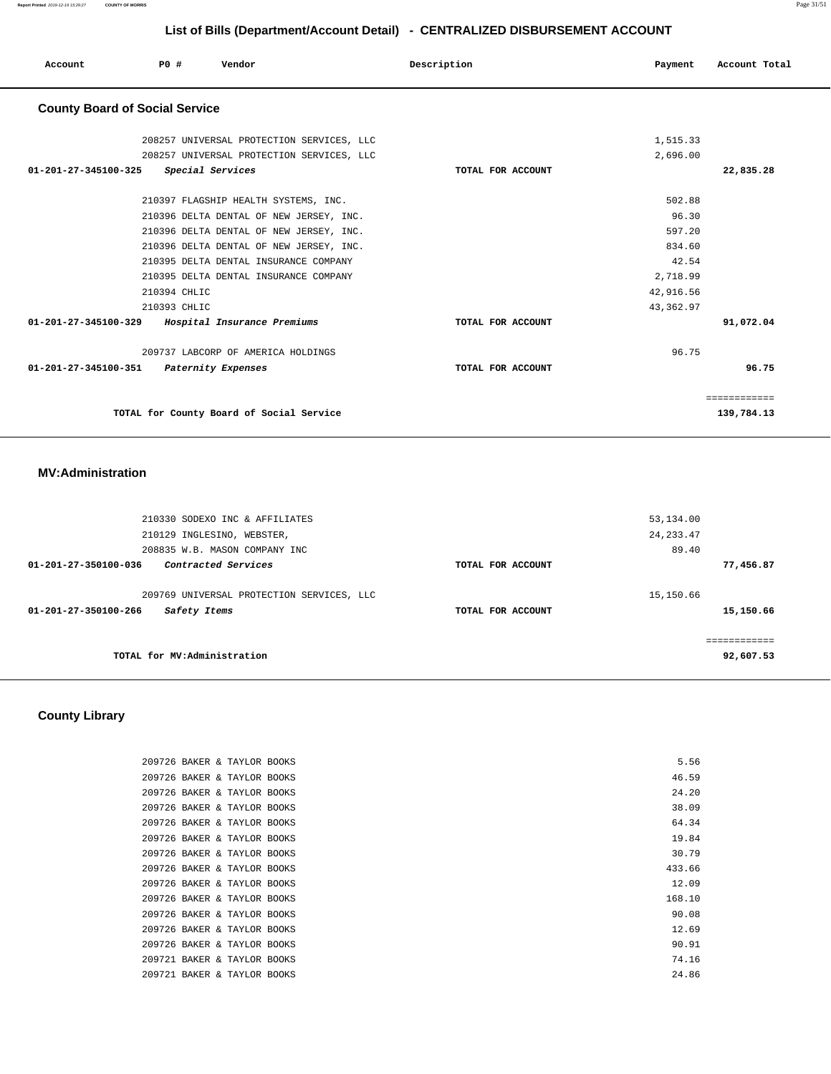**Report Printed** 2019-12-19 15:29:27 **COUNTY OF MORRIS** Page 31/51

# **List of Bills (Department/Account Detail) - CENTRALIZED DISBURSEMENT ACCOUNT**

| Account                               | PO#          | Vendor                                    | Description       | Payment    | Account Total |
|---------------------------------------|--------------|-------------------------------------------|-------------------|------------|---------------|
| <b>County Board of Social Service</b> |              |                                           |                   |            |               |
|                                       |              | 208257 UNIVERSAL PROTECTION SERVICES, LLC |                   | 1,515.33   |               |
|                                       |              | 208257 UNIVERSAL PROTECTION SERVICES, LLC |                   | 2,696.00   |               |
| 01-201-27-345100-325                  |              | Special Services                          | TOTAL FOR ACCOUNT |            | 22,835.28     |
|                                       |              | 210397 FLAGSHIP HEALTH SYSTEMS, INC.      |                   | 502.88     |               |
|                                       |              | 210396 DELTA DENTAL OF NEW JERSEY, INC.   |                   | 96.30      |               |
|                                       |              | 210396 DELTA DENTAL OF NEW JERSEY, INC.   |                   | 597.20     |               |
|                                       |              | 210396 DELTA DENTAL OF NEW JERSEY, INC.   |                   | 834.60     |               |
|                                       |              | 210395 DELTA DENTAL INSURANCE COMPANY     |                   | 42.54      |               |
|                                       |              | 210395 DELTA DENTAL INSURANCE COMPANY     |                   | 2,718.99   |               |
|                                       | 210394 CHLIC |                                           |                   | 42,916.56  |               |
|                                       | 210393 CHLIC |                                           |                   | 43, 362.97 |               |
| 01-201-27-345100-329                  |              | Hospital Insurance Premiums               | TOTAL FOR ACCOUNT |            | 91,072.04     |
|                                       |              | 209737 LABCORP OF AMERICA HOLDINGS        |                   | 96.75      |               |
| 01-201-27-345100-351                  |              | Paternity Expenses                        | TOTAL FOR ACCOUNT |            | 96.75         |
|                                       |              |                                           |                   |            | ============  |
|                                       |              | TOTAL for County Board of Social Service  |                   |            | 139,784.13    |

#### **MV:Administration**

| 210330 SODEXO INC & AFFILIATES              |                   | 53,134.00    |
|---------------------------------------------|-------------------|--------------|
| 210129 INGLESINO, WEBSTER,                  |                   | 24, 233.47   |
| 208835 W.B. MASON COMPANY INC               |                   | 89.40        |
| Contracted Services<br>01-201-27-350100-036 | TOTAL FOR ACCOUNT | 77,456.87    |
|                                             |                   |              |
| 209769 UNIVERSAL PROTECTION SERVICES, LLC   |                   | 15,150.66    |
| 01-201-27-350100-266<br>Safety Items        | TOTAL FOR ACCOUNT | 15,150.66    |
|                                             |                   |              |
|                                             |                   | ------------ |
| TOTAL for MV:Administration                 | 92,607.53         |              |
|                                             |                   |              |

# **County Library**

| 209726 BAKER & TAYLOR BOOKS |  |  | 5.56   |
|-----------------------------|--|--|--------|
| 209726 BAKER & TAYLOR BOOKS |  |  | 46.59  |
| 209726 BAKER & TAYLOR BOOKS |  |  | 24.20  |
| 209726 BAKER & TAYLOR BOOKS |  |  | 38.09  |
| 209726 BAKER & TAYLOR BOOKS |  |  | 64.34  |
| 209726 BAKER & TAYLOR BOOKS |  |  | 19.84  |
| 209726 BAKER & TAYLOR BOOKS |  |  | 30.79  |
| 209726 BAKER & TAYLOR BOOKS |  |  | 433.66 |
| 209726 BAKER & TAYLOR BOOKS |  |  | 12.09  |
| 209726 BAKER & TAYLOR BOOKS |  |  | 168.10 |
| 209726 BAKER & TAYLOR BOOKS |  |  | 90.08  |
| 209726 BAKER & TAYLOR BOOKS |  |  | 12.69  |
| 209726 BAKER & TAYLOR BOOKS |  |  | 90.91  |
| 209721 BAKER & TAYLOR BOOKS |  |  | 74.16  |
| 209721 BAKER & TAYLOR BOOKS |  |  | 24.86  |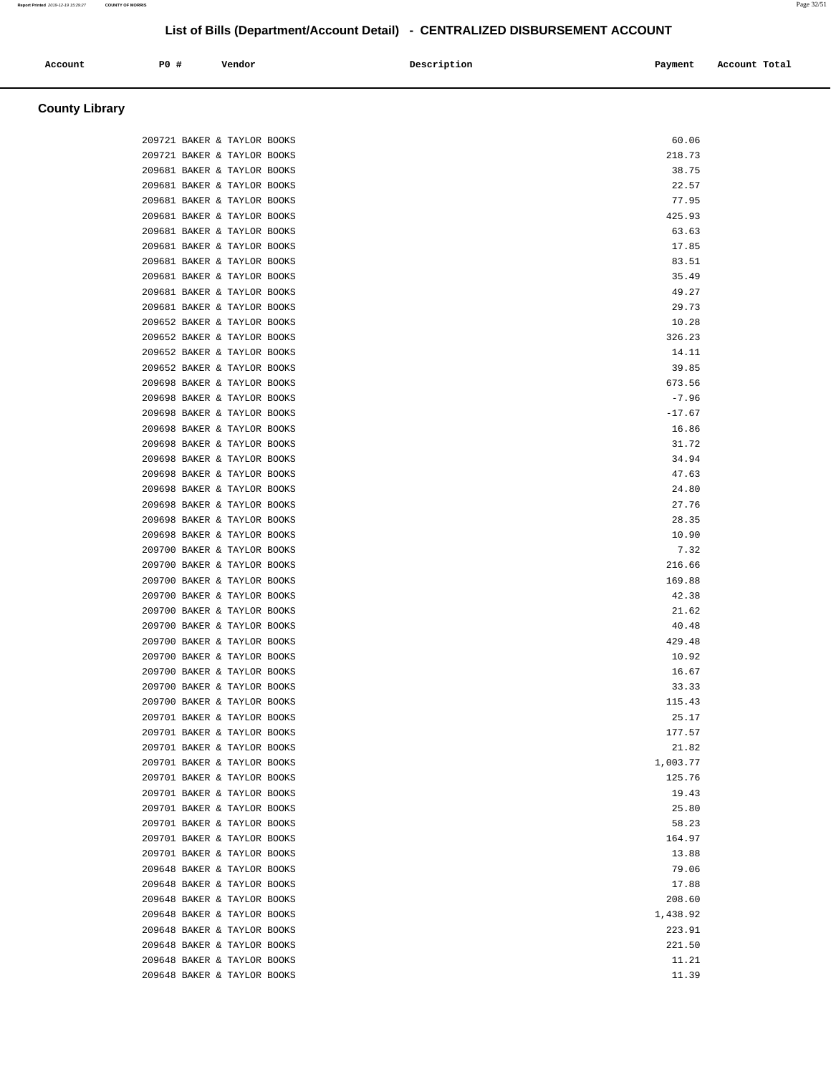| Account | PO# | Vendor | Description | Payment | Account Total |
|---------|-----|--------|-------------|---------|---------------|
|         |     |        |             |         |               |

# **County Library**

| 209721 BAKER & TAYLOR BOOKS |  | 60.06    |  |
|-----------------------------|--|----------|--|
| 209721 BAKER & TAYLOR BOOKS |  | 218.73   |  |
| 209681 BAKER & TAYLOR BOOKS |  | 38.75    |  |
| 209681 BAKER & TAYLOR BOOKS |  | 22.57    |  |
| 209681 BAKER & TAYLOR BOOKS |  | 77.95    |  |
| 209681 BAKER & TAYLOR BOOKS |  | 425.93   |  |
| 209681 BAKER & TAYLOR BOOKS |  | 63.63    |  |
| 209681 BAKER & TAYLOR BOOKS |  | 17.85    |  |
| 209681 BAKER & TAYLOR BOOKS |  | 83.51    |  |
| 209681 BAKER & TAYLOR BOOKS |  | 35.49    |  |
| 209681 BAKER & TAYLOR BOOKS |  | 49.27    |  |
| 209681 BAKER & TAYLOR BOOKS |  | 29.73    |  |
| 209652 BAKER & TAYLOR BOOKS |  | 10.28    |  |
| 209652 BAKER & TAYLOR BOOKS |  | 326.23   |  |
| 209652 BAKER & TAYLOR BOOKS |  | 14.11    |  |
| 209652 BAKER & TAYLOR BOOKS |  | 39.85    |  |
| 209698 BAKER & TAYLOR BOOKS |  | 673.56   |  |
| 209698 BAKER & TAYLOR BOOKS |  | $-7.96$  |  |
| 209698 BAKER & TAYLOR BOOKS |  | $-17.67$ |  |
| 209698 BAKER & TAYLOR BOOKS |  | 16.86    |  |
| 209698 BAKER & TAYLOR BOOKS |  | 31.72    |  |
| 209698 BAKER & TAYLOR BOOKS |  | 34.94    |  |
| 209698 BAKER & TAYLOR BOOKS |  | 47.63    |  |
| 209698 BAKER & TAYLOR BOOKS |  | 24.80    |  |
| 209698 BAKER & TAYLOR BOOKS |  | 27.76    |  |
| 209698 BAKER & TAYLOR BOOKS |  | 28.35    |  |
| 209698 BAKER & TAYLOR BOOKS |  | 10.90    |  |
| 209700 BAKER & TAYLOR BOOKS |  | 7.32     |  |
| 209700 BAKER & TAYLOR BOOKS |  | 216.66   |  |
| 209700 BAKER & TAYLOR BOOKS |  | 169.88   |  |
| 209700 BAKER & TAYLOR BOOKS |  | 42.38    |  |
| 209700 BAKER & TAYLOR BOOKS |  | 21.62    |  |
| 209700 BAKER & TAYLOR BOOKS |  | 40.48    |  |
| 209700 BAKER & TAYLOR BOOKS |  | 429.48   |  |
| 209700 BAKER & TAYLOR BOOKS |  | 10.92    |  |
| 209700 BAKER & TAYLOR BOOKS |  | 16.67    |  |
| 209700 BAKER & TAYLOR BOOKS |  | 33.33    |  |
| 209700 BAKER & TAYLOR BOOKS |  | 115.43   |  |
| 209701 BAKER & TAYLOR BOOKS |  | 25.17    |  |
| 209701 BAKER & TAYLOR BOOKS |  | 177.57   |  |
| 209701 BAKER & TAYLOR BOOKS |  | 21.82    |  |
| 209701 BAKER & TAYLOR BOOKS |  | 1,003.77 |  |
| 209701 BAKER & TAYLOR BOOKS |  | 125.76   |  |
| 209701 BAKER & TAYLOR BOOKS |  | 19.43    |  |
| 209701 BAKER & TAYLOR BOOKS |  | 25.80    |  |
| 209701 BAKER & TAYLOR BOOKS |  | 58.23    |  |
| 209701 BAKER & TAYLOR BOOKS |  | 164.97   |  |
| 209701 BAKER & TAYLOR BOOKS |  | 13.88    |  |
| 209648 BAKER & TAYLOR BOOKS |  | 79.06    |  |
| 209648 BAKER & TAYLOR BOOKS |  | 17.88    |  |
| 209648 BAKER & TAYLOR BOOKS |  | 208.60   |  |
| 209648 BAKER & TAYLOR BOOKS |  | 1,438.92 |  |
| 209648 BAKER & TAYLOR BOOKS |  | 223.91   |  |
| 209648 BAKER & TAYLOR BOOKS |  | 221.50   |  |
| 209648 BAKER & TAYLOR BOOKS |  | 11.21    |  |
| 209648 BAKER & TAYLOR BOOKS |  | 11.39    |  |
|                             |  |          |  |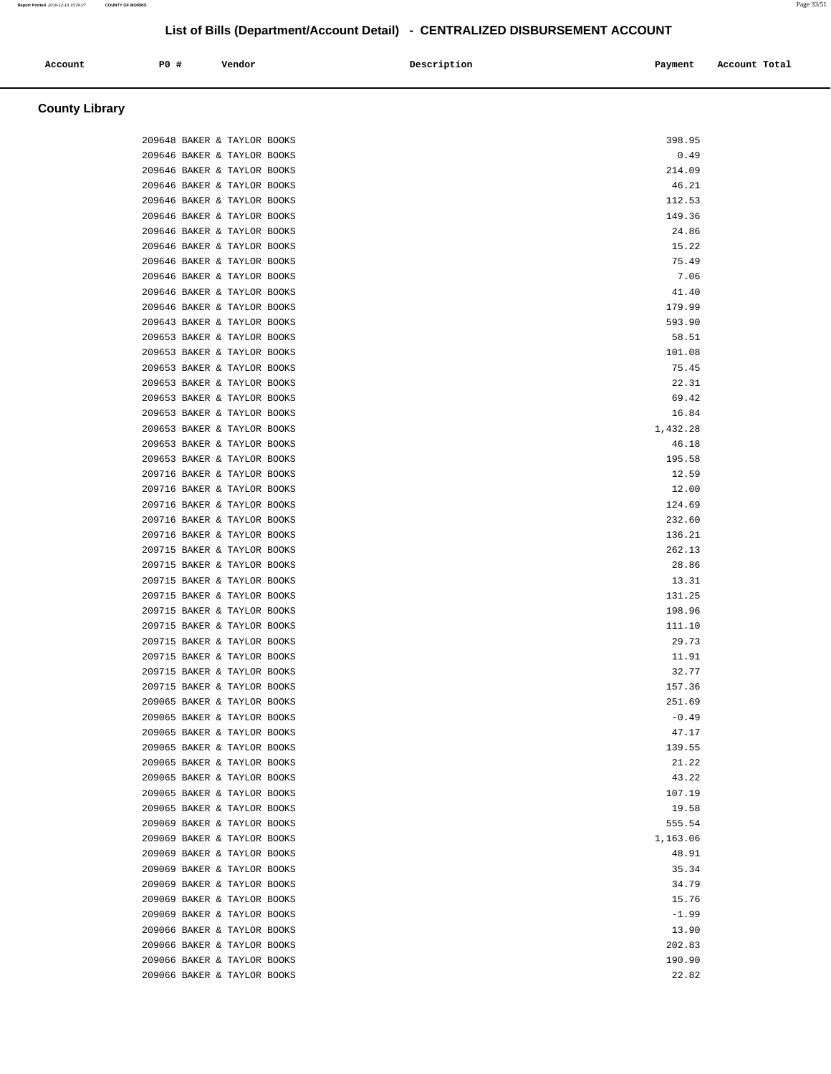| Account | <b>PO #</b> | Vendor | Description | Account Total<br>Payment |
|---------|-------------|--------|-------------|--------------------------|
|         |             |        |             |                          |

| County Library |  |
|----------------|--|
|----------------|--|

|  | 209648 BAKER & TAYLOR BOOKS | 398.95   |
|--|-----------------------------|----------|
|  | 209646 BAKER & TAYLOR BOOKS | 0.49     |
|  | 209646 BAKER & TAYLOR BOOKS | 214.09   |
|  | 209646 BAKER & TAYLOR BOOKS | 46.21    |
|  | 209646 BAKER & TAYLOR BOOKS | 112.53   |
|  | 209646 BAKER & TAYLOR BOOKS | 149.36   |
|  | 209646 BAKER & TAYLOR BOOKS | 24.86    |
|  | 209646 BAKER & TAYLOR BOOKS | 15.22    |
|  | 209646 BAKER & TAYLOR BOOKS | 75.49    |
|  | 209646 BAKER & TAYLOR BOOKS | 7.06     |
|  | 209646 BAKER & TAYLOR BOOKS | 41.40    |
|  | 209646 BAKER & TAYLOR BOOKS | 179.99   |
|  | 209643 BAKER & TAYLOR BOOKS | 593.90   |
|  | 209653 BAKER & TAYLOR BOOKS | 58.51    |
|  | 209653 BAKER & TAYLOR BOOKS | 101.08   |
|  | 209653 BAKER & TAYLOR BOOKS | 75.45    |
|  | 209653 BAKER & TAYLOR BOOKS | 22.31    |
|  | 209653 BAKER & TAYLOR BOOKS | 69.42    |
|  | 209653 BAKER & TAYLOR BOOKS | 16.84    |
|  | 209653 BAKER & TAYLOR BOOKS | 1,432.28 |
|  | 209653 BAKER & TAYLOR BOOKS | 46.18    |
|  | 209653 BAKER & TAYLOR BOOKS | 195.58   |
|  | 209716 BAKER & TAYLOR BOOKS | 12.59    |
|  | 209716 BAKER & TAYLOR BOOKS | 12.00    |
|  | 209716 BAKER & TAYLOR BOOKS | 124.69   |
|  | 209716 BAKER & TAYLOR BOOKS | 232.60   |
|  | 209716 BAKER & TAYLOR BOOKS | 136.21   |
|  | 209715 BAKER & TAYLOR BOOKS | 262.13   |
|  | 209715 BAKER & TAYLOR BOOKS | 28.86    |
|  | 209715 BAKER & TAYLOR BOOKS | 13.31    |
|  | 209715 BAKER & TAYLOR BOOKS | 131.25   |
|  | 209715 BAKER & TAYLOR BOOKS | 198.96   |
|  | 209715 BAKER & TAYLOR BOOKS | 111.10   |
|  | 209715 BAKER & TAYLOR BOOKS | 29.73    |
|  | 209715 BAKER & TAYLOR BOOKS | 11.91    |
|  | 209715 BAKER & TAYLOR BOOKS | 32.77    |
|  | 209715 BAKER & TAYLOR BOOKS | 157.36   |
|  | 209065 BAKER & TAYLOR BOOKS | 251.69   |
|  | 209065 BAKER & TAYLOR BOOKS | $-0.49$  |
|  | 209065 BAKER & TAYLOR BOOKS | 47.17    |
|  | 209065 BAKER & TAYLOR BOOKS | 139.55   |
|  | 209065 BAKER & TAYLOR BOOKS | 21.22    |
|  | 209065 BAKER & TAYLOR BOOKS | 43.22    |
|  | 209065 BAKER & TAYLOR BOOKS | 107.19   |
|  | 209065 BAKER & TAYLOR BOOKS | 19.58    |
|  | 209069 BAKER & TAYLOR BOOKS | 555.54   |
|  | 209069 BAKER & TAYLOR BOOKS | 1,163.06 |
|  | 209069 BAKER & TAYLOR BOOKS | 48.91    |
|  | 209069 BAKER & TAYLOR BOOKS | 35.34    |
|  | 209069 BAKER & TAYLOR BOOKS | 34.79    |
|  | 209069 BAKER & TAYLOR BOOKS | 15.76    |
|  | 209069 BAKER & TAYLOR BOOKS | $-1.99$  |
|  | 209066 BAKER & TAYLOR BOOKS | 13.90    |
|  | 209066 BAKER & TAYLOR BOOKS | 202.83   |
|  | 209066 BAKER & TAYLOR BOOKS | 190.90   |
|  | 209066 BAKER & TAYLOR BOOKS | 22.82    |
|  |                             |          |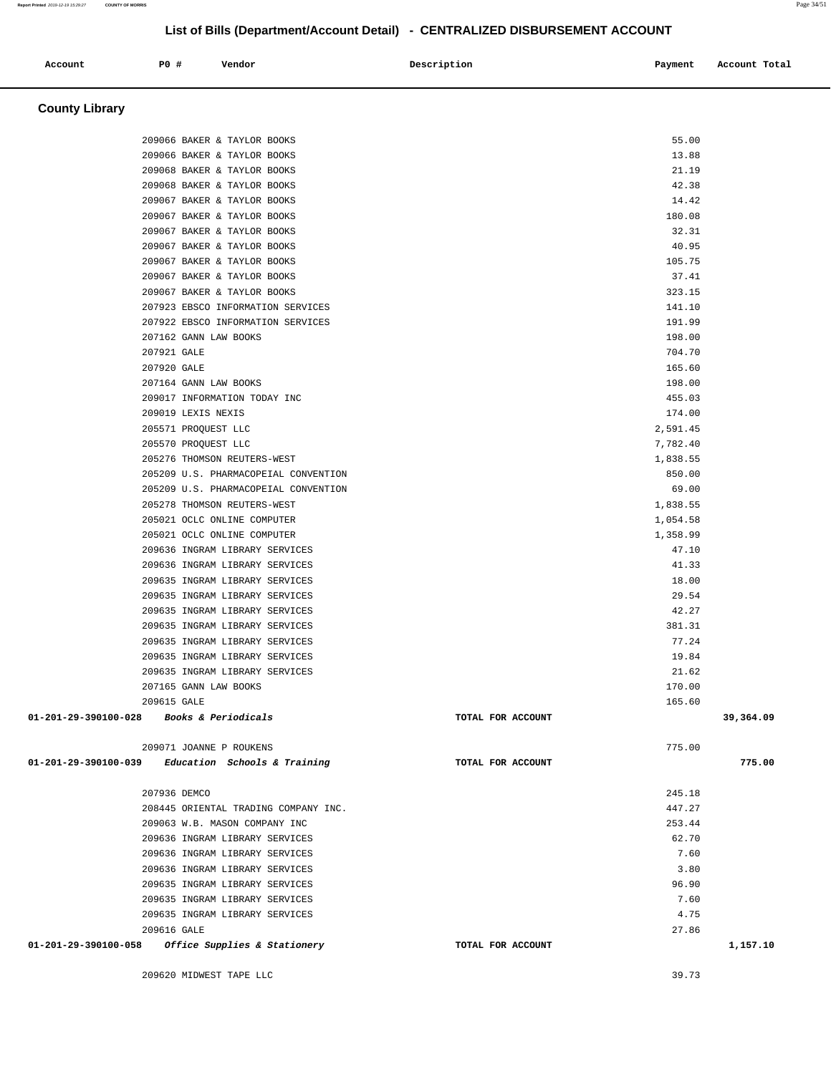**County Library**  209066 BAKER & TAYLOR BOOKS 55.00 209066 BAKER & TAYLOR BOOKS 13.88 209068 BAKER & TAYLOR BOOKS 21.19 209068 BAKER & TAYLOR BOOKS 42.38 209067 BAKER & TAYLOR BOOKS 14.42 209067 BAKER & TAYLOR BOOKS 180.08 209067 BAKER & TAYLOR BOOKS 32.31 209067 BAKER & TAYLOR BOOKS 40.95 209067 BAKER & TAYLOR BOOKS 105.75 209067 BAKER & TAYLOR BOOKS 37.41 209067 BAKER & TAYLOR BOOKS 323.15 207923 EBSCO INFORMATION SERVICES 141.10 207922 EBSCO INFORMATION SERVICES 191.99 207162 GANN LAW BOOKS 198.00  $207921$  GALE  $704.70$ 207920 GALE 165.60 207164 GANN LAW BOOKS 198.00 209017 INFORMATION TODAY INC 455.03 209019 LEXIS NEXIS 174.00 205571 PROQUEST LLC 2,591.45 205570 PROQUEST LLC 7,782.40 205276 THOMSON REUTERS-WEST 1,838.55 205209 U.S. PHARMACOPEIAL CONVENTION 850.00 205209 U.S. PHARMACOPEIAL CONVENTION 69.00 205278 THOMSON REUTERS-WEST 1,838.55 205021 OCLC ONLINE COMPUTER 1,054.58 205021 OCLC ONLINE COMPUTER 1,358.99 209636 INGRAM LIBRARY SERVICES 47.10 209636 INGRAM LIBRARY SERVICES 41.33 209635 INGRAM LIBRARY SERVICES 18.00 209635 INGRAM LIBRARY SERVICES 29.54 209635 INGRAM LIBRARY SERVICES 42.27 209635 INGRAM LIBRARY SERVICES 381.31 209635 INGRAM LIBRARY SERVICES 77.24 209635 INGRAM LIBRARY SERVICES 19.84 209635 INGRAM LIBRARY SERVICES 21.62 207165 GANN LAW BOOKS 170.00  $209615$  GALE  $165.60$  **01-201-29-390100-028 Books & Periodicals TOTAL FOR ACCOUNT 39,364.09** 209071 JOANNE P ROUKENS 775.00  **01-201-29-390100-039 Education Schools & Training TOTAL FOR ACCOUNT 775.00** 207936 DEMCO 245.18 208445 ORIENTAL TRADING COMPANY INC. 447.27 209063 W.B. MASON COMPANY INC 253.44 209636 INGRAM LIBRARY SERVICES 62.70 209636 INGRAM LIBRARY SERVICES 7.60 209636 INGRAM LIBRARY SERVICES 3.80 209635 INGRAM LIBRARY SERVICES 96.90 209635 INGRAM LIBRARY SERVICES 7.60 209635 INGRAM LIBRARY SERVICES 4.75 209616 GALE 27.86  **01-201-29-390100-058 Office Supplies & Stationery TOTAL FOR ACCOUNT 1,157.10** 209620 MIDWEST TAPE LLC 39.73

 **Account P0 # Vendor Description Payment Account Total**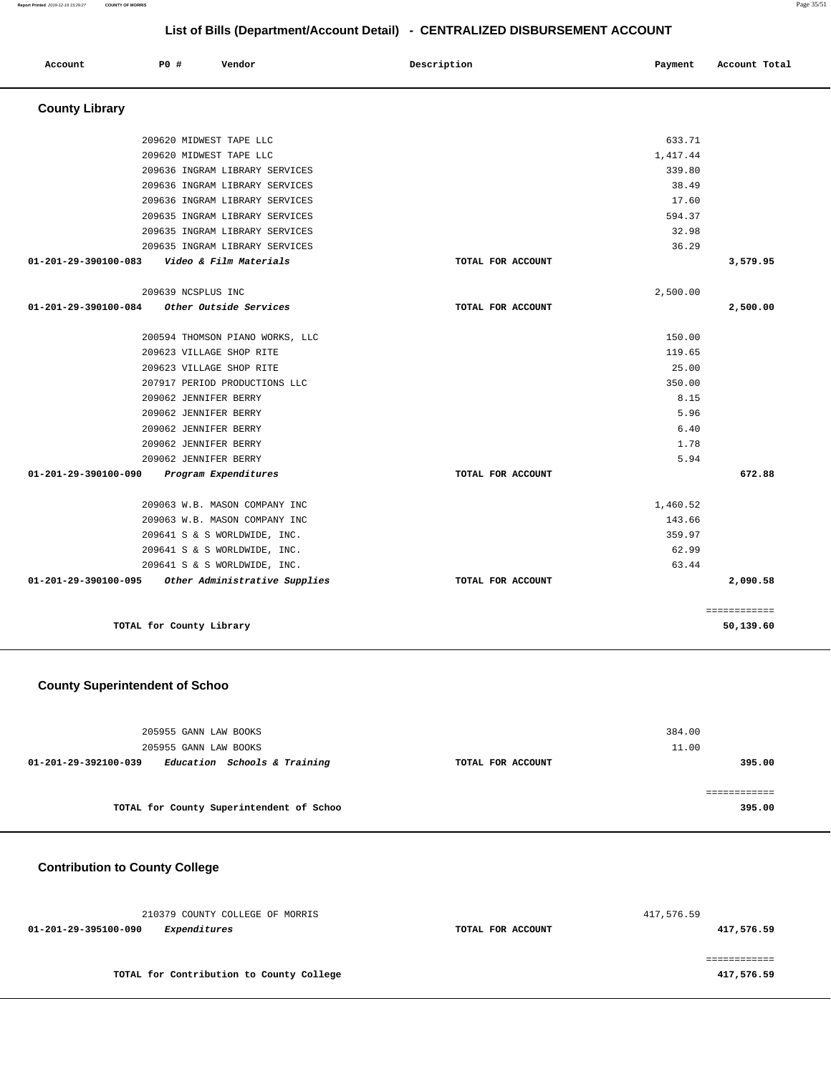| Account               | PO#                      | Vendor                          | Description       | Payment  | Account Total |
|-----------------------|--------------------------|---------------------------------|-------------------|----------|---------------|
| <b>County Library</b> |                          |                                 |                   |          |               |
|                       | 209620 MIDWEST TAPE LLC  |                                 |                   | 633.71   |               |
|                       | 209620 MIDWEST TAPE LLC  |                                 |                   | 1,417.44 |               |
|                       |                          | 209636 INGRAM LIBRARY SERVICES  |                   | 339.80   |               |
|                       |                          | 209636 INGRAM LIBRARY SERVICES  |                   | 38.49    |               |
|                       |                          | 209636 INGRAM LIBRARY SERVICES  |                   | 17.60    |               |
|                       |                          | 209635 INGRAM LIBRARY SERVICES  |                   | 594.37   |               |
|                       |                          | 209635 INGRAM LIBRARY SERVICES  |                   | 32.98    |               |
|                       |                          | 209635 INGRAM LIBRARY SERVICES  |                   | 36.29    |               |
| 01-201-29-390100-083  |                          | Video & Film Materials          | TOTAL FOR ACCOUNT |          | 3,579.95      |
|                       | 209639 NCSPLUS INC       |                                 |                   | 2,500.00 |               |
| 01-201-29-390100-084  |                          | Other Outside Services          | TOTAL FOR ACCOUNT |          | 2,500.00      |
|                       |                          | 200594 THOMSON PIANO WORKS, LLC |                   | 150.00   |               |
|                       | 209623 VILLAGE SHOP RITE |                                 |                   | 119.65   |               |
|                       | 209623 VILLAGE SHOP RITE |                                 |                   | 25.00    |               |
|                       |                          | 207917 PERIOD PRODUCTIONS LLC   |                   | 350.00   |               |
|                       | 209062 JENNIFER BERRY    |                                 |                   | 8.15     |               |
|                       | 209062 JENNIFER BERRY    |                                 |                   | 5.96     |               |
|                       | 209062 JENNIFER BERRY    |                                 |                   | 6.40     |               |
|                       | 209062 JENNIFER BERRY    |                                 |                   | 1.78     |               |
|                       | 209062 JENNIFER BERRY    |                                 |                   | 5.94     |               |
| 01-201-29-390100-090  |                          | Program Expenditures            | TOTAL FOR ACCOUNT |          | 672.88        |
|                       |                          | 209063 W.B. MASON COMPANY INC   |                   | 1,460.52 |               |
|                       |                          | 209063 W.B. MASON COMPANY INC   |                   | 143.66   |               |
|                       |                          | 209641 S & S WORLDWIDE, INC.    |                   | 359.97   |               |
|                       |                          | 209641 S & S WORLDWIDE, INC.    |                   | 62.99    |               |
|                       |                          | 209641 S & S WORLDWIDE, INC.    |                   | 63.44    |               |
| 01-201-29-390100-095  |                          | Other Administrative Supplies   | TOTAL FOR ACCOUNT |          | 2,090.58      |
|                       |                          |                                 |                   |          | ============  |
|                       | TOTAL for County Library |                                 |                   |          | 50,139.60     |

# **County Superintendent of Schoo**

| 205955 GANN LAW BOOKS<br>205955 GANN LAW BOOKS       |                   | 384.00<br>11.00 |
|------------------------------------------------------|-------------------|-----------------|
| Education Schools & Training<br>01-201-29-392100-039 | TOTAL FOR ACCOUNT | 395.00          |
| TOTAL for County Superintendent of Schoo             |                   | 395.00          |

# **Contribution to County College**

| 210379 COUNTY COLLEGE OF MORRIS             |                   | 417,576.59 |
|---------------------------------------------|-------------------|------------|
| <i>Expenditures</i><br>01-201-29-395100-090 | TOTAL FOR ACCOUNT | 417,576.59 |
|                                             |                   |            |
|                                             |                   |            |
| TOTAL for Contribution to County College    |                   | 417,576.59 |

**Report Printed** 2019-12-19 15:29:27 **COUNTY OF MORRIS** Page 35/51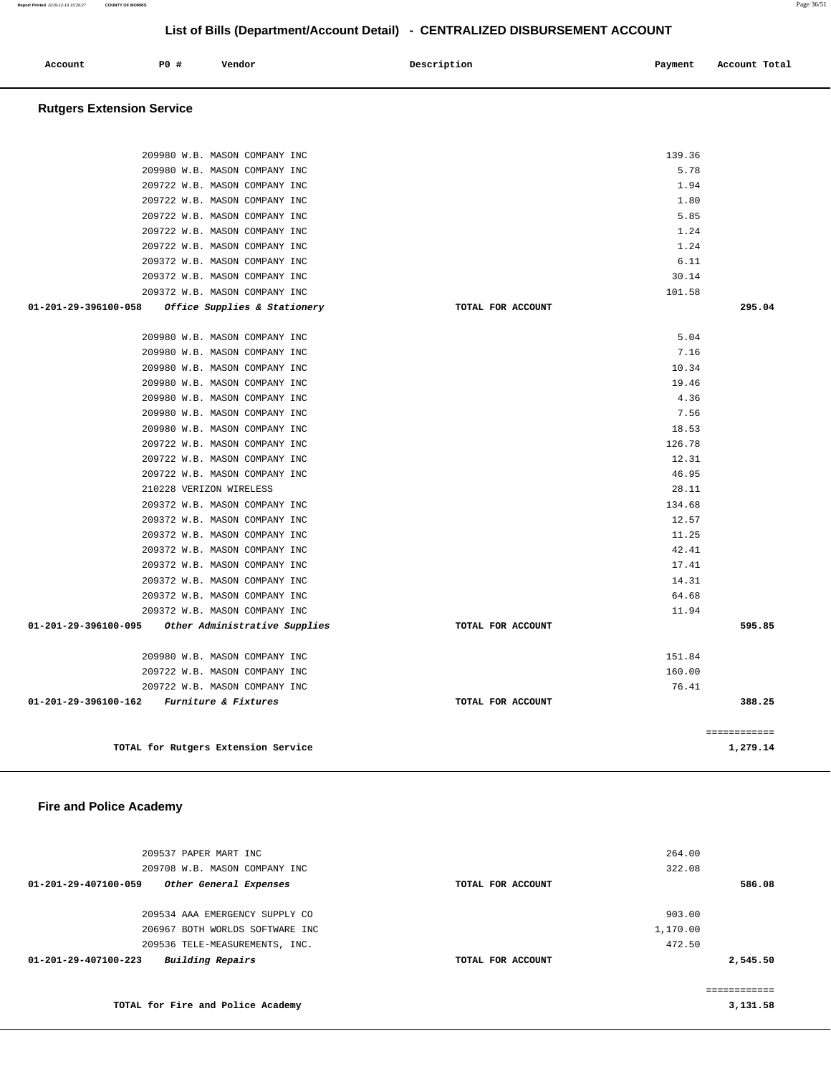| Account | <b>PO #</b> | Vendor | Description<br>$\sim$ $\sim$ | Payment | Account Total<br>. |
|---------|-------------|--------|------------------------------|---------|--------------------|
|         |             |        |                              |         |                    |

### **Rutgers Extension Service**

| 134.68<br>12.57<br>11.25<br>42.41<br>17.41<br>14.31<br>64.68<br>11.94<br>TOTAL FOR ACCOUNT<br>595.85<br>151.84<br>160.00<br>76.41<br>388.25<br>TOTAL FOR ACCOUNT<br>============ |
|----------------------------------------------------------------------------------------------------------------------------------------------------------------------------------|
|                                                                                                                                                                                  |
|                                                                                                                                                                                  |
|                                                                                                                                                                                  |
|                                                                                                                                                                                  |
|                                                                                                                                                                                  |
|                                                                                                                                                                                  |
|                                                                                                                                                                                  |
|                                                                                                                                                                                  |
|                                                                                                                                                                                  |
|                                                                                                                                                                                  |
|                                                                                                                                                                                  |
|                                                                                                                                                                                  |
|                                                                                                                                                                                  |
| 28.11                                                                                                                                                                            |
| 46.95                                                                                                                                                                            |
| 12.31                                                                                                                                                                            |
| 126.78                                                                                                                                                                           |
| 18.53                                                                                                                                                                            |
| 4.36<br>7.56                                                                                                                                                                     |
| 19.46                                                                                                                                                                            |
| 10.34                                                                                                                                                                            |
| 7.16                                                                                                                                                                             |
| 5.04                                                                                                                                                                             |
| 295.04<br>TOTAL FOR ACCOUNT                                                                                                                                                      |
| 101.58                                                                                                                                                                           |
| 30.14                                                                                                                                                                            |
| 6.11                                                                                                                                                                             |
| 1.24                                                                                                                                                                             |
| 1.24                                                                                                                                                                             |
| 5.85                                                                                                                                                                             |
| 1.80                                                                                                                                                                             |
| 1.94                                                                                                                                                                             |
| 5.78                                                                                                                                                                             |
|                                                                                                                                                                                  |

### **Fire and Police Academy**

| 209537 PAPER MART INC<br>209708 W.B. MASON COMPANY INC |                   | 264.00<br>322.08 |              |
|--------------------------------------------------------|-------------------|------------------|--------------|
| 01-201-29-407100-059<br>Other General Expenses         | TOTAL FOR ACCOUNT |                  | 586.08       |
| 209534 AAA EMERGENCY SUPPLY CO                         |                   | 903.00           |              |
| 206967 BOTH WORLDS SOFTWARE INC                        |                   | 1,170.00         |              |
| 209536 TELE-MEASUREMENTS, INC.                         |                   | 472.50           |              |
| Building Repairs<br>$01 - 201 - 29 - 407100 - 223$     | TOTAL FOR ACCOUNT |                  | 2,545.50     |
|                                                        |                   |                  | ============ |
| TOTAL for Fire and Police Academy                      |                   |                  | 3,131.58     |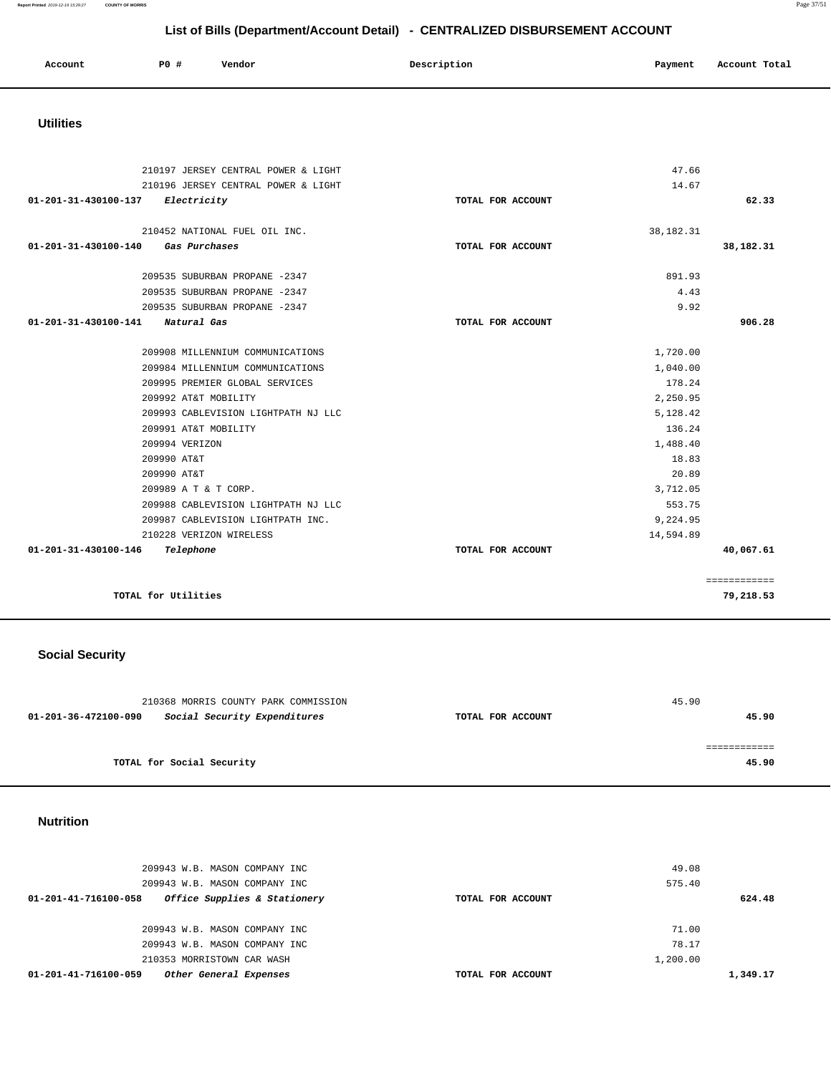| Account<br>. | <b>PO #</b> | Vendor | Description | Payment<br>. | Account Total |
|--------------|-------------|--------|-------------|--------------|---------------|
|              |             |        |             |              |               |

### **Utilities**

| 210197 JERSEY CENTRAL POWER & LIGHT   |                   | 47.66       |              |
|---------------------------------------|-------------------|-------------|--------------|
| 210196 JERSEY CENTRAL POWER & LIGHT   |                   | 14.67       |              |
| Electricity<br>01-201-31-430100-137   | TOTAL FOR ACCOUNT |             | 62.33        |
|                                       |                   |             |              |
| 210452 NATIONAL FUEL OIL INC.         |                   | 38, 182. 31 |              |
| 01-201-31-430100-140<br>Gas Purchases | TOTAL FOR ACCOUNT |             | 38,182.31    |
|                                       |                   |             |              |
| 209535 SUBURBAN PROPANE -2347         |                   | 891.93      |              |
| 209535 SUBURBAN PROPANE -2347         |                   | 4.43        |              |
| 209535 SUBURBAN PROPANE -2347         |                   | 9.92        |              |
| 01-201-31-430100-141<br>Natural Gas   | TOTAL FOR ACCOUNT |             | 906.28       |
|                                       |                   |             |              |
| 209908 MILLENNIUM COMMUNICATIONS      |                   | 1,720.00    |              |
| 209984 MILLENNIUM COMMUNICATIONS      |                   | 1,040.00    |              |
| 209995 PREMIER GLOBAL SERVICES        |                   | 178.24      |              |
| 209992 AT&T MOBILITY                  |                   | 2,250.95    |              |
| 209993 CABLEVISION LIGHTPATH NJ LLC   |                   | 5,128.42    |              |
| 209991 AT&T MOBILITY                  |                   | 136.24      |              |
| 209994 VERIZON                        |                   | 1,488.40    |              |
| 209990 AT&T                           |                   | 18.83       |              |
| 209990 AT&T                           |                   | 20.89       |              |
| 209989 A T & T CORP.                  |                   | 3,712.05    |              |
| 209988 CABLEVISION LIGHTPATH NJ LLC   |                   | 553.75      |              |
| 209987 CABLEVISION LIGHTPATH INC.     |                   | 9,224.95    |              |
| 210228 VERIZON WIRELESS               |                   | 14,594.89   |              |
| 01-201-31-430100-146<br>Telephone     | TOTAL FOR ACCOUNT |             | 40,067.61    |
|                                       |                   |             |              |
|                                       |                   |             | ============ |
| TOTAL for Utilities                   |                   |             | 79,218.53    |
|                                       |                   |             |              |

# **Social Security**

| 210368 MORRIS COUNTY PARK COMMISSION                 |                   | 45.90 |
|------------------------------------------------------|-------------------|-------|
| Social Security Expenditures<br>01-201-36-472100-090 | TOTAL FOR ACCOUNT | 45.90 |
|                                                      |                   |       |
|                                                      |                   |       |
| TOTAL for Social Security                            |                   | 45.90 |
|                                                      |                   |       |

## **Nutrition**

| 01-201-41-716100-059<br>Other General Expenses       | TOTAL FOR ACCOUNT | 1,349.17 |
|------------------------------------------------------|-------------------|----------|
| 210353 MORRISTOWN CAR WASH                           | 1,200.00          |          |
| 209943 W.B. MASON COMPANY INC                        | 78.17             |          |
| 209943 W.B. MASON COMPANY INC                        | 71.00             |          |
| Office Supplies & Stationery<br>01-201-41-716100-058 | TOTAL FOR ACCOUNT | 624.48   |
| 209943 W.B. MASON COMPANY INC                        | 575.40            |          |
| 209943 W.B. MASON COMPANY INC                        | 49.08             |          |
|                                                      |                   |          |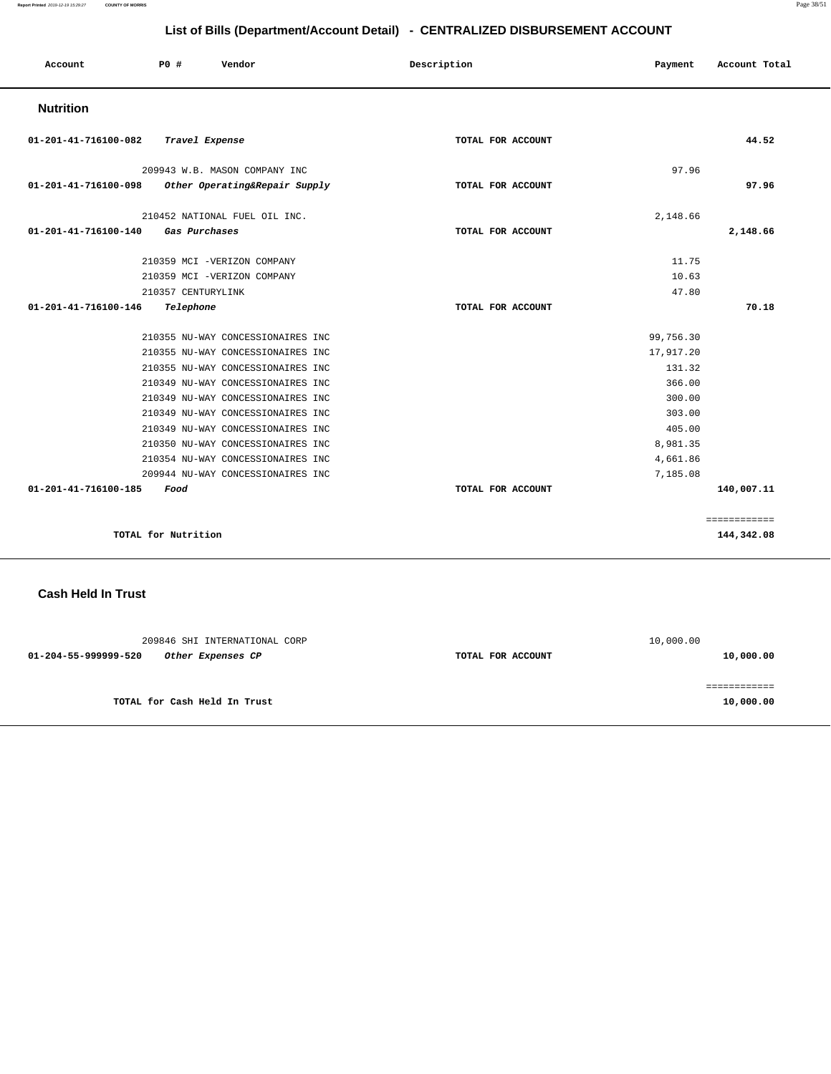**Report Printed** 2019-12-19 15:29:27 **COUNTY OF MORRIS** Page 38/51

## **List of Bills (Department/Account Detail) - CENTRALIZED DISBURSEMENT ACCOUNT**

| Account              | PO#                 | Vendor                            | Description       | Payment   | Account Total |
|----------------------|---------------------|-----------------------------------|-------------------|-----------|---------------|
| <b>Nutrition</b>     |                     |                                   |                   |           |               |
| 01-201-41-716100-082 | Travel Expense      |                                   | TOTAL FOR ACCOUNT |           | 44.52         |
|                      |                     | 209943 W.B. MASON COMPANY INC     |                   | 97.96     |               |
| 01-201-41-716100-098 |                     | Other Operating&Repair Supply     | TOTAL FOR ACCOUNT |           | 97.96         |
|                      |                     | 210452 NATIONAL FUEL OIL INC.     |                   | 2,148.66  |               |
| 01-201-41-716100-140 | Gas Purchases       |                                   | TOTAL FOR ACCOUNT |           | 2,148.66      |
|                      |                     | 210359 MCI -VERIZON COMPANY       |                   | 11.75     |               |
|                      |                     | 210359 MCI -VERIZON COMPANY       |                   | 10.63     |               |
|                      | 210357 CENTURYLINK  |                                   |                   | 47.80     |               |
| 01-201-41-716100-146 | Telephone           |                                   | TOTAL FOR ACCOUNT |           | 70.18         |
|                      |                     | 210355 NU-WAY CONCESSIONAIRES INC |                   | 99,756.30 |               |
|                      |                     | 210355 NU-WAY CONCESSIONAIRES INC |                   | 17,917.20 |               |
|                      |                     | 210355 NU-WAY CONCESSIONAIRES INC |                   | 131.32    |               |
|                      |                     | 210349 NU-WAY CONCESSIONAIRES INC |                   | 366.00    |               |
|                      |                     | 210349 NU-WAY CONCESSIONAIRES INC |                   | 300.00    |               |
|                      |                     | 210349 NU-WAY CONCESSIONAIRES INC |                   | 303.00    |               |
|                      |                     | 210349 NU-WAY CONCESSIONAIRES INC |                   | 405.00    |               |
|                      |                     | 210350 NU-WAY CONCESSIONAIRES INC |                   | 8,981.35  |               |
|                      |                     | 210354 NU-WAY CONCESSIONAIRES INC |                   | 4,661.86  |               |
|                      |                     | 209944 NU-WAY CONCESSIONAIRES INC |                   | 7,185.08  |               |
| 01-201-41-716100-185 | Food                |                                   | TOTAL FOR ACCOUNT |           | 140,007.11    |
|                      |                     |                                   |                   |           | ============  |
|                      | TOTAL for Nutrition |                                   |                   |           | 144,342.08    |

**Cash Held In Trust** 

|                   | 10,000.00 |
|-------------------|-----------|
| TOTAL FOR ACCOUNT | 10,000.00 |
|                   |           |
|                   | 10,000.00 |
|                   |           |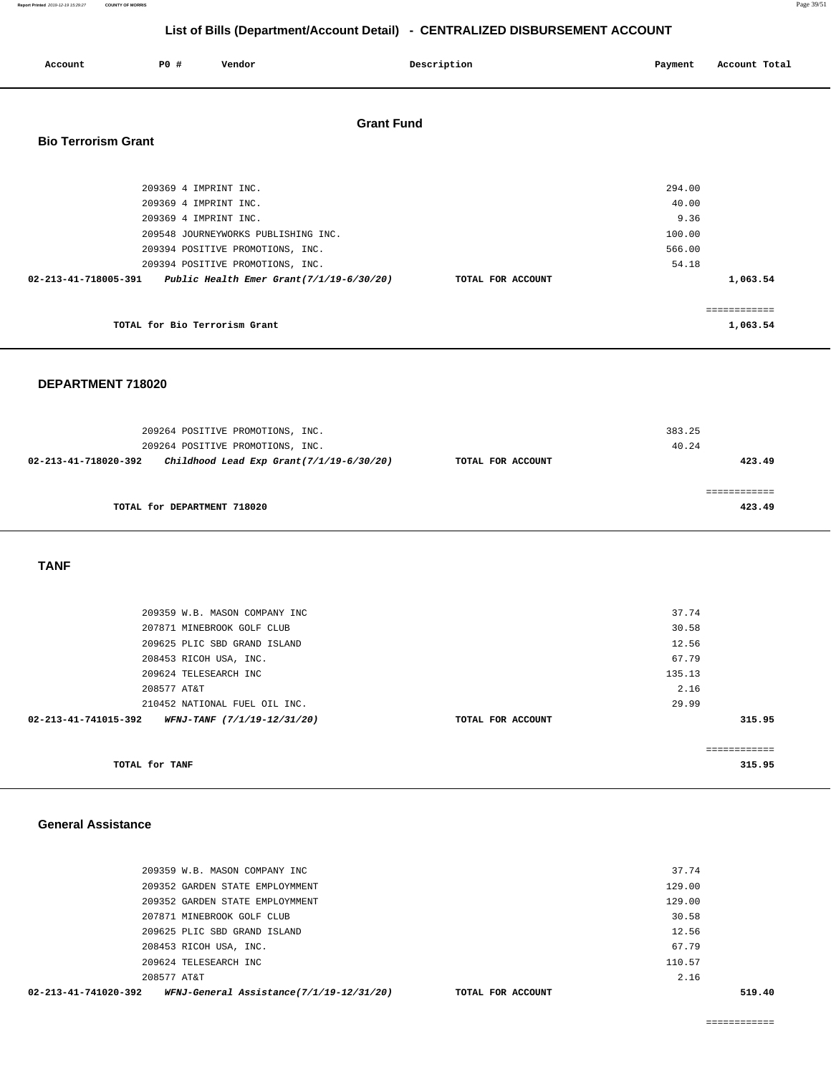| Account                    | <b>PO #</b>           | Vendor                                      |                   | Description       | Payment | Account Total |
|----------------------------|-----------------------|---------------------------------------------|-------------------|-------------------|---------|---------------|
| <b>Bio Terrorism Grant</b> |                       |                                             | <b>Grant Fund</b> |                   |         |               |
|                            | 209369 4 IMPRINT INC. |                                             |                   |                   | 294.00  |               |
|                            | 209369 4 IMPRINT INC. |                                             |                   |                   | 40.00   |               |
|                            |                       | 209369 4 IMPRINT INC.                       |                   |                   | 9.36    |               |
|                            |                       | 209548 JOURNEYWORKS PUBLISHING INC.         |                   |                   | 100.00  |               |
|                            |                       | 209394 POSITIVE PROMOTIONS, INC.            |                   |                   | 566.00  |               |
|                            |                       | 209394 POSITIVE PROMOTIONS, INC.            |                   |                   | 54.18   |               |
| 02-213-41-718005-391       |                       | Public Health Emer Grant $(7/1/19-6/30/20)$ |                   | TOTAL FOR ACCOUNT |         | 1,063.54      |
|                            |                       |                                             |                   |                   |         | ------------  |
|                            |                       | TOTAL for Bio Terrorism Grant               |                   |                   |         | 1,063.54      |

#### **DEPARTMENT 718020**

| 209264 POSITIVE PROMOTIONS, INC.<br>209264 POSITIVE PROMOTIONS, INC. |                   | 383.25<br>40.24 |
|----------------------------------------------------------------------|-------------------|-----------------|
| Childhood Lead Exp Grant $(7/1/19-6/30/20)$<br>02-213-41-718020-392  | TOTAL FOR ACCOUNT | 423.49          |
| TOTAL for DEPARTMENT 718020                                          |                   | 423.49          |

#### **TANF**

| TOTAL for TANF       |                               |                   |        | eeeeeeeeeee<br>315.95 |
|----------------------|-------------------------------|-------------------|--------|-----------------------|
| 02-213-41-741015-392 | WFNJ-TANF (7/1/19-12/31/20)   | TOTAL FOR ACCOUNT |        | 315.95                |
|                      | 210452 NATIONAL FUEL OIL INC. |                   | 29.99  |                       |
|                      | 208577 AT&T                   |                   | 2.16   |                       |
|                      | 209624 TELESEARCH INC         |                   | 135.13 |                       |
|                      | 208453 RICOH USA, INC.        |                   | 67.79  |                       |
|                      | 209625 PLIC SBD GRAND ISLAND  |                   | 12.56  |                       |
|                      | 207871 MINEBROOK GOLF CLUB    |                   | 30.58  |                       |
|                      | 209359 W.B. MASON COMPANY INC |                   | 37.74  |                       |
|                      |                               |                   |        |                       |

#### **General Assistance**

| WFNJ-General Assistance(7/1/19-12/31/20)<br>$02 - 213 - 41 - 741020 - 392$ | TOTAL FOR ACCOUNT |        | 519.40 |
|----------------------------------------------------------------------------|-------------------|--------|--------|
| 208577 AT&T                                                                |                   | 2.16   |        |
| 209624 TELESEARCH INC                                                      |                   | 110.57 |        |
| 208453 RICOH USA, INC.                                                     |                   | 67.79  |        |
| 209625 PLIC SBD GRAND ISLAND                                               |                   | 12.56  |        |
| 207871 MINEBROOK GOLF CLUB                                                 |                   | 30.58  |        |
| 209352 GARDEN STATE EMPLOYMMENT                                            |                   | 129.00 |        |
| 209352 GARDEN STATE EMPLOYMMENT                                            |                   | 129.00 |        |
| 209359 W.B. MASON COMPANY INC                                              |                   | 37.74  |        |
|                                                                            |                   |        |        |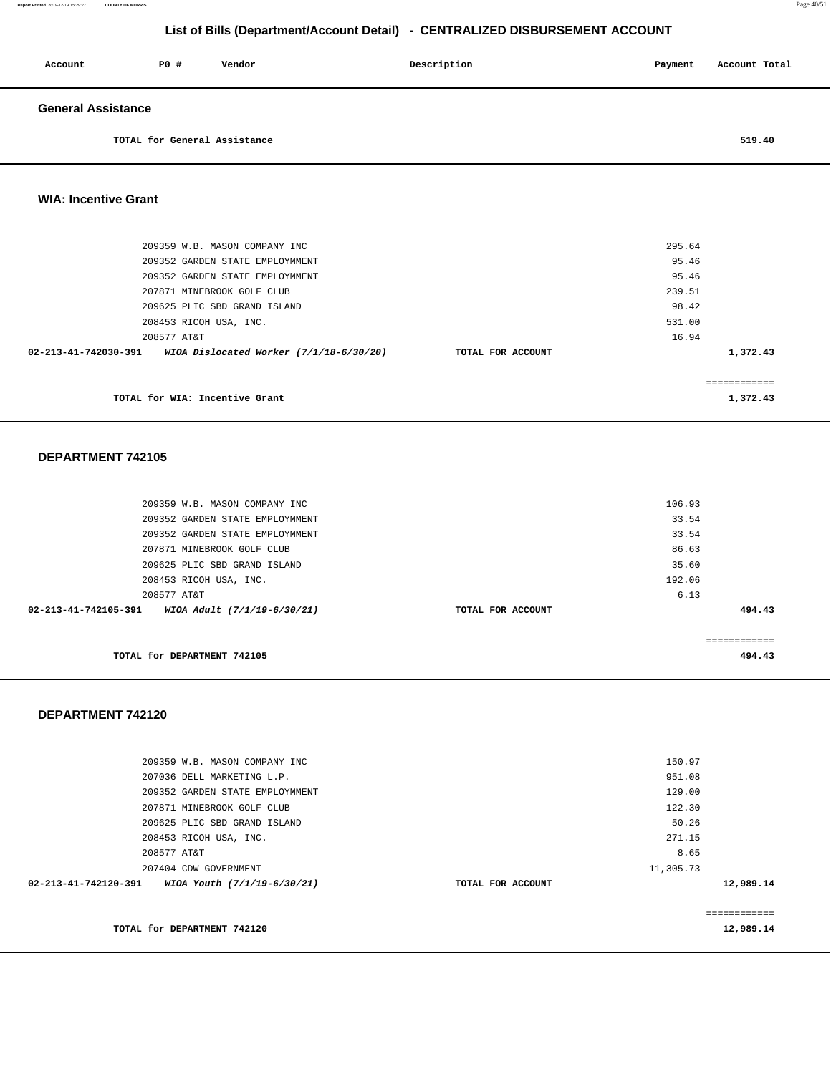| Account                   | PO#                          | Vendor | Description | Payment | Account Total |
|---------------------------|------------------------------|--------|-------------|---------|---------------|
| <b>General Assistance</b> |                              |        |             |         |               |
|                           | TOTAL for General Assistance |        |             |         | 519.40        |

#### **WIA: Incentive Grant**

| TOTAL for WIA: Incentive Grant  |                                         |                   |        | 1,372.43 |
|---------------------------------|-----------------------------------------|-------------------|--------|----------|
| 02-213-41-742030-391            | WIOA Dislocated Worker (7/1/18-6/30/20) | TOTAL FOR ACCOUNT |        | 1,372.43 |
| 208577 AT&T                     |                                         |                   | 16.94  |          |
| 208453 RICOH USA, INC.          |                                         |                   | 531.00 |          |
| 209625 PLIC SBD GRAND ISLAND    |                                         |                   | 98.42  |          |
| 207871 MINEBROOK GOLF CLUB      |                                         |                   | 239.51 |          |
| 209352 GARDEN STATE EMPLOYMMENT |                                         |                   | 95.46  |          |
| 209352 GARDEN STATE EMPLOYMMENT |                                         |                   | 95.46  |          |
| 209359 W.B. MASON COMPANY INC   |                                         |                   | 295.64 |          |
|                                 |                                         |                   |        |          |

#### **DEPARTMENT 742105**

|                      | 209352 GARDEN STATE EMPLOYMMENT<br>209352 GARDEN STATE EMPLOYMMENT |                   | 33.54<br>33.54 |        |
|----------------------|--------------------------------------------------------------------|-------------------|----------------|--------|
|                      |                                                                    |                   |                |        |
|                      | 207871 MINEBROOK GOLF CLUB                                         |                   | 86.63          |        |
|                      | 209625 PLIC SBD GRAND ISLAND                                       |                   | 35.60          |        |
|                      | 208453 RICOH USA, INC.                                             |                   | 192.06         |        |
|                      | 208577 AT&T                                                        |                   | 6.13           |        |
| 02-213-41-742105-391 | WIOA Adult (7/1/19-6/30/21)                                        | TOTAL FOR ACCOUNT |                | 494.43 |
|                      |                                                                    |                   |                |        |
|                      |                                                                    |                   |                |        |
|                      |                                                                    |                   |                |        |
|                      | TOTAL for DEPARTMENT 742105                                        |                   |                | 494.43 |

|                   | 129.00    |                  |
|-------------------|-----------|------------------|
|                   | 122.30    |                  |
|                   | 50.26     |                  |
|                   | 271.15    |                  |
|                   | 8.65      |                  |
|                   | 11,305.73 |                  |
| TOTAL FOR ACCOUNT |           | 12,989.14        |
|                   |           |                  |
|                   |           |                  |
|                   |           | 12,989.14        |
|                   |           | 150.97<br>951.08 |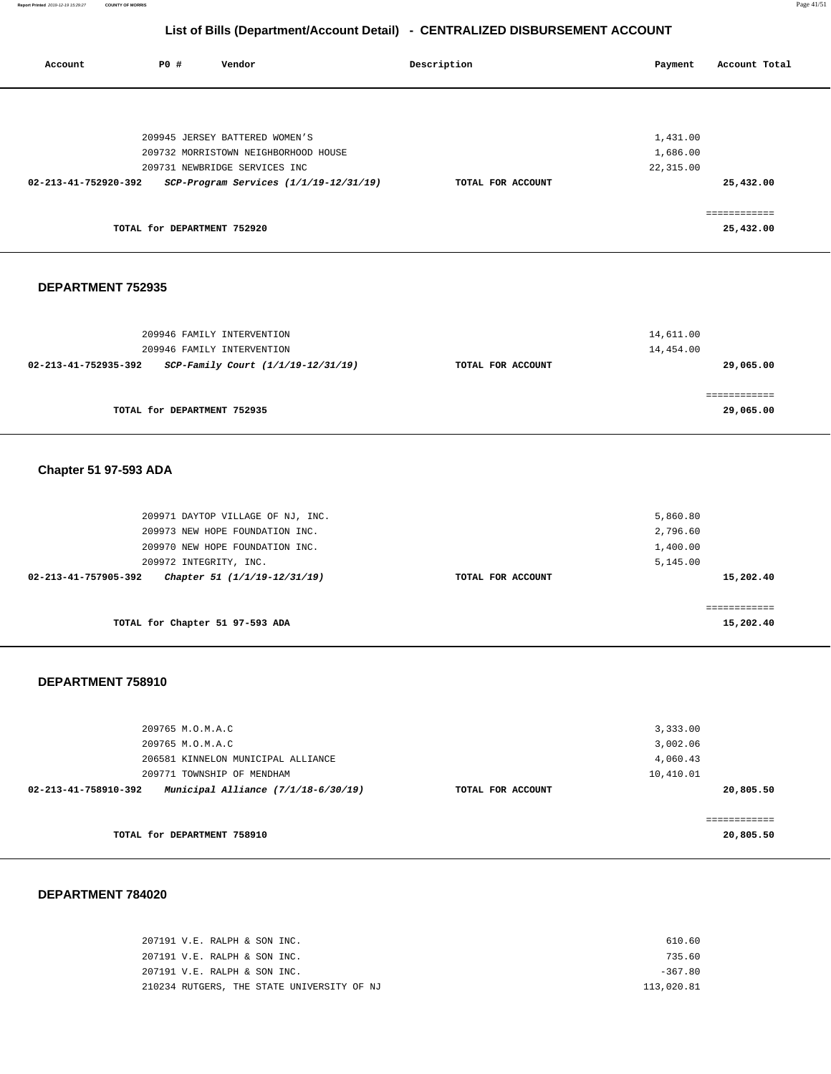**Report Printed** 2019-12-19 15:29:27 **COUNTY OF MORRIS** Page 41/51

## **List of Bills (Department/Account Detail) - CENTRALIZED DISBURSEMENT ACCOUNT**

| Account              | <b>PO #</b> | Vendor                                 | Description       | Payment   | Account Total |
|----------------------|-------------|----------------------------------------|-------------------|-----------|---------------|
|                      |             |                                        |                   |           |               |
|                      |             | 209945 JERSEY BATTERED WOMEN'S         |                   | 1,431.00  |               |
|                      |             | 209732 MORRISTOWN NEIGHBORHOOD HOUSE   |                   | 1,686.00  |               |
|                      |             | 209731 NEWBRIDGE SERVICES INC          |                   | 22,315.00 |               |
| 02-213-41-752920-392 |             | SCP-Program Services (1/1/19-12/31/19) | TOTAL FOR ACCOUNT |           | 25,432.00     |
|                      |             |                                        |                   |           |               |
|                      |             | TOTAL for DEPARTMENT 752920            |                   |           | 25,432.00     |
|                      |             |                                        |                   |           |               |

#### **DEPARTMENT 752935**

| 209946 FAMILY INTERVENTION<br>209946 FAMILY INTERVENTION   |                   | 14,611.00<br>14,454.00 |
|------------------------------------------------------------|-------------------|------------------------|
| SCP-Family Court (1/1/19-12/31/19)<br>02-213-41-752935-392 | TOTAL FOR ACCOUNT | 29,065.00              |
| TOTAL for DEPARTMENT 752935                                |                   | 29,065.00              |

## **Chapter 51 97-593 ADA**

| TOTAL for Chapter 51 97-593 ADA                      |                   | 15,202.40 |
|------------------------------------------------------|-------------------|-----------|
|                                                      |                   |           |
| Chapter 51 (1/1/19-12/31/19)<br>02-213-41-757905-392 | TOTAL FOR ACCOUNT | 15,202.40 |
| 209972 INTEGRITY, INC.                               |                   | 5,145.00  |
| 209970 NEW HOPE FOUNDATION INC.                      |                   | 1,400.00  |
| 209973 NEW HOPE FOUNDATION INC.                      |                   | 2,796.60  |
| 209971 DAYTOP VILLAGE OF NJ, INC.                    |                   | 5,860.80  |
|                                                      |                   |           |

#### **DEPARTMENT 758910**

| 209765 M.O.M.A.C<br>209765 M.O.M.A.C                        |                   | 3,333.00<br>3,002.06 |
|-------------------------------------------------------------|-------------------|----------------------|
| 206581 KINNELON MUNICIPAL ALLIANCE                          |                   | 4,060.43             |
| 209771 TOWNSHIP OF MENDHAM                                  |                   | 10,410.01            |
| Municipal Alliance (7/1/18-6/30/19)<br>02-213-41-758910-392 | TOTAL FOR ACCOUNT | 20,805.50            |
|                                                             |                   |                      |
|                                                             |                   | ------------         |
| TOTAL for DEPARTMENT 758910                                 |                   | 20,805.50            |

| 207191 V.E. RALPH & SON INC.               | 610.60     |
|--------------------------------------------|------------|
| 207191 V.E. RALPH & SON INC.               | 735.60     |
| 207191 V.E. RALPH & SON INC.               | $-367.80$  |
| 210234 RUTGERS, THE STATE UNIVERSITY OF NJ | 113,020.81 |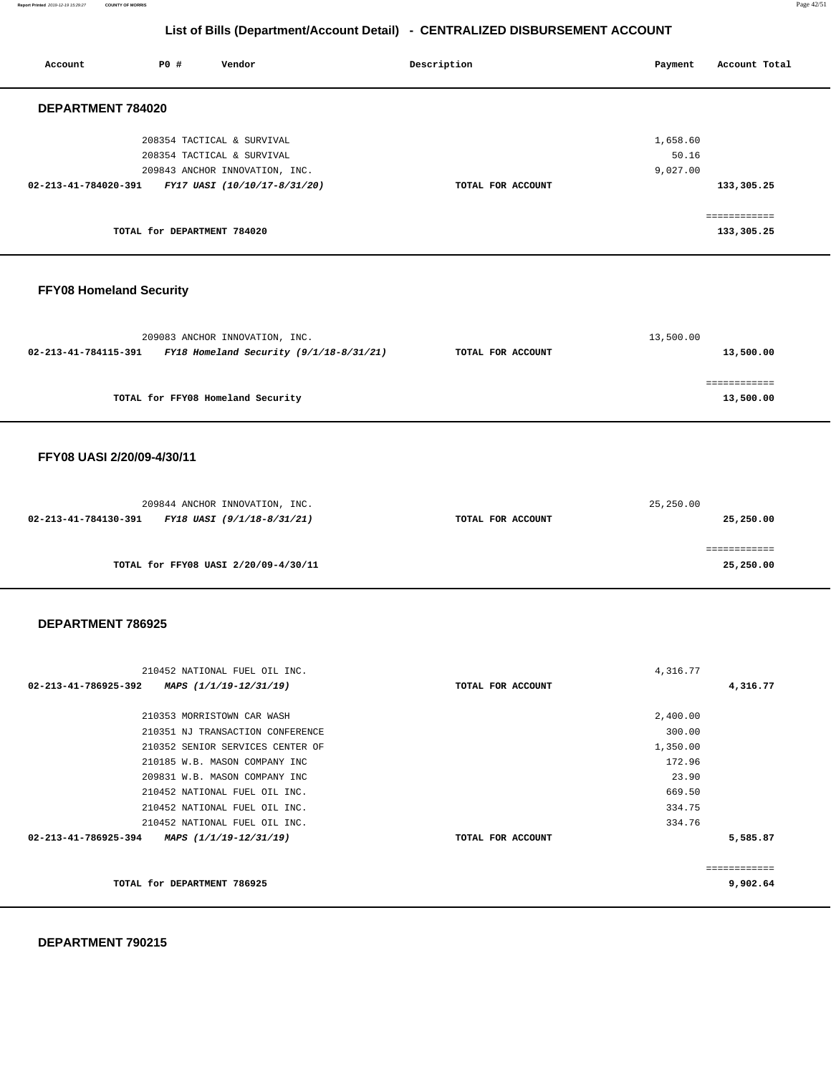**Report Printed** 2019-12-19 15:29:27 **COUNTY OF MORRIS** Page 42/51

## **List of Bills (Department/Account Detail) - CENTRALIZED DISBURSEMENT ACCOUNT**

| P0 # | Vendor                                              | Description                                                                                                                                               | Payment | Account Total                                      |
|------|-----------------------------------------------------|-----------------------------------------------------------------------------------------------------------------------------------------------------------|---------|----------------------------------------------------|
|      |                                                     |                                                                                                                                                           |         |                                                    |
|      |                                                     |                                                                                                                                                           |         |                                                    |
|      |                                                     |                                                                                                                                                           |         |                                                    |
|      |                                                     |                                                                                                                                                           |         |                                                    |
|      |                                                     |                                                                                                                                                           |         | 133,305.25                                         |
|      |                                                     |                                                                                                                                                           |         | ------------<br>___________                        |
|      |                                                     |                                                                                                                                                           |         | 133,305.25                                         |
|      | DEPARTMENT 784020<br>$02 - 213 - 41 - 784020 - 391$ | 208354 TACTICAL & SURVIVAL<br>208354 TACTICAL & SURVIVAL<br>209843 ANCHOR INNOVATION, INC.<br>FY17 UASI (10/10/17-8/31/20)<br>TOTAL for DEPARTMENT 784020 |         | 1,658.60<br>50.16<br>9,027.00<br>TOTAL FOR ACCOUNT |

### **FFY08 Homeland Security**

|                                                                     | 209083 ANCHOR INNOVATION, INC.    | 13,500.00         |           |
|---------------------------------------------------------------------|-----------------------------------|-------------------|-----------|
| $FY18$ Homeland Security $(9/1/18-8/31/21)$<br>02-213-41-784115-391 |                                   | TOTAL FOR ACCOUNT | 13,500.00 |
|                                                                     |                                   |                   |           |
|                                                                     |                                   |                   |           |
|                                                                     | TOTAL for FFY08 Homeland Security |                   | 13,500.00 |

#### **FFY08 UASI 2/20/09-4/30/11**

|                                      | 209844 ANCHOR INNOVATION, INC. |                   | 25,250.00 |
|--------------------------------------|--------------------------------|-------------------|-----------|
| 02-213-41-784130-391                 | FY18 UASI (9/1/18-8/31/21)     | TOTAL FOR ACCOUNT | 25,250.00 |
|                                      |                                |                   |           |
|                                      |                                |                   |           |
| TOTAL for FFY08 UASI 2/20/09-4/30/11 |                                |                   | 25,250.00 |

#### **DEPARTMENT 786925**

| 210452 NATIONAL FUEL OIL INC.                  |                   | 4,316.77 |              |
|------------------------------------------------|-------------------|----------|--------------|
| 02-213-41-786925-392<br>MAPS (1/1/19-12/31/19) | TOTAL FOR ACCOUNT |          | 4,316.77     |
|                                                |                   |          |              |
| 210353 MORRISTOWN CAR WASH                     |                   | 2,400.00 |              |
| 210351 NJ TRANSACTION CONFERENCE               |                   | 300.00   |              |
| 210352 SENIOR SERVICES CENTER OF               |                   | 1,350.00 |              |
| 210185 W.B. MASON COMPANY INC                  |                   | 172.96   |              |
| 209831 W.B. MASON COMPANY INC                  |                   | 23.90    |              |
| 210452 NATIONAL FUEL OIL INC.                  |                   | 669.50   |              |
| 210452 NATIONAL FUEL OIL INC.                  |                   | 334.75   |              |
| 210452 NATIONAL FUEL OIL INC.                  |                   | 334.76   |              |
| 02-213-41-786925-394<br>MAPS (1/1/19-12/31/19) | TOTAL FOR ACCOUNT |          | 5,585.87     |
|                                                |                   |          | ------------ |
| TOTAL for DEPARTMENT 786925                    |                   |          | 9,902.64     |
|                                                |                   |          |              |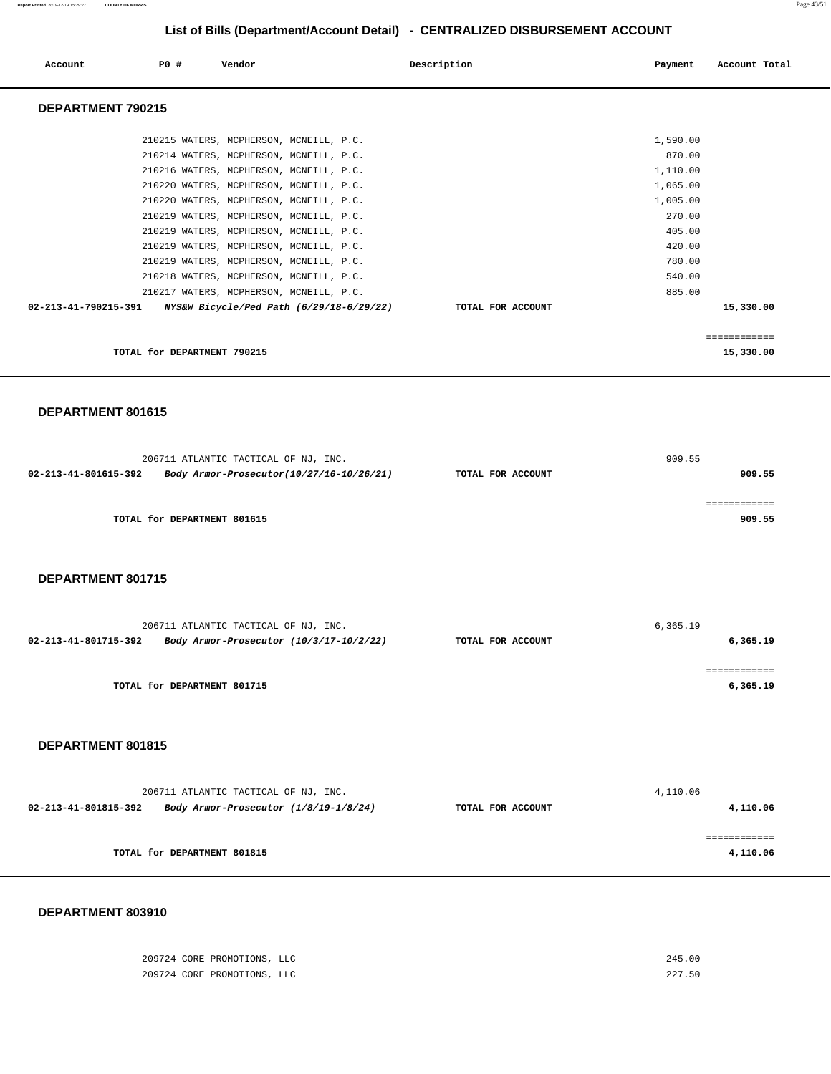**Report Printed** 2019-12-19 15:29:27 **COUNTY OF MORRIS** Page 43/51

## **List of Bills (Department/Account Detail) - CENTRALIZED DISBURSEMENT ACCOUNT**

| Account              | PO#                         | Vendor |                                          | Description       | Payment  | Account Total |
|----------------------|-----------------------------|--------|------------------------------------------|-------------------|----------|---------------|
| DEPARTMENT 790215    |                             |        |                                          |                   |          |               |
|                      |                             |        | 210215 WATERS, MCPHERSON, MCNEILL, P.C.  |                   | 1,590.00 |               |
|                      |                             |        | 210214 WATERS, MCPHERSON, MCNEILL, P.C.  |                   | 870.00   |               |
|                      |                             |        | 210216 WATERS, MCPHERSON, MCNEILL, P.C.  |                   | 1,110.00 |               |
|                      |                             |        | 210220 WATERS, MCPHERSON, MCNEILL, P.C.  |                   | 1,065.00 |               |
|                      |                             |        | 210220 WATERS, MCPHERSON, MCNEILL, P.C.  |                   | 1,005.00 |               |
|                      |                             |        | 210219 WATERS, MCPHERSON, MCNEILL, P.C.  |                   | 270.00   |               |
|                      |                             |        | 210219 WATERS, MCPHERSON, MCNEILL, P.C.  |                   | 405.00   |               |
|                      |                             |        | 210219 WATERS, MCPHERSON, MCNEILL, P.C.  |                   | 420.00   |               |
|                      |                             |        | 210219 WATERS, MCPHERSON, MCNEILL, P.C.  |                   | 780.00   |               |
|                      |                             |        | 210218 WATERS, MCPHERSON, MCNEILL, P.C.  |                   | 540.00   |               |
|                      |                             |        | 210217 WATERS, MCPHERSON, MCNEILL, P.C.  |                   | 885.00   |               |
| 02-213-41-790215-391 |                             |        | NYS&W Bicycle/Ped Path (6/29/18-6/29/22) | TOTAL FOR ACCOUNT |          | 15,330.00     |
|                      |                             |        |                                          |                   |          |               |
|                      |                             |        |                                          |                   |          | ------------  |
|                      | TOTAL for DEPARTMENT 790215 |        |                                          |                   |          | 15,330.00     |

#### **DEPARTMENT 801615**

| 206711 ATLANTIC TACTICAL OF NJ, INC. |                                                               |  | 909.55 |  |
|--------------------------------------|---------------------------------------------------------------|--|--------|--|
| 02-213-41-801615-392                 | Body Armor-Prosecutor(10/27/16-10/26/21)<br>TOTAL FOR ACCOUNT |  | 909.55 |  |
|                                      |                                                               |  |        |  |
|                                      |                                                               |  |        |  |
|                                      | TOTAL for DEPARTMENT 801615                                   |  | 909.55 |  |

#### **DEPARTMENT 801715**

| 206711 ATLANTIC TACTICAL OF NJ, INC.                            | 6,365.19          |          |  |
|-----------------------------------------------------------------|-------------------|----------|--|
| 02-213-41-801715-392<br>Body Armor-Prosecutor (10/3/17-10/2/22) | TOTAL FOR ACCOUNT | 6,365.19 |  |
|                                                                 |                   |          |  |
| TOTAL for DEPARTMENT 801715                                     |                   | 6,365.19 |  |

#### **DEPARTMENT 801815**

|                                                               | 206711 ATLANTIC TACTICAL OF NJ, INC. |                   | 4,110.06 |  |
|---------------------------------------------------------------|--------------------------------------|-------------------|----------|--|
| 02-213-41-801815-392<br>Body Armor-Prosecutor (1/8/19-1/8/24) |                                      | TOTAL FOR ACCOUNT | 4,110.06 |  |
|                                                               |                                      |                   |          |  |
|                                                               |                                      |                   |          |  |
|                                                               | TOTAL for DEPARTMENT 801815          |                   | 4,110.06 |  |
|                                                               |                                      |                   |          |  |

| 209724 CORE PROMOTIONS, LLC | 245.00 |
|-----------------------------|--------|
| 209724 CORE PROMOTIONS, LLC | 227.50 |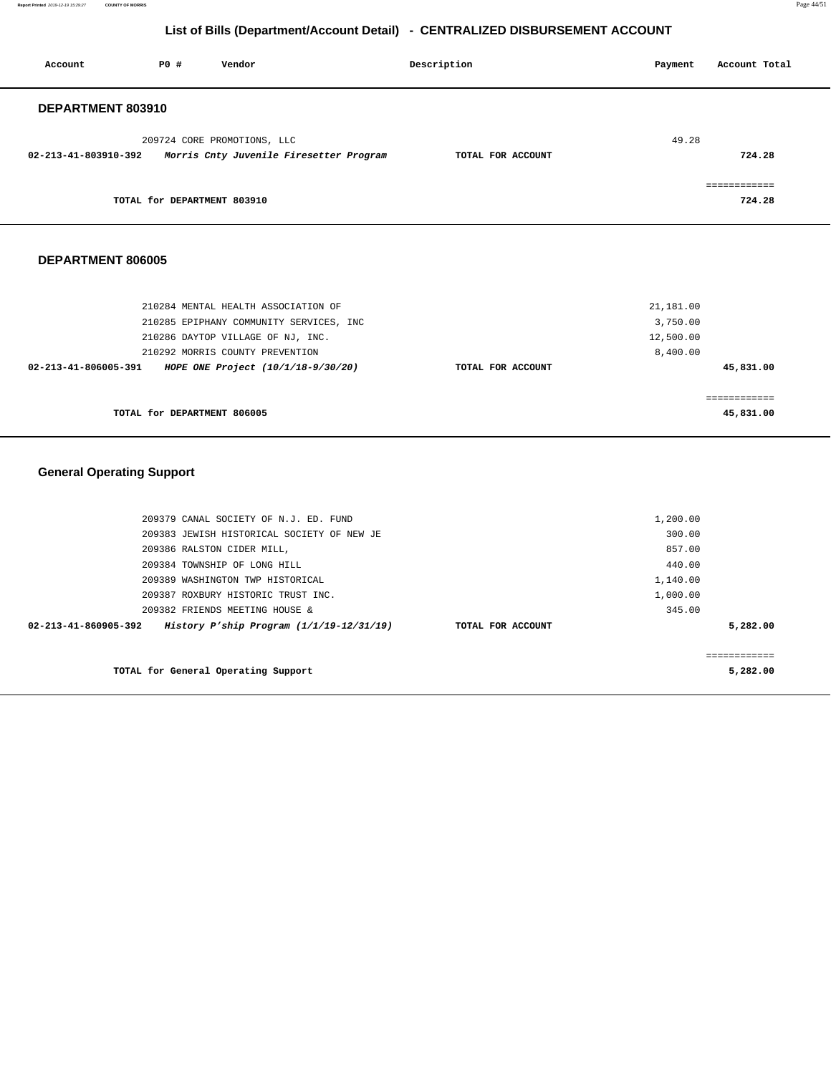**Report Printed** 2019-12-19 15:29:27 **COUNTY OF MORRIS** Page 44/51

# **List of Bills (Department/Account Detail) - CENTRALIZED DISBURSEMENT ACCOUNT**

| Account              | PO#                         | Vendor                                                                 | Description       | Payment | Account Total          |
|----------------------|-----------------------------|------------------------------------------------------------------------|-------------------|---------|------------------------|
| DEPARTMENT 803910    |                             |                                                                        |                   |         |                        |
| 02-213-41-803910-392 |                             | 209724 CORE PROMOTIONS, LLC<br>Morris Cnty Juvenile Firesetter Program | TOTAL FOR ACCOUNT | 49.28   | 724.28                 |
|                      | TOTAL for DEPARTMENT 803910 |                                                                        |                   |         | ============<br>724.28 |

#### **DEPARTMENT 806005**

| 210286 DAYTOP VILLAGE OF NJ, INC.                          |                   | 12,500.00             |
|------------------------------------------------------------|-------------------|-----------------------|
| 210292 MORRIS COUNTY PREVENTION                            | TOTAL FOR ACCOUNT | 8,400.00<br>45,831.00 |
|                                                            |                   |                       |
| HOPE ONE Project (10/1/18-9/30/20)<br>02-213-41-806005-391 |                   |                       |
|                                                            |                   |                       |

# **General Operating Support**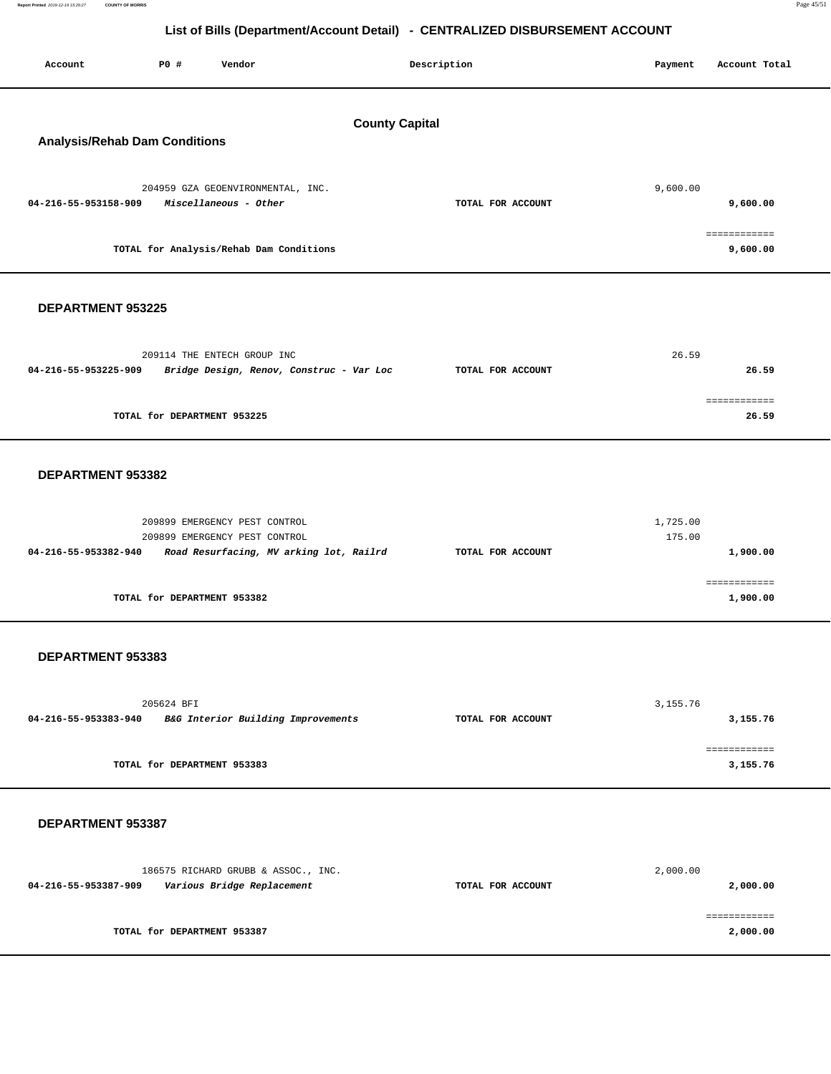| Account                                                       | P0 #       | Vendor                                                                                                    |  | Description       | Payment            | Account Total            |  |
|---------------------------------------------------------------|------------|-----------------------------------------------------------------------------------------------------------|--|-------------------|--------------------|--------------------------|--|
| <b>County Capital</b><br><b>Analysis/Rehab Dam Conditions</b> |            |                                                                                                           |  |                   |                    |                          |  |
| 04-216-55-953158-909                                          |            | 204959 GZA GEOENVIRONMENTAL, INC.<br>Miscellaneous - Other                                                |  | TOTAL FOR ACCOUNT | 9,600.00           | 9,600.00                 |  |
|                                                               |            | TOTAL for Analysis/Rehab Dam Conditions                                                                   |  |                   |                    | ============<br>9,600.00 |  |
| DEPARTMENT 953225                                             |            |                                                                                                           |  |                   |                    |                          |  |
| 04-216-55-953225-909                                          |            | 209114 THE ENTECH GROUP INC<br>Bridge Design, Renov, Construc - Var Loc                                   |  | TOTAL FOR ACCOUNT | 26.59              | 26.59                    |  |
|                                                               |            | TOTAL for DEPARTMENT 953225                                                                               |  |                   |                    | ============<br>26.59    |  |
| DEPARTMENT 953382                                             |            |                                                                                                           |  |                   |                    |                          |  |
| 04-216-55-953382-940                                          |            | 209899 EMERGENCY PEST CONTROL<br>209899 EMERGENCY PEST CONTROL<br>Road Resurfacing, MV arking lot, Railrd |  | TOTAL FOR ACCOUNT | 1,725.00<br>175.00 | 1,900.00                 |  |
|                                                               |            | TOTAL for DEPARTMENT 953382                                                                               |  |                   |                    | ============<br>1,900.00 |  |
| DEPARTMENT 953383                                             |            |                                                                                                           |  |                   |                    |                          |  |
| 04-216-55-953383-940                                          | 205624 BFI | B&G Interior Building Improvements                                                                        |  | TOTAL FOR ACCOUNT | 3, 155. 76         | 3,155.76                 |  |
|                                                               |            | TOTAL for DEPARTMENT 953383                                                                               |  |                   |                    | ============<br>3,155.76 |  |
| DEPARTMENT 953387                                             |            |                                                                                                           |  |                   |                    |                          |  |
| 04-216-55-953387-909                                          |            | 186575 RICHARD GRUBB & ASSOC., INC.<br>Various Bridge Replacement                                         |  | TOTAL FOR ACCOUNT | 2,000.00           | 2,000.00                 |  |
|                                                               |            | TOTAL for DEPARTMENT 953387                                                                               |  |                   |                    | ============<br>2,000.00 |  |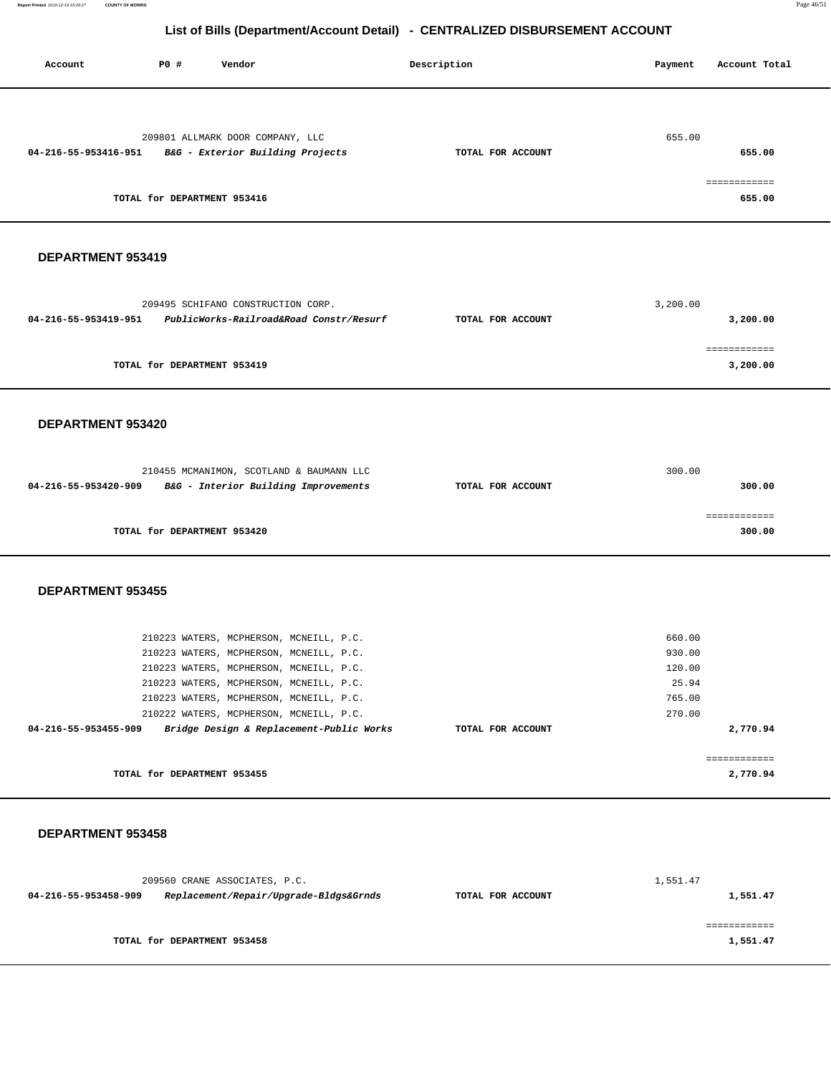| Account              | <b>PO #</b> | Vendor                                                                                                                                                                                                                                                         |                                          | Description       | Payment                                                 | Account Total                    |
|----------------------|-------------|----------------------------------------------------------------------------------------------------------------------------------------------------------------------------------------------------------------------------------------------------------------|------------------------------------------|-------------------|---------------------------------------------------------|----------------------------------|
| 04-216-55-953416-951 |             | 209801 ALLMARK DOOR COMPANY, LLC<br>B&G - Exterior Building Projects<br>TOTAL for DEPARTMENT 953416                                                                                                                                                            |                                          | TOTAL FOR ACCOUNT | 655.00                                                  | 655.00<br>============<br>655.00 |
|                      |             |                                                                                                                                                                                                                                                                |                                          |                   |                                                         |                                  |
| DEPARTMENT 953419    |             |                                                                                                                                                                                                                                                                |                                          |                   |                                                         |                                  |
| 04-216-55-953419-951 |             | 209495 SCHIFANO CONSTRUCTION CORP.                                                                                                                                                                                                                             | PublicWorks-Railroad&Road Constr/Resurf  | TOTAL FOR ACCOUNT | 3,200.00                                                | 3,200.00<br>============         |
|                      |             | TOTAL for DEPARTMENT 953419                                                                                                                                                                                                                                    |                                          |                   |                                                         | 3,200.00                         |
| DEPARTMENT 953420    |             |                                                                                                                                                                                                                                                                |                                          |                   |                                                         |                                  |
| 04-216-55-953420-909 |             | 210455 MCMANIMON, SCOTLAND & BAUMANN LLC<br>B&G - Interior Building Improvements                                                                                                                                                                               |                                          | TOTAL FOR ACCOUNT | 300.00                                                  | 300.00                           |
|                      |             | TOTAL for DEPARTMENT 953420                                                                                                                                                                                                                                    |                                          |                   |                                                         | ============<br>300.00           |
| DEPARTMENT 953455    |             |                                                                                                                                                                                                                                                                |                                          |                   |                                                         |                                  |
| 04-216-55-953455-909 |             | 210223 WATERS, MCPHERSON, MCNEILL, P.C.<br>210223 WATERS, MCPHERSON, MCNEILL, P.C.<br>210223 WATERS, MCPHERSON, MCNEILL, P.C.<br>210223 WATERS, MCPHERSON, MCNEILL, P.C.<br>210223 WATERS, MCPHERSON, MCNEILL, P.C.<br>210222 WATERS, MCPHERSON, MCNEILL, P.C. | Bridge Design & Replacement-Public Works | TOTAL FOR ACCOUNT | 660.00<br>930.00<br>120.00<br>25.94<br>765.00<br>270.00 | 2,770.94                         |
|                      |             | TOTAL for DEPARTMENT 953455                                                                                                                                                                                                                                    |                                          |                   |                                                         | ============<br>2,770.94         |
| DEPARTMENT 953458    |             |                                                                                                                                                                                                                                                                |                                          |                   |                                                         |                                  |
| 04-216-55-953458-909 |             | 209560 CRANE ASSOCIATES, P.C.                                                                                                                                                                                                                                  | Replacement/Repair/Upgrade-Bldgs&Grnds   | TOTAL FOR ACCOUNT | 1,551.47                                                | 1,551.47                         |
|                      |             | TOTAL for DEPARTMENT 953458                                                                                                                                                                                                                                    |                                          |                   |                                                         | ============<br>1,551.47         |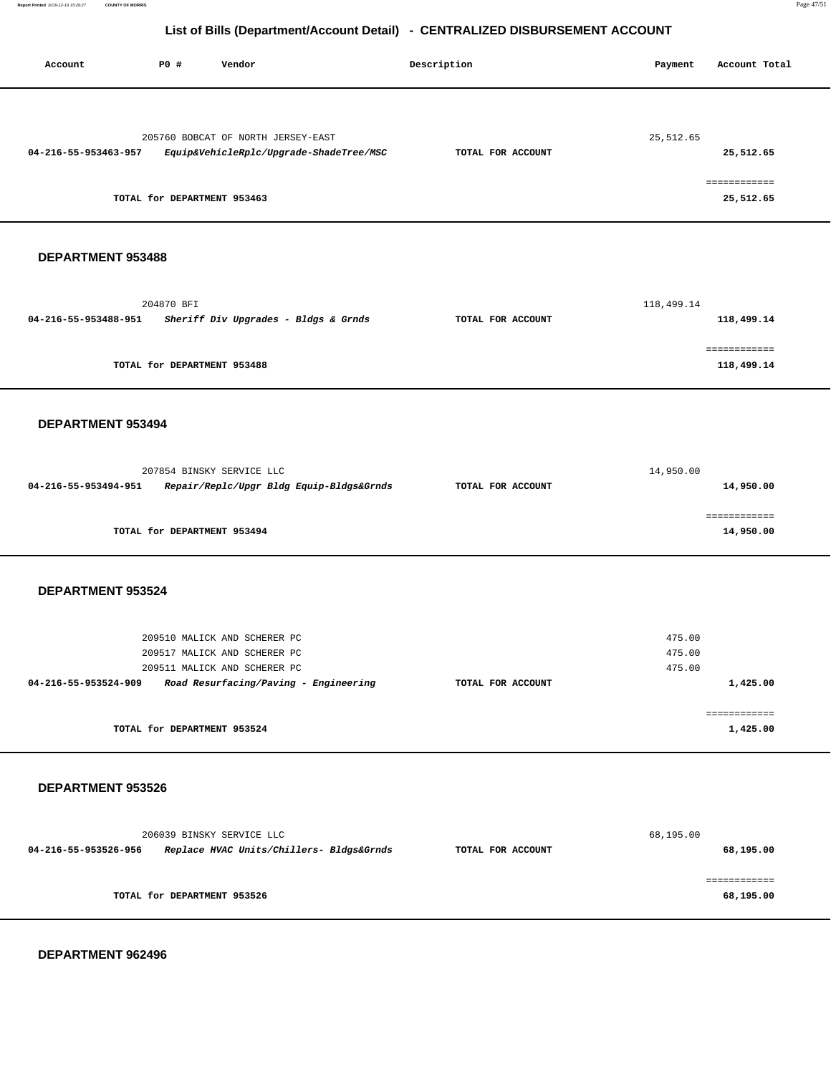| Account                  | <b>PO #</b> | Vendor                                                                                                                                | Description       | Payment                    | Account Total                          |
|--------------------------|-------------|---------------------------------------------------------------------------------------------------------------------------------------|-------------------|----------------------------|----------------------------------------|
| 04-216-55-953463-957     |             | 205760 BOBCAT OF NORTH JERSEY-EAST<br>Equip&VehicleRplc/Upgrade-ShadeTree/MSC<br>TOTAL for DEPARTMENT 953463                          | TOTAL FOR ACCOUNT | 25,512.65                  | 25,512.65<br>============<br>25,512.65 |
| DEPARTMENT 953488        |             |                                                                                                                                       |                   |                            |                                        |
| 04-216-55-953488-951     | 204870 BFI  | Sheriff Div Upgrades - Bldgs & Grnds                                                                                                  | TOTAL FOR ACCOUNT | 118,499.14                 | 118,499.14                             |
|                          |             | TOTAL for DEPARTMENT 953488                                                                                                           |                   |                            | 118,499.14                             |
| DEPARTMENT 953494        |             |                                                                                                                                       |                   |                            |                                        |
| 04-216-55-953494-951     |             | 207854 BINSKY SERVICE LLC<br>Repair/Replc/Upgr Bldg Equip-Bldgs&Grnds                                                                 | TOTAL FOR ACCOUNT | 14,950.00                  | 14,950.00                              |
|                          |             | TOTAL for DEPARTMENT 953494                                                                                                           |                   |                            | ============<br>14,950.00              |
| <b>DEPARTMENT 953524</b> |             |                                                                                                                                       |                   |                            |                                        |
| 04-216-55-953524-909     |             | 209510 MALICK AND SCHERER PC<br>209517 MALICK AND SCHERER PC<br>209511 MALICK AND SCHERER PC<br>Road Resurfacing/Paving - Engineering | TOTAL FOR ACCOUNT | 475.00<br>475.00<br>475.00 | 1,425.00                               |
|                          |             | TOTAL for DEPARTMENT 953524                                                                                                           |                   |                            | 1,425.00                               |
| DEPARTMENT 953526        |             |                                                                                                                                       |                   |                            |                                        |
| 04-216-55-953526-956     |             | 206039 BINSKY SERVICE LLC<br>Replace HVAC Units/Chillers- Bldgs&Grnds                                                                 | TOTAL FOR ACCOUNT | 68,195.00                  | 68,195.00                              |
|                          |             | TOTAL for DEPARTMENT 953526                                                                                                           |                   |                            | 68,195.00                              |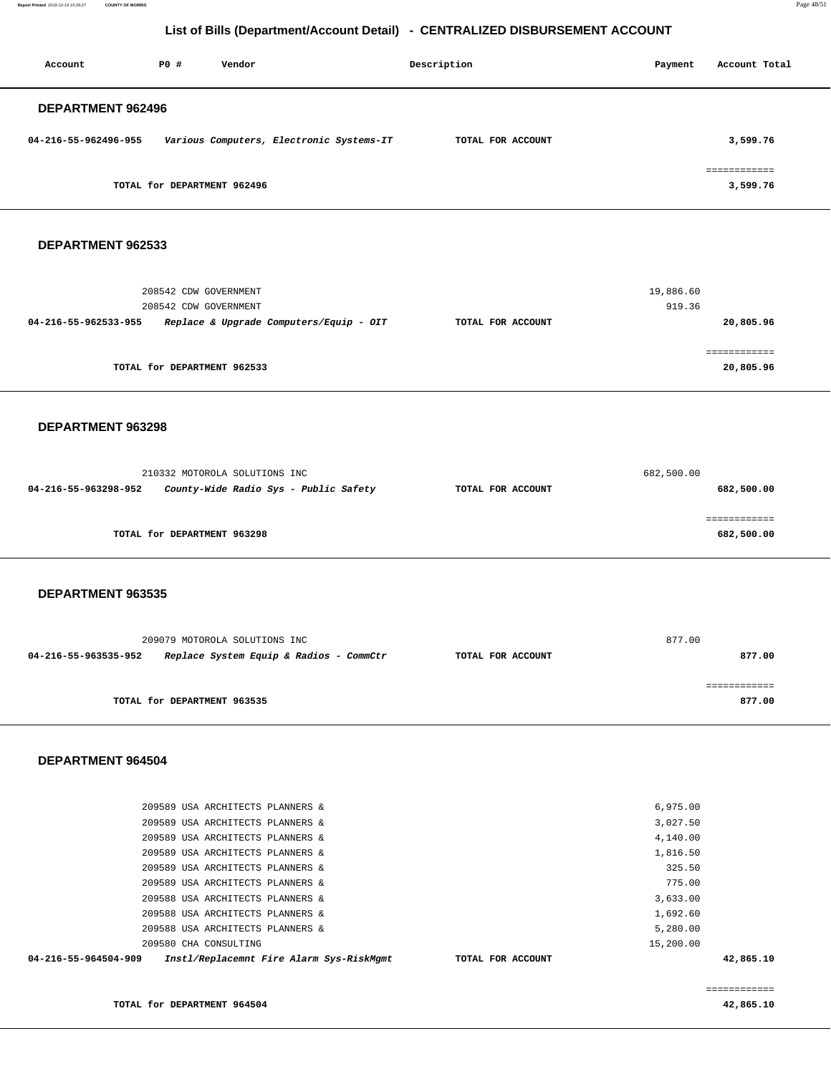**Report Printed** 2019-12-19 15:29:27 **COUNTY OF MORRIS** Page 48/51

## **List of Bills (Department/Account Detail) - CENTRALIZED DISBURSEMENT ACCOUNT**

| Account                  | PO#                         | Vendor |                                          | Description       | Payment | Account Total |
|--------------------------|-----------------------------|--------|------------------------------------------|-------------------|---------|---------------|
| <b>DEPARTMENT 962496</b> |                             |        |                                          |                   |         |               |
| 04-216-55-962496-955     |                             |        | Various Computers, Electronic Systems-IT | TOTAL FOR ACCOUNT |         | 3,599.76      |
|                          |                             |        |                                          |                   |         | ============  |
|                          | TOTAL for DEPARTMENT 962496 |        |                                          |                   |         | 3,599.76      |

#### **DEPARTMENT 962533**

| 19,886.60<br>919.36 |                   | 208542 CDW GOVERNMENT<br>208542 CDW GOVERNMENT |                      |
|---------------------|-------------------|------------------------------------------------|----------------------|
| 20,805.96           | TOTAL FOR ACCOUNT | Replace & Upgrade Computers/Equip - OIT        | 04-216-55-962533-955 |
| 20,805.96           |                   | TOTAL for DEPARTMENT 962533                    |                      |

#### **DEPARTMENT 963298**

|                      | 210332 MOTOROLA SOLUTIONS INC         |                   | 682,500.00 |
|----------------------|---------------------------------------|-------------------|------------|
| 04-216-55-963298-952 | County-Wide Radio Sys - Public Safety | TOTAL FOR ACCOUNT | 682,500.00 |
|                      |                                       |                   |            |
|                      |                                       |                   |            |
|                      | TOTAL for DEPARTMENT 963298           |                   | 682,500.00 |

#### **DEPARTMENT 963535**

|                      | 209079 MOTOROLA SOLUTIONS INC           |                   | 877.00 |
|----------------------|-----------------------------------------|-------------------|--------|
| 04-216-55-963535-952 | Replace System Equip & Radios - CommCtr | TOTAL FOR ACCOUNT | 877.00 |
|                      | TOTAL for DEPARTMENT 963535             |                   | 877.00 |
|                      |                                         |                   |        |

### **DEPARTMENT 964504**

| 04-216-55-964504-909 |                                  | Instl/Replacemnt Fire Alarm Sys-RiskMgmt | TOTAL FOR ACCOUNT |           | 42,865.10 |
|----------------------|----------------------------------|------------------------------------------|-------------------|-----------|-----------|
|                      | 209580 CHA CONSULTING            |                                          |                   | 15,200.00 |           |
|                      | 209588 USA ARCHITECTS PLANNERS & |                                          |                   | 5,280.00  |           |
|                      | 209588 USA ARCHITECTS PLANNERS & |                                          |                   | 1,692.60  |           |
|                      | 209588 USA ARCHITECTS PLANNERS & |                                          |                   | 3,633.00  |           |
|                      | 209589 USA ARCHITECTS PLANNERS & |                                          |                   | 775.00    |           |
|                      | 209589 USA ARCHITECTS PLANNERS & |                                          |                   | 325.50    |           |
|                      | 209589 USA ARCHITECTS PLANNERS & |                                          |                   | 1,816.50  |           |
|                      | 209589 USA ARCHITECTS PLANNERS & |                                          |                   | 4,140.00  |           |
|                      | 209589 USA ARCHITECTS PLANNERS & |                                          |                   | 3,027.50  |           |
|                      | 209589 USA ARCHITECTS PLANNERS & |                                          |                   | 6.975.00  |           |
|                      |                                  |                                          |                   |           |           |

**TOTAL for DEPARTMENT 964504** 

 ============ **42,865.10**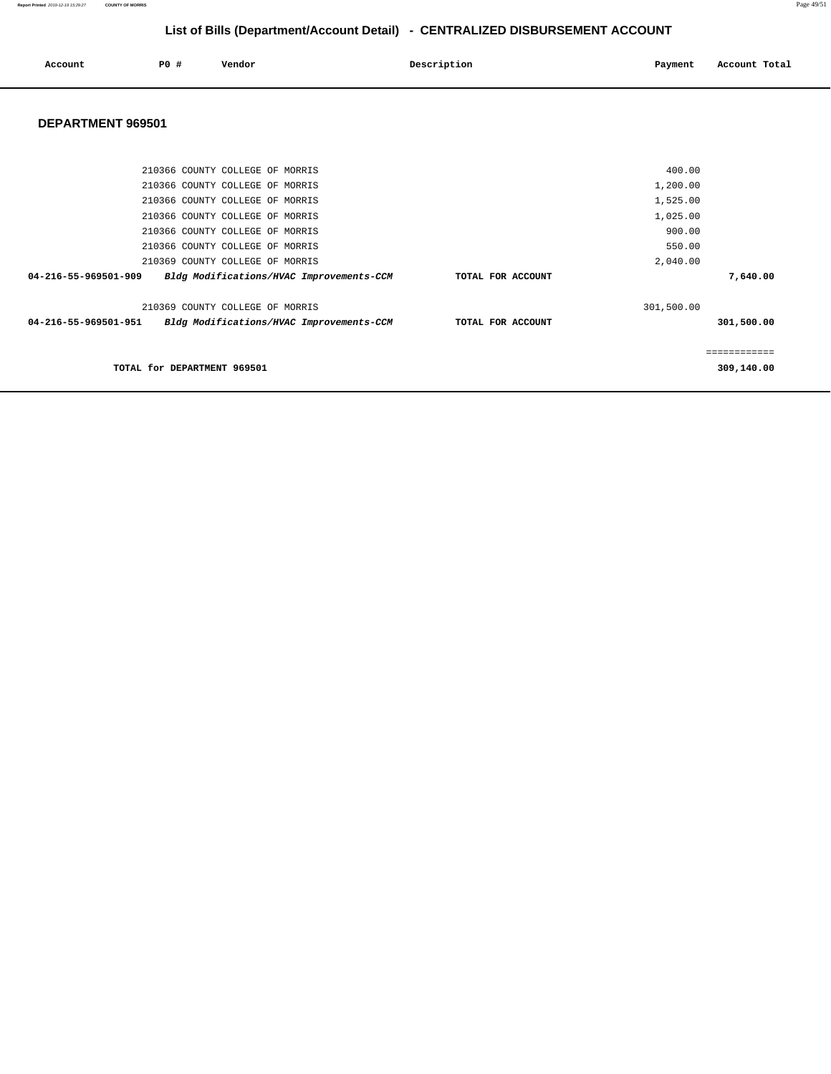**Report Printed** 2019-12-19 15:29:27 **COUNTY OF MORRIS** Page 49/51

# **List of Bills (Department/Account Detail) - CENTRALIZED DISBURSEMENT ACCOUNT**

| Account | PO # | Vendor | Description | Payment | Account Total |
|---------|------|--------|-------------|---------|---------------|
|         |      |        |             |         |               |

| 210366 COUNTY COLLEGE OF MORRIS                                  |                   | 400.00     |             |
|------------------------------------------------------------------|-------------------|------------|-------------|
| 210366 COUNTY COLLEGE OF MORRIS                                  |                   | 1,200.00   |             |
| 210366 COUNTY COLLEGE OF MORRIS                                  |                   | 1,525.00   |             |
| 210366 COUNTY COLLEGE OF MORRIS                                  |                   | 1,025.00   |             |
| 210366 COUNTY COLLEGE OF MORRIS                                  |                   | 900.00     |             |
| 210366 COUNTY COLLEGE OF MORRIS                                  |                   | 550.00     |             |
| 210369 COUNTY COLLEGE OF MORRIS                                  |                   | 2,040.00   |             |
| 04-216-55-969501-909<br>Bldg Modifications/HVAC Improvements-CCM | TOTAL FOR ACCOUNT |            | 7,640.00    |
| 210369 COUNTY COLLEGE OF MORRIS                                  |                   | 301,500.00 |             |
| 04-216-55-969501-951<br>Bldg Modifications/HVAC Improvements-CCM | TOTAL FOR ACCOUNT |            | 301,500.00  |
|                                                                  |                   |            | =========== |
| TOTAL for DEPARTMENT 969501                                      |                   |            | 309,140.00  |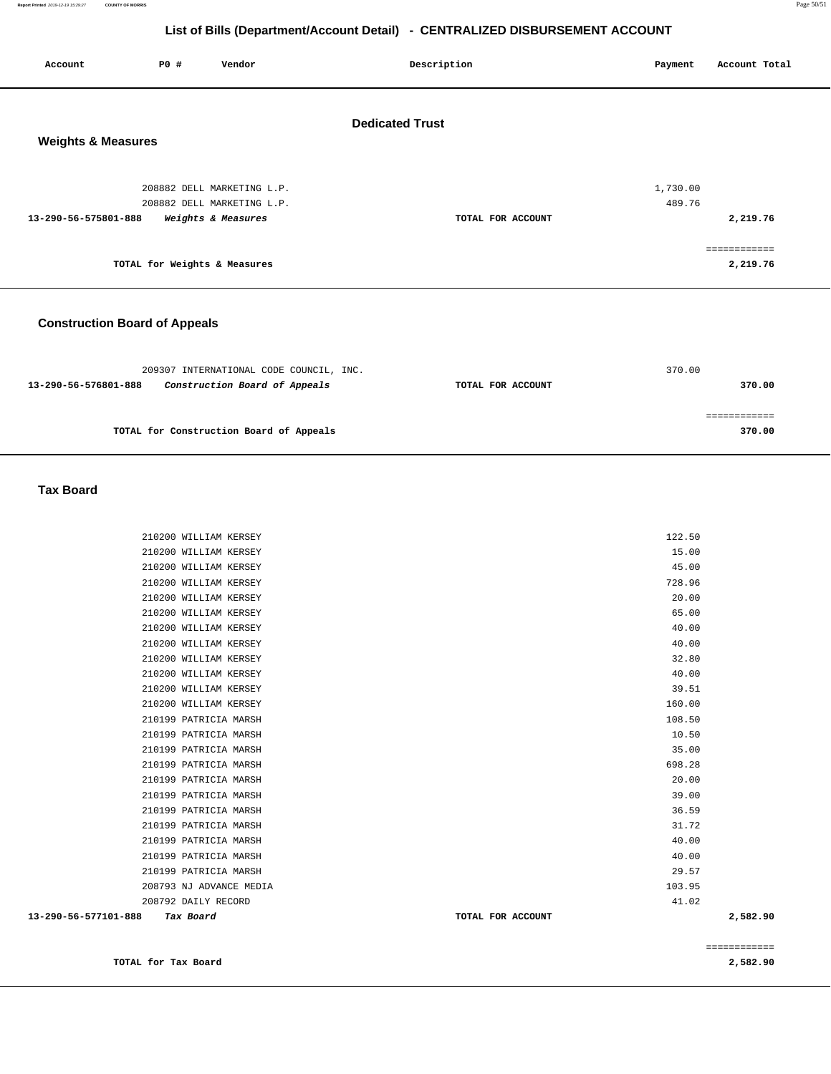**Report Printed** 2019-12-19 15:29:27 **COUNTY OF MORRIS** Page 50/51

## **List of Bills (Department/Account Detail) - CENTRALIZED DISBURSEMENT ACCOUNT**

| P0 #<br>Vendor<br>Account                  | Description            | Payment<br>Account Total |
|--------------------------------------------|------------------------|--------------------------|
| <b>Weights &amp; Measures</b>              | <b>Dedicated Trust</b> |                          |
| 208882 DELL MARKETING L.P.                 |                        | 1,730.00                 |
| 208882 DELL MARKETING L.P.                 |                        | 489.76                   |
| Weights & Measures<br>13-290-56-575801-888 | TOTAL FOR ACCOUNT      | 2,219.76                 |
|                                            |                        | :=========               |
| TOTAL for Weights & Measures               |                        | 2,219.76                 |
|                                            |                        |                          |

### **Construction Board of Appeals**

| 209307 INTERNATIONAL CODE COUNCIL, INC.               |                   | 370.00 |
|-------------------------------------------------------|-------------------|--------|
| Construction Board of Appeals<br>13-290-56-576801-888 | TOTAL FOR ACCOUNT | 370.00 |
|                                                       |                   |        |
|                                                       |                   |        |
| TOTAL for Construction Board of Appeals               |                   | 370.00 |
|                                                       |                   |        |

#### **Tax Board**

| 13-290-56-577101-888<br>Tax Board | TOTAL FOR ACCOUNT | 2,582.90 |
|-----------------------------------|-------------------|----------|
| 208792 DAILY RECORD               | 41.02             |          |
| 208793 NJ ADVANCE MEDIA           | 103.95            |          |
| 210199 PATRICIA MARSH             | 29.57             |          |
| 210199 PATRICIA MARSH             | 40.00             |          |
| 210199 PATRICIA MARSH             | 40.00             |          |
| 210199 PATRICIA MARSH             | 31.72             |          |
| 210199 PATRICIA MARSH             | 36.59             |          |
| 210199 PATRICIA MARSH             | 39.00             |          |
| 210199 PATRICIA MARSH             | 20.00             |          |
| 210199 PATRICIA MARSH             | 698.28            |          |
| 210199 PATRICIA MARSH             | 35.00             |          |
| 210199 PATRICIA MARSH             | 10.50             |          |
| 210199 PATRICIA MARSH             | 108.50            |          |
| 210200 WILLIAM KERSEY             | 160.00            |          |
| 210200 WILLIAM KERSEY             | 39.51             |          |
| 210200 WILLIAM KERSEY             | 40.00             |          |
| 210200 WILLIAM KERSEY             | 32.80             |          |
| 210200 WILLIAM KERSEY             | 40.00             |          |
| 210200 WILLIAM KERSEY             | 40.00             |          |
| 210200 WILLIAM KERSEY             | 65.00             |          |
| 210200 WILLIAM KERSEY             | 20.00             |          |
| 210200 WILLIAM KERSEY             | 728.96            |          |
| 210200 WILLIAM KERSEY             | 45.00             |          |
| 210200 WILLIAM KERSEY             | 15.00             |          |
| 210200 WILLIAM KERSEY             | 122.50            |          |
|                                   |                   |          |

============